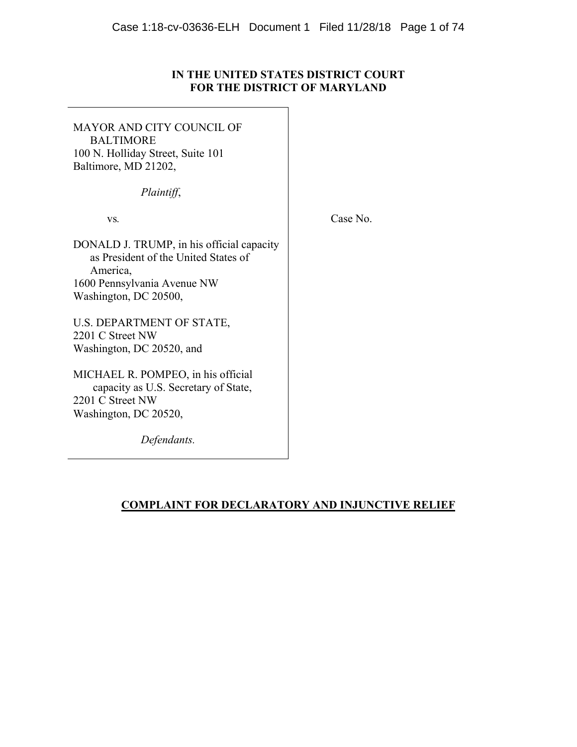# **IN THE UNITED STATES DISTRICT COURT FOR THE DISTRICT OF MARYLAND**

MAYOR AND CITY COUNCIL OF BALTIMORE 100 N. Holliday Street, Suite 101 Baltimore, MD 21202,

*Plaintiff*,

vs*.*

Case No.

DONALD J. TRUMP, in his official capacity as President of the United States of America, 1600 Pennsylvania Avenue NW Washington, DC 20500,

U.S. DEPARTMENT OF STATE, 2201 C Street NW Washington, DC 20520, and

MICHAEL R. POMPEO, in his official capacity as U.S. Secretary of State, 2201 C Street NW Washington, DC 20520,

*Defendants.*

# **COMPLAINT FOR DECLARATORY AND INJUNCTIVE RELIEF**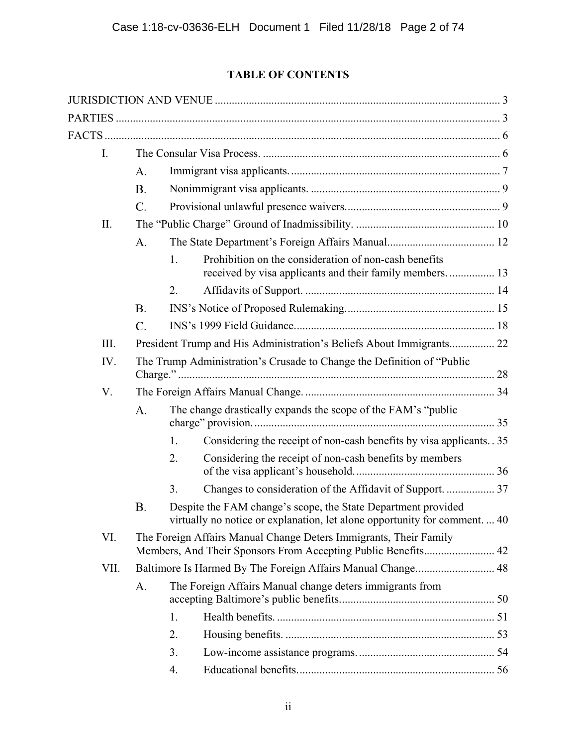# **TABLE OF CONTENTS**

| I.   |                                                                                                                                    |                                                                        |                                                                                                                                             |  |  |  |
|------|------------------------------------------------------------------------------------------------------------------------------------|------------------------------------------------------------------------|---------------------------------------------------------------------------------------------------------------------------------------------|--|--|--|
|      | A.                                                                                                                                 |                                                                        |                                                                                                                                             |  |  |  |
|      | <b>B.</b>                                                                                                                          |                                                                        |                                                                                                                                             |  |  |  |
|      | $\mathcal{C}$ .                                                                                                                    |                                                                        |                                                                                                                                             |  |  |  |
| II.  |                                                                                                                                    |                                                                        |                                                                                                                                             |  |  |  |
|      | A.                                                                                                                                 |                                                                        |                                                                                                                                             |  |  |  |
|      |                                                                                                                                    | 1.                                                                     | Prohibition on the consideration of non-cash benefits<br>received by visa applicants and their family members.  13                          |  |  |  |
|      |                                                                                                                                    | 2.                                                                     |                                                                                                                                             |  |  |  |
|      | <b>B.</b>                                                                                                                          |                                                                        |                                                                                                                                             |  |  |  |
|      | $\mathcal{C}$ .                                                                                                                    |                                                                        |                                                                                                                                             |  |  |  |
| III. |                                                                                                                                    | President Trump and His Administration's Beliefs About Immigrants 22   |                                                                                                                                             |  |  |  |
| IV.  |                                                                                                                                    | The Trump Administration's Crusade to Change the Definition of "Public |                                                                                                                                             |  |  |  |
| V.   |                                                                                                                                    |                                                                        |                                                                                                                                             |  |  |  |
|      | A.                                                                                                                                 | The change drastically expands the scope of the FAM's "public"         |                                                                                                                                             |  |  |  |
|      |                                                                                                                                    | 1.                                                                     | Considering the receipt of non-cash benefits by visa applicants. 35                                                                         |  |  |  |
|      |                                                                                                                                    | 2.                                                                     | Considering the receipt of non-cash benefits by members                                                                                     |  |  |  |
|      |                                                                                                                                    | 3.                                                                     | Changes to consideration of the Affidavit of Support.  37                                                                                   |  |  |  |
|      | <b>B.</b>                                                                                                                          |                                                                        | Despite the FAM change's scope, the State Department provided<br>virtually no notice or explanation, let alone opportunity for comment.  40 |  |  |  |
| VI.  | The Foreign Affairs Manual Change Deters Immigrants, Their Family<br>Members, And Their Sponsors From Accepting Public Benefits 42 |                                                                        |                                                                                                                                             |  |  |  |
| VII. |                                                                                                                                    | Baltimore Is Harmed By The Foreign Affairs Manual Change 48            |                                                                                                                                             |  |  |  |
|      | A.                                                                                                                                 | The Foreign Affairs Manual change deters immigrants from               |                                                                                                                                             |  |  |  |
|      |                                                                                                                                    | 1.                                                                     |                                                                                                                                             |  |  |  |
|      |                                                                                                                                    | 2.                                                                     |                                                                                                                                             |  |  |  |
|      |                                                                                                                                    | 3.                                                                     |                                                                                                                                             |  |  |  |
|      |                                                                                                                                    | 4.                                                                     |                                                                                                                                             |  |  |  |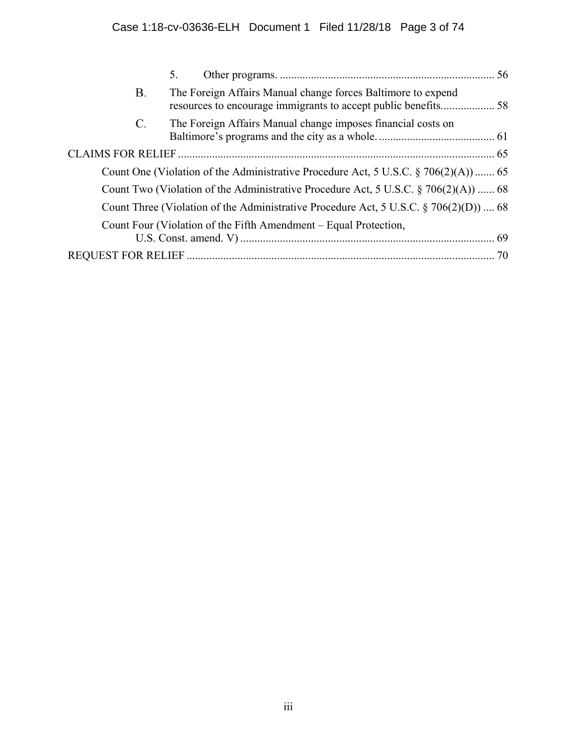|                                                                                           | 5. |                                                                  |  |  |  |  |
|-------------------------------------------------------------------------------------------|----|------------------------------------------------------------------|--|--|--|--|
| <b>B.</b>                                                                                 |    | The Foreign Affairs Manual change forces Baltimore to expend     |  |  |  |  |
| C.                                                                                        |    | The Foreign Affairs Manual change imposes financial costs on     |  |  |  |  |
|                                                                                           |    |                                                                  |  |  |  |  |
| Count One (Violation of the Administrative Procedure Act, 5 U.S.C. $\S$ 706(2)(A))  65    |    |                                                                  |  |  |  |  |
| Count Two (Violation of the Administrative Procedure Act, 5 U.S.C. § 706(2)(A))  68       |    |                                                                  |  |  |  |  |
| Count Three (Violation of the Administrative Procedure Act, 5 U.S.C. $\S 706(2)(D)$ )  68 |    |                                                                  |  |  |  |  |
|                                                                                           |    | Count Four (Violation of the Fifth Amendment – Equal Protection, |  |  |  |  |
|                                                                                           |    |                                                                  |  |  |  |  |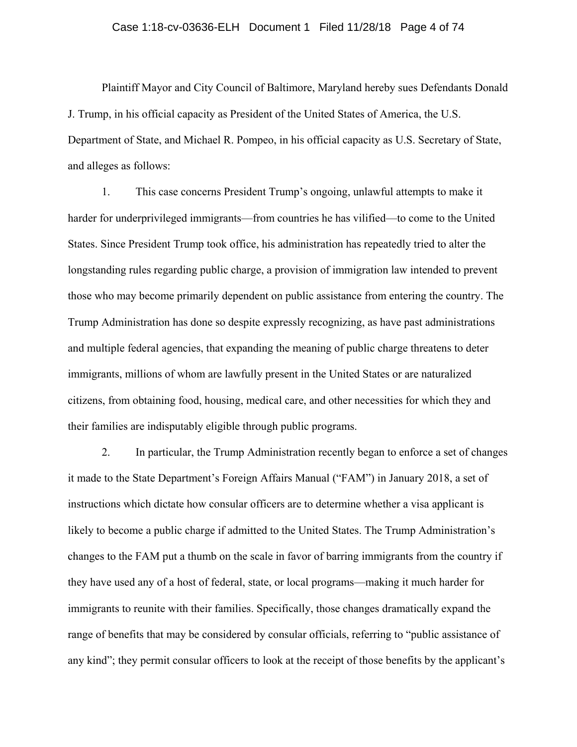## Case 1:18-cv-03636-ELH Document 1 Filed 11/28/18 Page 4 of 74

Plaintiff Mayor and City Council of Baltimore, Maryland hereby sues Defendants Donald J. Trump, in his official capacity as President of the United States of America, the U.S. Department of State, and Michael R. Pompeo, in his official capacity as U.S. Secretary of State, and alleges as follows:

1. This case concerns President Trump's ongoing, unlawful attempts to make it harder for underprivileged immigrants—from countries he has vilified—to come to the United States. Since President Trump took office, his administration has repeatedly tried to alter the longstanding rules regarding public charge, a provision of immigration law intended to prevent those who may become primarily dependent on public assistance from entering the country. The Trump Administration has done so despite expressly recognizing, as have past administrations and multiple federal agencies, that expanding the meaning of public charge threatens to deter immigrants, millions of whom are lawfully present in the United States or are naturalized citizens, from obtaining food, housing, medical care, and other necessities for which they and their families are indisputably eligible through public programs.

2. In particular, the Trump Administration recently began to enforce a set of changes it made to the State Department's Foreign Affairs Manual ("FAM") in January 2018, a set of instructions which dictate how consular officers are to determine whether a visa applicant is likely to become a public charge if admitted to the United States. The Trump Administration's changes to the FAM put a thumb on the scale in favor of barring immigrants from the country if they have used any of a host of federal, state, or local programs—making it much harder for immigrants to reunite with their families. Specifically, those changes dramatically expand the range of benefits that may be considered by consular officials, referring to "public assistance of any kind"; they permit consular officers to look at the receipt of those benefits by the applicant's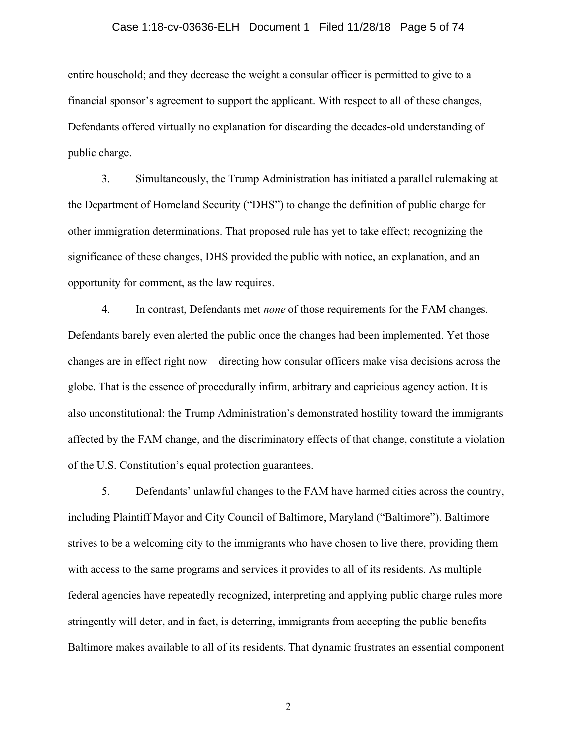## Case 1:18-cv-03636-ELH Document 1 Filed 11/28/18 Page 5 of 74

entire household; and they decrease the weight a consular officer is permitted to give to a financial sponsor's agreement to support the applicant. With respect to all of these changes, Defendants offered virtually no explanation for discarding the decades-old understanding of public charge.

3. Simultaneously, the Trump Administration has initiated a parallel rulemaking at the Department of Homeland Security ("DHS") to change the definition of public charge for other immigration determinations. That proposed rule has yet to take effect; recognizing the significance of these changes, DHS provided the public with notice, an explanation, and an opportunity for comment, as the law requires.

4. In contrast, Defendants met *none* of those requirements for the FAM changes. Defendants barely even alerted the public once the changes had been implemented. Yet those changes are in effect right now—directing how consular officers make visa decisions across the globe. That is the essence of procedurally infirm, arbitrary and capricious agency action. It is also unconstitutional: the Trump Administration's demonstrated hostility toward the immigrants affected by the FAM change, and the discriminatory effects of that change, constitute a violation of the U.S. Constitution's equal protection guarantees.

5. Defendants' unlawful changes to the FAM have harmed cities across the country, including Plaintiff Mayor and City Council of Baltimore, Maryland ("Baltimore"). Baltimore strives to be a welcoming city to the immigrants who have chosen to live there, providing them with access to the same programs and services it provides to all of its residents. As multiple federal agencies have repeatedly recognized, interpreting and applying public charge rules more stringently will deter, and in fact, is deterring, immigrants from accepting the public benefits Baltimore makes available to all of its residents. That dynamic frustrates an essential component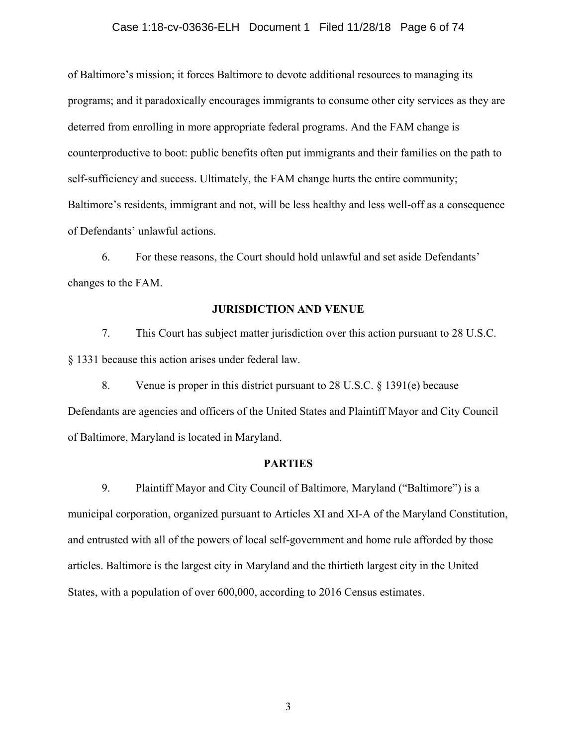### Case 1:18-cv-03636-ELH Document 1 Filed 11/28/18 Page 6 of 74

of Baltimore's mission; it forces Baltimore to devote additional resources to managing its programs; and it paradoxically encourages immigrants to consume other city services as they are deterred from enrolling in more appropriate federal programs. And the FAM change is counterproductive to boot: public benefits often put immigrants and their families on the path to self-sufficiency and success. Ultimately, the FAM change hurts the entire community; Baltimore's residents, immigrant and not, will be less healthy and less well-off as a consequence of Defendants' unlawful actions.

6. For these reasons, the Court should hold unlawful and set aside Defendants' changes to the FAM.

## **JURISDICTION AND VENUE**

<span id="page-5-0"></span>7. This Court has subject matter jurisdiction over this action pursuant to 28 U.S.C. § 1331 because this action arises under federal law.

8. Venue is proper in this district pursuant to 28 U.S.C. § 1391(e) because Defendants are agencies and officers of the United States and Plaintiff Mayor and City Council of Baltimore, Maryland is located in Maryland.

## **PARTIES**

<span id="page-5-1"></span>9. Plaintiff Mayor and City Council of Baltimore, Maryland ("Baltimore") is a municipal corporation, organized pursuant to Articles XI and XI-A of the Maryland Constitution, and entrusted with all of the powers of local self-government and home rule afforded by those articles. Baltimore is the largest city in Maryland and the thirtieth largest city in the United States, with a population of over 600,000, according to 2016 Census estimates.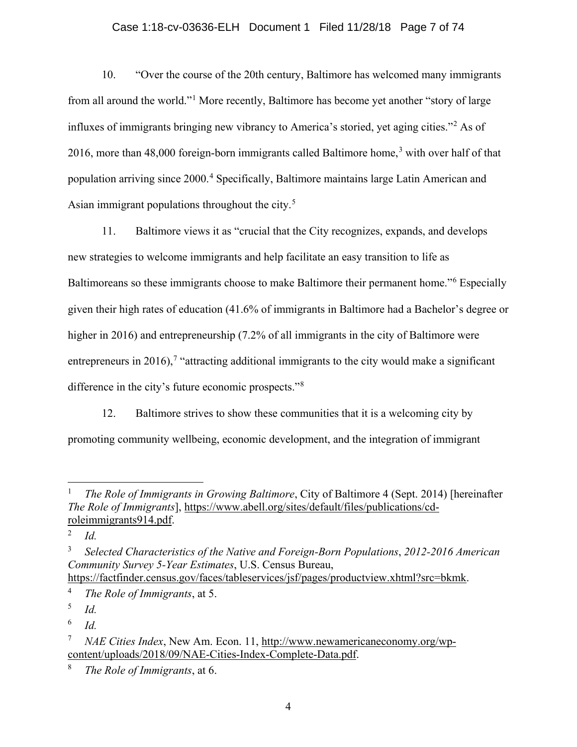# Case 1:18-cv-03636-ELH Document 1 Filed 11/28/18 Page 7 of 74

10. "Over the course of the 20th century, Baltimore has welcomed many immigrants from all around the world."[1](#page-6-0) More recently, Baltimore has become yet another "story of large influxes of immigrants bringing new vibrancy to America's storied, yet aging cities."[2](#page-6-1) As of 2016, more than 48,000 foreign-born immigrants called Baltimore home,<sup>[3](#page-6-2)</sup> with over half of that population arriving since 2000.[4](#page-6-3) Specifically, Baltimore maintains large Latin American and Asian immigrant populations throughout the city.<sup>[5](#page-6-4)</sup>

11. Baltimore views it as "crucial that the City recognizes, expands, and develops new strategies to welcome immigrants and help facilitate an easy transition to life as Baltimoreans so these immigrants choose to make Baltimore their permanent home."<sup>[6](#page-6-5)</sup> Especially given their high rates of education (41.6% of immigrants in Baltimore had a Bachelor's degree or higher in 2016) and entrepreneurship (7.2% of all immigrants in the city of Baltimore were entrepreneurs in 2016),<sup>[7](#page-6-6)</sup> "attracting additional immigrants to the city would make a significant difference in the city's future economic prospects."[8](#page-6-7)

12. Baltimore strives to show these communities that it is a welcoming city by promoting community wellbeing, economic development, and the integration of immigrant

<span id="page-6-4"></span><sup>5</sup> *Id.*

<span id="page-6-5"></span><sup>6</sup> *Id.*

<span id="page-6-0"></span> <sup>1</sup> *The Role of Immigrants in Growing Baltimore*, City of Baltimore 4 (Sept. 2014) [hereinafter *The Role of Immigrants*], [https://www.abell.org/sites/default/files/publications/cd](https://www.abell.org/sites/default/files/publications/cd-roleimmigrants914.pdf)[roleimmigrants914.pdf.](https://www.abell.org/sites/default/files/publications/cd-roleimmigrants914.pdf)

<span id="page-6-1"></span><sup>2</sup> *Id.*

<span id="page-6-2"></span><sup>3</sup> *Selected Characteristics of the Native and Foreign-Born Populations*, *2012-2016 American Community Survey 5-Year Estimates*, U.S. Census Bureau, [https://factfinder.census.gov/faces/tableservices/jsf/pages/productview.xhtml?src=bkmk.](https://factfinder.census.gov/faces/tableservices/jsf/pages/productview.xhtml?src=bkmk)

<span id="page-6-3"></span><sup>4</sup> *The Role of Immigrants*, at 5.

<span id="page-6-6"></span><sup>7</sup> *NAE Cities Index*, New Am. Econ. 11, [http://www.newamericaneconomy.org/wp](http://www.newamericaneconomy.org/wp-content/uploads/2018/09/NAE-Cities-Index-Complete-Data.pdf)[content/uploads/2018/09/NAE-Cities-Index-Complete-Data.pdf.](http://www.newamericaneconomy.org/wp-content/uploads/2018/09/NAE-Cities-Index-Complete-Data.pdf)

<span id="page-6-7"></span><sup>8</sup> *The Role of Immigrants*, at 6.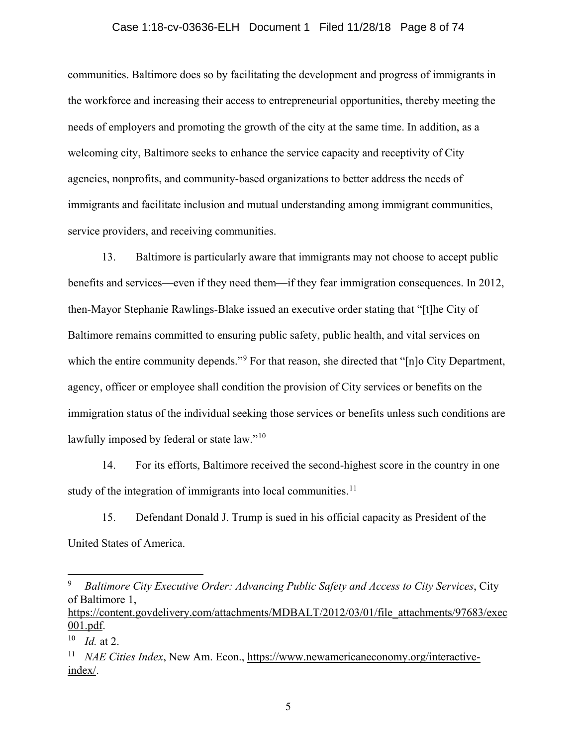## Case 1:18-cv-03636-ELH Document 1 Filed 11/28/18 Page 8 of 74

communities. Baltimore does so by facilitating the development and progress of immigrants in the workforce and increasing their access to entrepreneurial opportunities, thereby meeting the needs of employers and promoting the growth of the city at the same time. In addition, as a welcoming city, Baltimore seeks to enhance the service capacity and receptivity of City agencies, nonprofits, and community-based organizations to better address the needs of immigrants and facilitate inclusion and mutual understanding among immigrant communities, service providers, and receiving communities.

13. Baltimore is particularly aware that immigrants may not choose to accept public benefits and services—even if they need them—if they fear immigration consequences. In 2012, then-Mayor Stephanie Rawlings-Blake issued an executive order stating that "[t]he City of Baltimore remains committed to ensuring public safety, public health, and vital services on which the entire community depends."<sup>[9](#page-7-0)</sup> For that reason, she directed that "[n]o City Department, agency, officer or employee shall condition the provision of City services or benefits on the immigration status of the individual seeking those services or benefits unless such conditions are lawfully imposed by federal or state law."<sup>[10](#page-7-1)</sup>

14. For its efforts, Baltimore received the second-highest score in the country in one study of the integration of immigrants into local communities.<sup>[11](#page-7-2)</sup>

15. Defendant Donald J. Trump is sued in his official capacity as President of the United States of America.

[https://content.govdelivery.com/attachments/MDBALT/2012/03/01/file\\_attachments/97683/exec](https://content.govdelivery.com/attachments/MDBALT/2012/03/01/file_attachments/97683/exec001.pdf) [001.pdf.](https://content.govdelivery.com/attachments/MDBALT/2012/03/01/file_attachments/97683/exec001.pdf)

<span id="page-7-0"></span> <sup>9</sup> *Baltimore City Executive Order: Advancing Public Safety and Access to City Services*, City of Baltimore 1,

<span id="page-7-1"></span><sup>10</sup> *Id.* at 2.

<span id="page-7-2"></span><sup>&</sup>lt;sup>11</sup> *NAE Cities Index*, New Am. Econ., [https://www.newamericaneconomy.org/interactive](https://www.newamericaneconomy.org/interactive-index/)[index/.](https://www.newamericaneconomy.org/interactive-index/)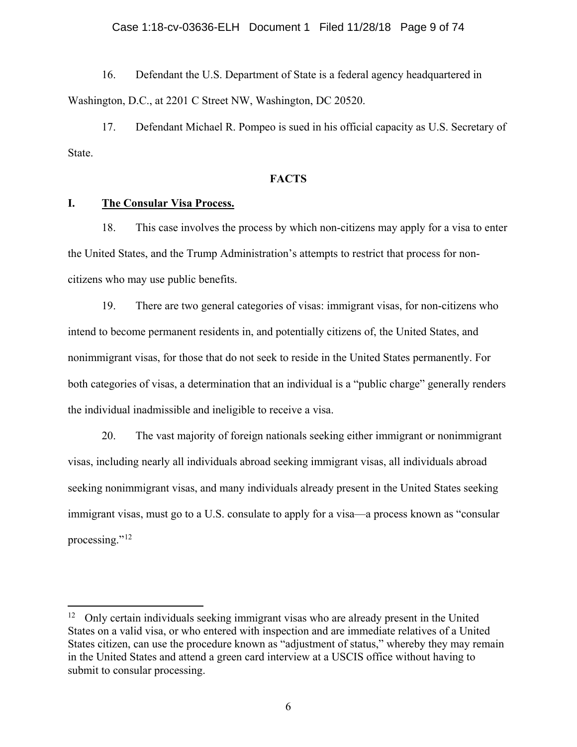### Case 1:18-cv-03636-ELH Document 1 Filed 11/28/18 Page 9 of 74

16. Defendant the U.S. Department of State is a federal agency headquartered in Washington, D.C., at 2201 C Street NW, Washington, DC 20520.

17. Defendant Michael R. Pompeo is sued in his official capacity as U.S. Secretary of State.

## **FACTS**

# <span id="page-8-1"></span><span id="page-8-0"></span>**I. The Consular Visa Process.**

18. This case involves the process by which non-citizens may apply for a visa to enter the United States, and the Trump Administration's attempts to restrict that process for noncitizens who may use public benefits.

19. There are two general categories of visas: immigrant visas, for non-citizens who intend to become permanent residents in, and potentially citizens of, the United States, and nonimmigrant visas, for those that do not seek to reside in the United States permanently. For both categories of visas, a determination that an individual is a "public charge" generally renders the individual inadmissible and ineligible to receive a visa.

20. The vast majority of foreign nationals seeking either immigrant or nonimmigrant visas, including nearly all individuals abroad seeking immigrant visas, all individuals abroad seeking nonimmigrant visas, and many individuals already present in the United States seeking immigrant visas, must go to a U.S. consulate to apply for a visa—a process known as "consular processing."<sup>[12](#page-8-2)</sup>

<span id="page-8-2"></span><sup>&</sup>lt;sup>12</sup> Only certain individuals seeking immigrant visas who are already present in the United States on a valid visa, or who entered with inspection and are immediate relatives of a United States citizen, can use the procedure known as "adjustment of status," whereby they may remain in the United States and attend a green card interview at a USCIS office without having to submit to consular processing.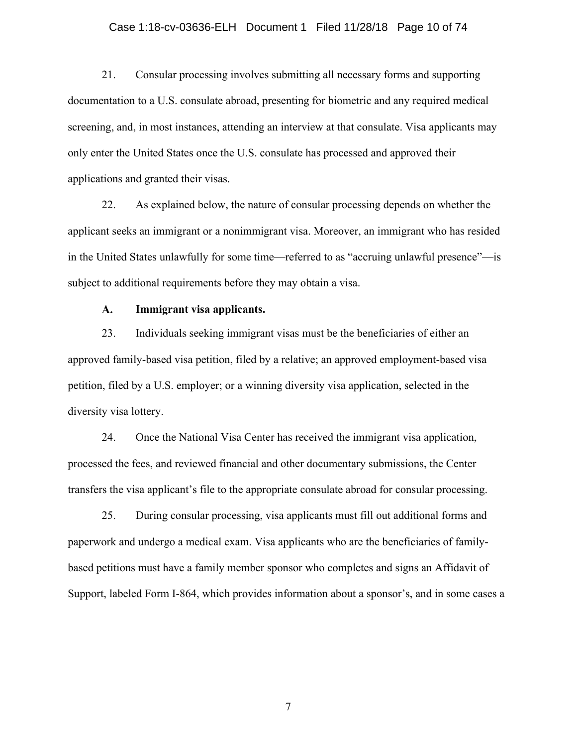# Case 1:18-cv-03636-ELH Document 1 Filed 11/28/18 Page 10 of 74

21. Consular processing involves submitting all necessary forms and supporting documentation to a U.S. consulate abroad, presenting for biometric and any required medical screening, and, in most instances, attending an interview at that consulate. Visa applicants may only enter the United States once the U.S. consulate has processed and approved their applications and granted their visas.

22. As explained below, the nature of consular processing depends on whether the applicant seeks an immigrant or a nonimmigrant visa. Moreover, an immigrant who has resided in the United States unlawfully for some time—referred to as "accruing unlawful presence"—is subject to additional requirements before they may obtain a visa.

#### $\mathbf{A}$ . **Immigrant visa applicants.**

<span id="page-9-0"></span>23. Individuals seeking immigrant visas must be the beneficiaries of either an approved family-based visa petition, filed by a relative; an approved employment-based visa petition, filed by a U.S. employer; or a winning diversity visa application, selected in the diversity visa lottery.

24. Once the National Visa Center has received the immigrant visa application, processed the fees, and reviewed financial and other documentary submissions, the Center transfers the visa applicant's file to the appropriate consulate abroad for consular processing.

25. During consular processing, visa applicants must fill out additional forms and paperwork and undergo a medical exam. Visa applicants who are the beneficiaries of familybased petitions must have a family member sponsor who completes and signs an Affidavit of Support, labeled Form I-864, which provides information about a sponsor's, and in some cases a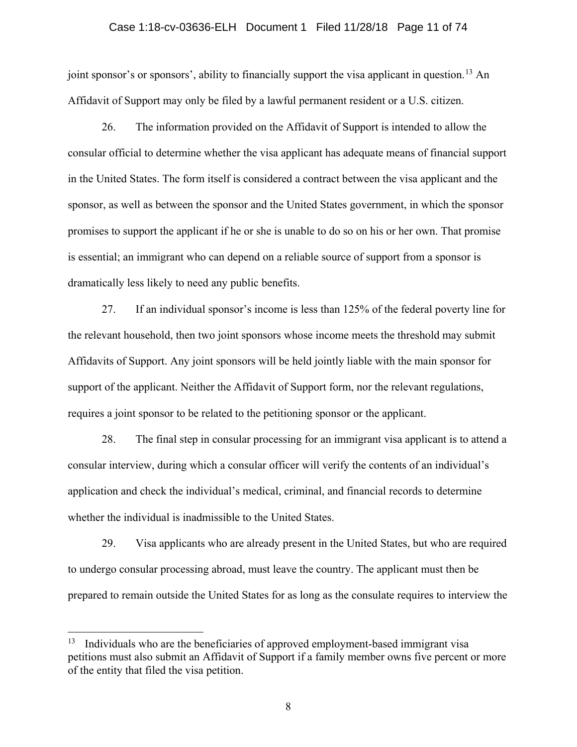## Case 1:18-cv-03636-ELH Document 1 Filed 11/28/18 Page 11 of 74

joint sponsor's or sponsors', ability to financially support the visa applicant in question.<sup>[13](#page-10-0)</sup> An Affidavit of Support may only be filed by a lawful permanent resident or a U.S. citizen.

26. The information provided on the Affidavit of Support is intended to allow the consular official to determine whether the visa applicant has adequate means of financial support in the United States. The form itself is considered a contract between the visa applicant and the sponsor, as well as between the sponsor and the United States government, in which the sponsor promises to support the applicant if he or she is unable to do so on his or her own. That promise is essential; an immigrant who can depend on a reliable source of support from a sponsor is dramatically less likely to need any public benefits.

27. If an individual sponsor's income is less than 125% of the federal poverty line for the relevant household, then two joint sponsors whose income meets the threshold may submit Affidavits of Support. Any joint sponsors will be held jointly liable with the main sponsor for support of the applicant. Neither the Affidavit of Support form, nor the relevant regulations, requires a joint sponsor to be related to the petitioning sponsor or the applicant.

28. The final step in consular processing for an immigrant visa applicant is to attend a consular interview, during which a consular officer will verify the contents of an individual's application and check the individual's medical, criminal, and financial records to determine whether the individual is inadmissible to the United States.

29. Visa applicants who are already present in the United States, but who are required to undergo consular processing abroad, must leave the country. The applicant must then be prepared to remain outside the United States for as long as the consulate requires to interview the

<span id="page-10-0"></span> $13$  Individuals who are the beneficiaries of approved employment-based immigrant visa petitions must also submit an Affidavit of Support if a family member owns five percent or more of the entity that filed the visa petition.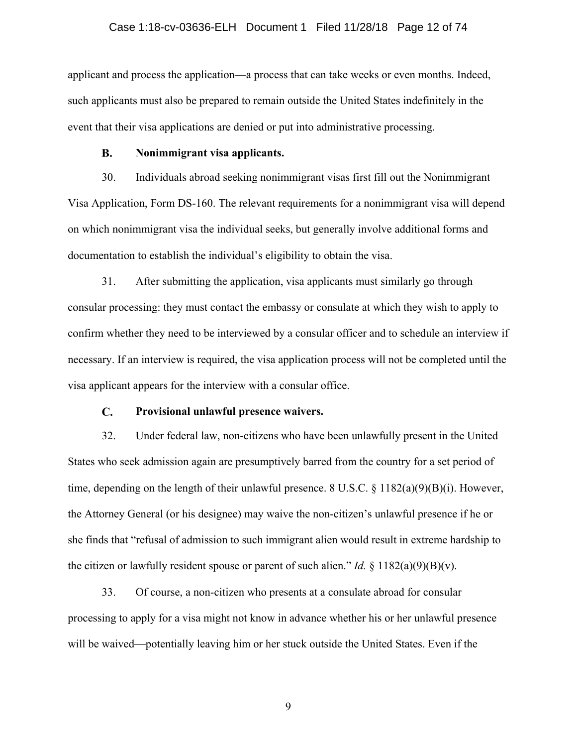## Case 1:18-cv-03636-ELH Document 1 Filed 11/28/18 Page 12 of 74

applicant and process the application—a process that can take weeks or even months. Indeed, such applicants must also be prepared to remain outside the United States indefinitely in the event that their visa applications are denied or put into administrative processing.

#### **B. Nonimmigrant visa applicants.**

<span id="page-11-0"></span>30. Individuals abroad seeking nonimmigrant visas first fill out the Nonimmigrant Visa Application, Form DS-160. The relevant requirements for a nonimmigrant visa will depend on which nonimmigrant visa the individual seeks, but generally involve additional forms and documentation to establish the individual's eligibility to obtain the visa.

31. After submitting the application, visa applicants must similarly go through consular processing: they must contact the embassy or consulate at which they wish to apply to confirm whether they need to be interviewed by a consular officer and to schedule an interview if necessary. If an interview is required, the visa application process will not be completed until the visa applicant appears for the interview with a consular office.

#### $\mathbf{C}$ . **Provisional unlawful presence waivers.**

<span id="page-11-1"></span>32. Under federal law, non-citizens who have been unlawfully present in the United States who seek admission again are presumptively barred from the country for a set period of time, depending on the length of their unlawful presence.  $8 \text{ U.S.C. } \frac{8 \text{ 1182(a)(9)(B)(i)}}{18 \text{ 2(a)(9)(B)(i)}}$ . However, the Attorney General (or his designee) may waive the non-citizen's unlawful presence if he or she finds that "refusal of admission to such immigrant alien would result in extreme hardship to the citizen or lawfully resident spouse or parent of such alien." *Id.*  $\S$  1182(a)(9)(B)(v).

33. Of course, a non-citizen who presents at a consulate abroad for consular processing to apply for a visa might not know in advance whether his or her unlawful presence will be waived—potentially leaving him or her stuck outside the United States. Even if the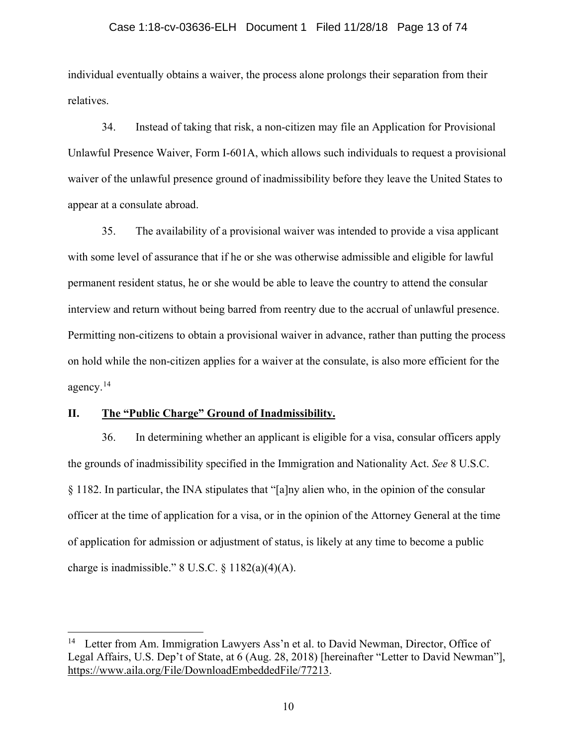## Case 1:18-cv-03636-ELH Document 1 Filed 11/28/18 Page 13 of 74

individual eventually obtains a waiver, the process alone prolongs their separation from their relatives.

34. Instead of taking that risk, a non-citizen may file an Application for Provisional Unlawful Presence Waiver, Form I-601A, which allows such individuals to request a provisional waiver of the unlawful presence ground of inadmissibility before they leave the United States to appear at a consulate abroad.

35. The availability of a provisional waiver was intended to provide a visa applicant with some level of assurance that if he or she was otherwise admissible and eligible for lawful permanent resident status, he or she would be able to leave the country to attend the consular interview and return without being barred from reentry due to the accrual of unlawful presence. Permitting non-citizens to obtain a provisional waiver in advance, rather than putting the process on hold while the non-citizen applies for a waiver at the consulate, is also more efficient for the agency.[14](#page-12-1)

## <span id="page-12-0"></span>**II. The "Public Charge" Ground of Inadmissibility.**

36. In determining whether an applicant is eligible for a visa, consular officers apply the grounds of inadmissibility specified in the Immigration and Nationality Act. *See* 8 U.S.C. § 1182. In particular, the INA stipulates that "[a]ny alien who, in the opinion of the consular officer at the time of application for a visa, or in the opinion of the Attorney General at the time of application for admission or adjustment of status, is likely at any time to become a public charge is inadmissible." 8 U.S.C.  $\S 1182(a)(4)(A)$ .

<span id="page-12-1"></span><sup>&</sup>lt;sup>14</sup> Letter from Am. Immigration Lawyers Ass'n et al. to David Newman, Director, Office of Legal Affairs, U.S. Dep't of State, at 6 (Aug. 28, 2018) [hereinafter "Letter to David Newman"], [https://www.aila.org/File/DownloadEmbeddedFile/77213.](https://www.aila.org/File/DownloadEmbeddedFile/77213)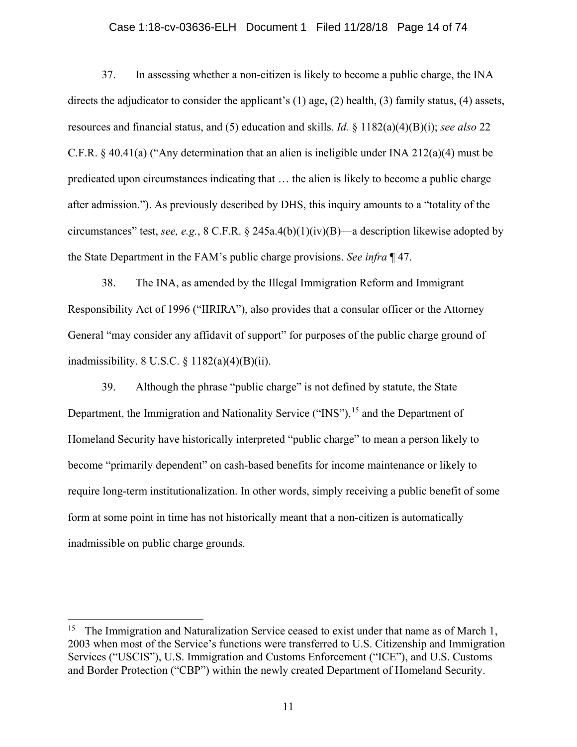## Case 1:18-cv-03636-ELH Document 1 Filed 11/28/18 Page 14 of 74

37. In assessing whether a non-citizen is likely to become a public charge, the INA directs the adjudicator to consider the applicant's (1) age, (2) health, (3) family status, (4) assets, resources and financial status, and (5) education and skills. *Id.* § 1182(a)(4)(B)(i); *see also* 22 C.F.R. § 40.41(a) ("Any determination that an alien is ineligible under INA 212(a)(4) must be predicated upon circumstances indicating that … the alien is likely to become a public charge after admission."). As previously described by DHS, this inquiry amounts to a "totality of the circumstances" test, *see, e.g.*, 8 C.F.R. § 245a.4(b)(1)(iv)(B)—a description likewise adopted by the State Department in the FAM's public charge provisions. *See infra* ¶ 47.

38. The INA, as amended by the Illegal Immigration Reform and Immigrant Responsibility Act of 1996 ("IIRIRA"), also provides that a consular officer or the Attorney General "may consider any affidavit of support" for purposes of the public charge ground of inadmissibility. 8 U.S.C.  $\S$  1182(a)(4)(B)(ii).

39. Although the phrase "public charge" is not defined by statute, the State Department, the Immigration and Nationality Service ("INS"),<sup>[15](#page-13-0)</sup> and the Department of Homeland Security have historically interpreted "public charge" to mean a person likely to become "primarily dependent" on cash-based benefits for income maintenance or likely to require long-term institutionalization. In other words, simply receiving a public benefit of some form at some point in time has not historically meant that a non-citizen is automatically inadmissible on public charge grounds.

<span id="page-13-0"></span><sup>&</sup>lt;sup>15</sup> The Immigration and Naturalization Service ceased to exist under that name as of March 1, 2003 when most of the Service's functions were transferred to U.S. Citizenship and Immigration Services ("USCIS"), U.S. Immigration and Customs Enforcement ("ICE"), and U.S. Customs and Border Protection ("CBP") within the newly created Department of Homeland Security.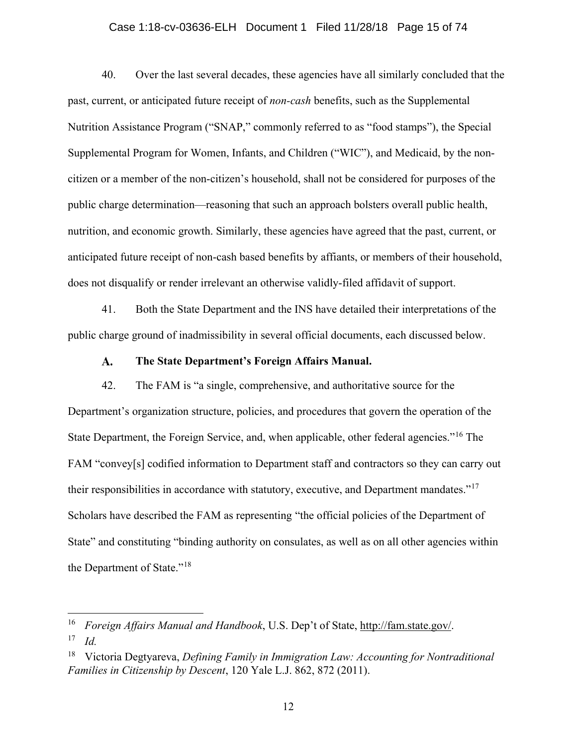# Case 1:18-cv-03636-ELH Document 1 Filed 11/28/18 Page 15 of 74

40. Over the last several decades, these agencies have all similarly concluded that the past, current, or anticipated future receipt of *non-cash* benefits, such as the Supplemental Nutrition Assistance Program ("SNAP," commonly referred to as "food stamps"), the Special Supplemental Program for Women, Infants, and Children ("WIC"), and Medicaid, by the noncitizen or a member of the non-citizen's household, shall not be considered for purposes of the public charge determination—reasoning that such an approach bolsters overall public health, nutrition, and economic growth. Similarly, these agencies have agreed that the past, current, or anticipated future receipt of non-cash based benefits by affiants, or members of their household, does not disqualify or render irrelevant an otherwise validly-filed affidavit of support.

41. Both the State Department and the INS have detailed their interpretations of the public charge ground of inadmissibility in several official documents, each discussed below.

#### $\mathbf{A}$ . **The State Department's Foreign Affairs Manual.**

<span id="page-14-0"></span>42. The FAM is "a single, comprehensive, and authoritative source for the Department's organization structure, policies, and procedures that govern the operation of the State Department, the Foreign Service, and, when applicable, other federal agencies."[16](#page-14-1) The FAM "convey[s] codified information to Department staff and contractors so they can carry out their responsibilities in accordance with statutory, executive, and Department mandates."[17](#page-14-2) Scholars have described the FAM as representing "the official policies of the Department of State" and constituting "binding authority on consulates, as well as on all other agencies within the Department of State."<sup>[18](#page-14-3)</sup>

<span id="page-14-1"></span> <sup>16</sup> *Foreign Affairs Manual and Handbook*, U.S. Dep't of State, http://fam.state.gov/.

<span id="page-14-2"></span><sup>17</sup> *Id.*

<span id="page-14-3"></span><sup>18</sup> Victoria Degtyareva, *Defining Family in Immigration Law: Accounting for Nontraditional Families in Citizenship by Descent*, 120 Yale L.J. 862, 872 (2011).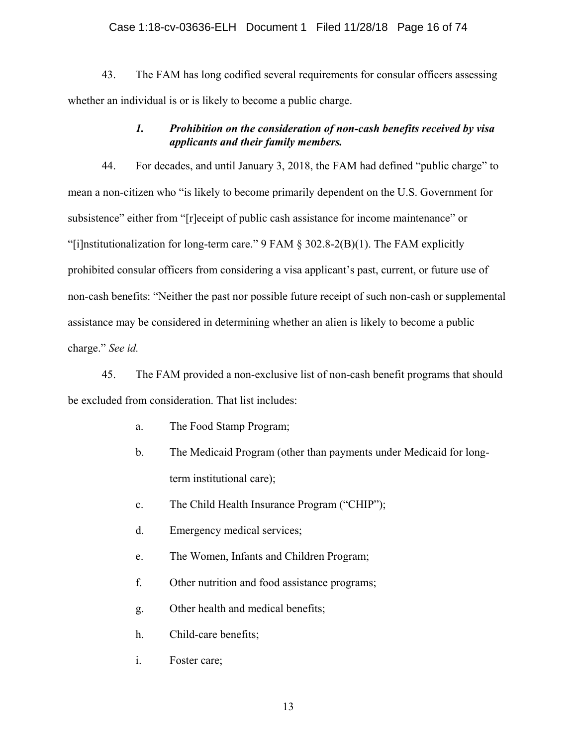## Case 1:18-cv-03636-ELH Document 1 Filed 11/28/18 Page 16 of 74

43. The FAM has long codified several requirements for consular officers assessing whether an individual is or is likely to become a public charge.

# *1. Prohibition on the consideration of non-cash benefits received by visa applicants and their family members.*

<span id="page-15-0"></span>44. For decades, and until January 3, 2018, the FAM had defined "public charge" to mean a non-citizen who "is likely to become primarily dependent on the U.S. Government for subsistence" either from "[r]eceipt of public cash assistance for income maintenance" or "[i]nstitutionalization for long-term care." 9 FAM § 302.8-2(B)(1). The FAM explicitly prohibited consular officers from considering a visa applicant's past, current, or future use of non-cash benefits: "Neither the past nor possible future receipt of such non-cash or supplemental assistance may be considered in determining whether an alien is likely to become a public charge." *See id.*

45. The FAM provided a non-exclusive list of non-cash benefit programs that should be excluded from consideration. That list includes:

- a. The Food Stamp Program;
- b. The Medicaid Program (other than payments under Medicaid for longterm institutional care);
- c. The Child Health Insurance Program ("CHIP");
- d. Emergency medical services;
- e. The Women, Infants and Children Program;
- f. Other nutrition and food assistance programs;
- g. Other health and medical benefits;
- h. Child-care benefits;
- i. Foster care;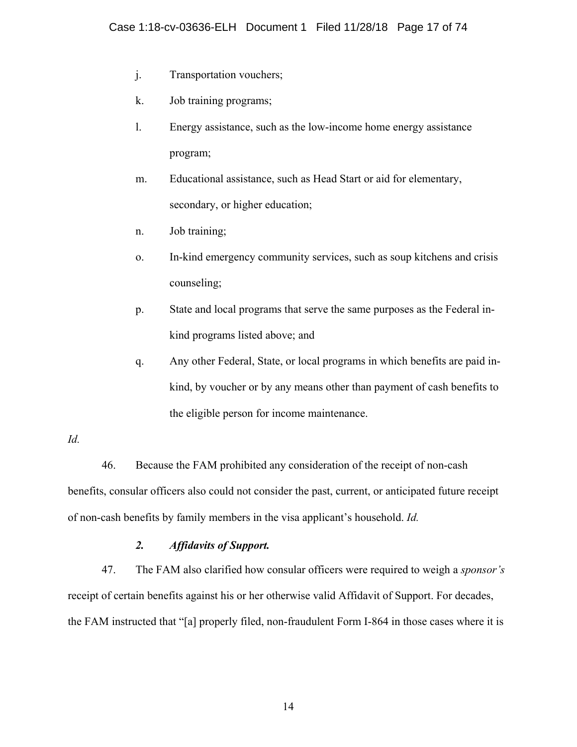- j. Transportation vouchers;
- k. Job training programs;
- l. Energy assistance, such as the low-income home energy assistance program;
- m. Educational assistance, such as Head Start or aid for elementary, secondary, or higher education;
- n. Job training;
- o. In-kind emergency community services, such as soup kitchens and crisis counseling;
- p. State and local programs that serve the same purposes as the Federal inkind programs listed above; and
- q. Any other Federal, State, or local programs in which benefits are paid inkind, by voucher or by any means other than payment of cash benefits to the eligible person for income maintenance.

# *Id.*

46. Because the FAM prohibited any consideration of the receipt of non-cash benefits, consular officers also could not consider the past, current, or anticipated future receipt of non-cash benefits by family members in the visa applicant's household. *Id.*

# *2. Affidavits of Support.*

<span id="page-16-0"></span>47. The FAM also clarified how consular officers were required to weigh a *sponsor's* receipt of certain benefits against his or her otherwise valid Affidavit of Support. For decades, the FAM instructed that "[a] properly filed, non-fraudulent Form I-864 in those cases where it is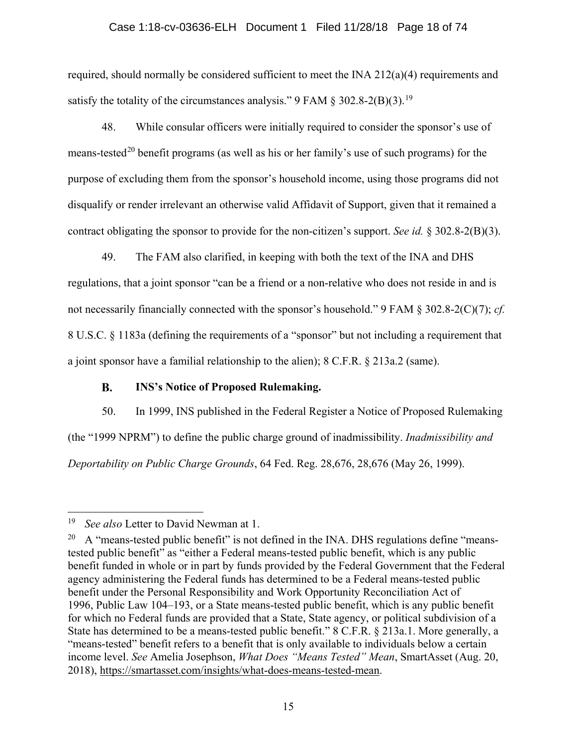# Case 1:18-cv-03636-ELH Document 1 Filed 11/28/18 Page 18 of 74

required, should normally be considered sufficient to meet the INA 212(a)(4) requirements and satisfy the totality of the circumstances analysis." 9 FAM  $\S$  302.8-2(B)(3).<sup>[19](#page-17-1)</sup>

48. While consular officers were initially required to consider the sponsor's use of means-tested<sup>[20](#page-17-2)</sup> benefit programs (as well as his or her family's use of such programs) for the purpose of excluding them from the sponsor's household income, using those programs did not disqualify or render irrelevant an otherwise valid Affidavit of Support, given that it remained a contract obligating the sponsor to provide for the non-citizen's support. *See id.* § 302.8-2(B)(3).

49. The FAM also clarified, in keeping with both the text of the INA and DHS regulations, that a joint sponsor "can be a friend or a non-relative who does not reside in and is not necessarily financially connected with the sponsor's household." 9 FAM § 302.8-2(C)(7); *cf.* 8 U.S.C. § 1183a (defining the requirements of a "sponsor" but not including a requirement that a joint sponsor have a familial relationship to the alien); 8 C.F.R. § 213a.2 (same).

#### **B. INS's Notice of Proposed Rulemaking.**

<span id="page-17-0"></span>50. In 1999, INS published in the Federal Register a Notice of Proposed Rulemaking (the "1999 NPRM") to define the public charge ground of inadmissibility. *Inadmissibility and Deportability on Public Charge Grounds*, 64 Fed. Reg. 28,676, 28,676 (May 26, 1999).

<span id="page-17-1"></span> <sup>19</sup> *See also* Letter to David Newman at 1.

<span id="page-17-2"></span><sup>&</sup>lt;sup>20</sup> A "means-tested public benefit" is not defined in the INA. DHS regulations define "meanstested public benefit" as "either a Federal means-tested public benefit, which is any public benefit funded in whole or in part by funds provided by the Federal Government that the Federal agency administering the Federal funds has determined to be a Federal means-tested public benefit under the Personal Responsibility and Work Opportunity Reconciliation Act of 1996, Public Law 104–193, or a State means-tested public benefit, which is any public benefit for which no Federal funds are provided that a State, State agency, or political subdivision of a State has determined to be a means-tested public benefit." 8 C.F.R. § 213a.1. More generally, a "means-tested" benefit refers to a benefit that is only available to individuals below a certain income level. *See* Amelia Josephson, *What Does "Means Tested" Mean*, SmartAsset (Aug. 20, 2018), [https://smartasset.com/insights/what-does-means-tested-mean.](https://smartasset.com/insights/what-does-means-tested-mean)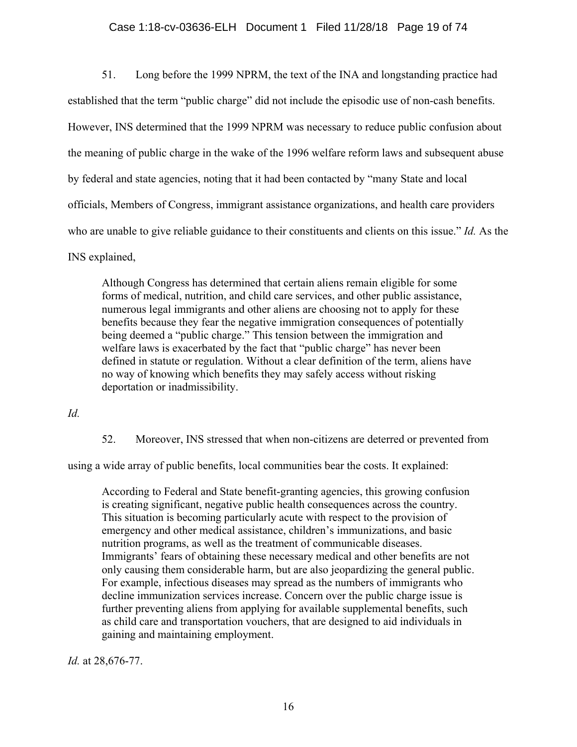# Case 1:18-cv-03636-ELH Document 1 Filed 11/28/18 Page 19 of 74

51. Long before the 1999 NPRM, the text of the INA and longstanding practice had established that the term "public charge" did not include the episodic use of non-cash benefits. However, INS determined that the 1999 NPRM was necessary to reduce public confusion about the meaning of public charge in the wake of the 1996 welfare reform laws and subsequent abuse by federal and state agencies, noting that it had been contacted by "many State and local officials, Members of Congress, immigrant assistance organizations, and health care providers who are unable to give reliable guidance to their constituents and clients on this issue." *Id.* As the INS explained,

Although Congress has determined that certain aliens remain eligible for some forms of medical, nutrition, and child care services, and other public assistance, numerous legal immigrants and other aliens are choosing not to apply for these benefits because they fear the negative immigration consequences of potentially being deemed a "public charge." This tension between the immigration and welfare laws is exacerbated by the fact that "public charge" has never been defined in statute or regulation. Without a clear definition of the term, aliens have no way of knowing which benefits they may safely access without risking deportation or inadmissibility.

*Id.*

52. Moreover, INS stressed that when non-citizens are deterred or prevented from

using a wide array of public benefits, local communities bear the costs. It explained:

According to Federal and State benefit-granting agencies, this growing confusion is creating significant, negative public health consequences across the country. This situation is becoming particularly acute with respect to the provision of emergency and other medical assistance, children's immunizations, and basic nutrition programs, as well as the treatment of communicable diseases. Immigrants' fears of obtaining these necessary medical and other benefits are not only causing them considerable harm, but are also jeopardizing the general public. For example, infectious diseases may spread as the numbers of immigrants who decline immunization services increase. Concern over the public charge issue is further preventing aliens from applying for available supplemental benefits, such as child care and transportation vouchers, that are designed to aid individuals in gaining and maintaining employment.

*Id.* at 28,676-77.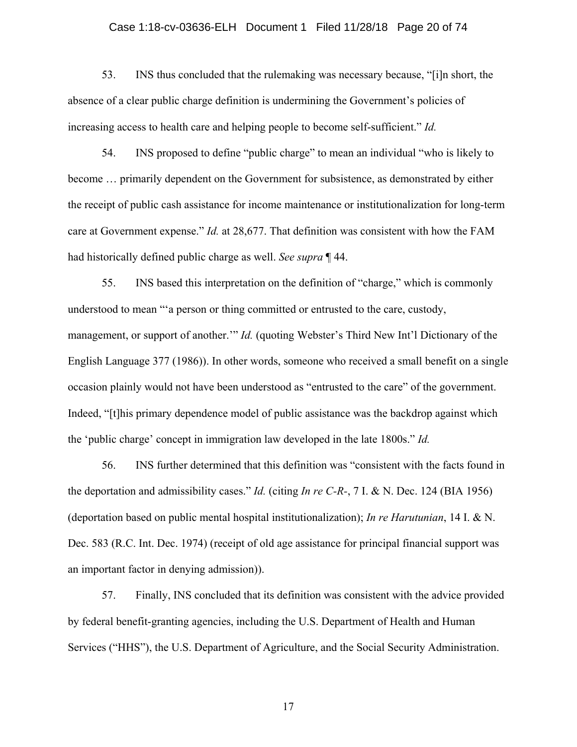# Case 1:18-cv-03636-ELH Document 1 Filed 11/28/18 Page 20 of 74

53. INS thus concluded that the rulemaking was necessary because, "[i]n short, the absence of a clear public charge definition is undermining the Government's policies of increasing access to health care and helping people to become self-sufficient." *Id.*

54. INS proposed to define "public charge" to mean an individual "who is likely to become … primarily dependent on the Government for subsistence, as demonstrated by either the receipt of public cash assistance for income maintenance or institutionalization for long-term care at Government expense." *Id.* at 28,677. That definition was consistent with how the FAM had historically defined public charge as well. *See supra* ¶ 44.

55. INS based this interpretation on the definition of "charge," which is commonly understood to mean "'a person or thing committed or entrusted to the care, custody, management, or support of another.'" *Id.* (quoting Webster's Third New Int'l Dictionary of the English Language 377 (1986)). In other words, someone who received a small benefit on a single occasion plainly would not have been understood as "entrusted to the care" of the government. Indeed, "[t]his primary dependence model of public assistance was the backdrop against which the 'public charge' concept in immigration law developed in the late 1800s." *Id.*

56. INS further determined that this definition was "consistent with the facts found in the deportation and admissibility cases." *Id.* (citing *In re C-R-*, 7 I. & N. Dec. 124 (BIA 1956) (deportation based on public mental hospital institutionalization); *In re Harutunian*, 14 I. & N. Dec. 583 (R.C. Int. Dec. 1974) (receipt of old age assistance for principal financial support was an important factor in denying admission)).

57. Finally, INS concluded that its definition was consistent with the advice provided by federal benefit-granting agencies, including the U.S. Department of Health and Human Services ("HHS"), the U.S. Department of Agriculture, and the Social Security Administration.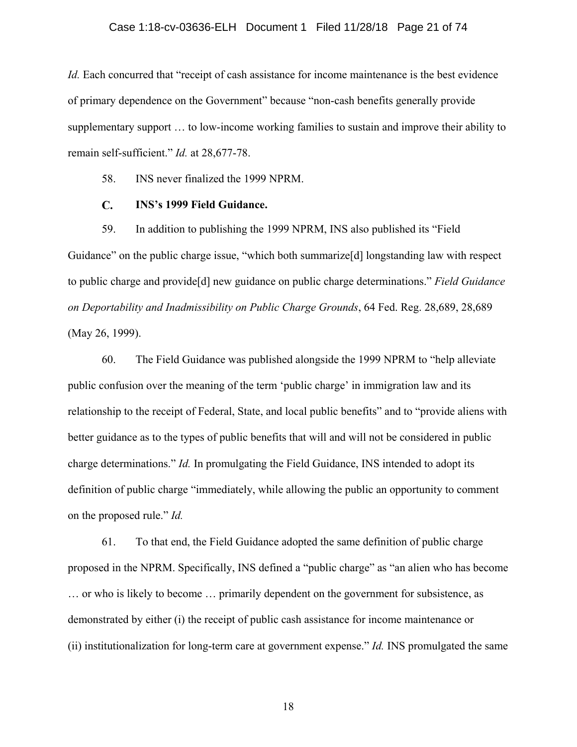### Case 1:18-cv-03636-ELH Document 1 Filed 11/28/18 Page 21 of 74

*Id.* Each concurred that "receipt of cash assistance for income maintenance is the best evidence of primary dependence on the Government" because "non-cash benefits generally provide supplementary support … to low-income working families to sustain and improve their ability to remain self-sufficient." *Id.* at 28,677-78.

58. INS never finalized the 1999 NPRM.

#### $\mathbf{C}$ . **INS's 1999 Field Guidance.**

<span id="page-20-0"></span>59. In addition to publishing the 1999 NPRM, INS also published its "Field Guidance" on the public charge issue, "which both summarize<sup>[d]</sup> longstanding law with respect to public charge and provide[d] new guidance on public charge determinations." *Field Guidance on Deportability and Inadmissibility on Public Charge Grounds*, 64 Fed. Reg. 28,689, 28,689 (May 26, 1999).

60. The Field Guidance was published alongside the 1999 NPRM to "help alleviate public confusion over the meaning of the term 'public charge' in immigration law and its relationship to the receipt of Federal, State, and local public benefits" and to "provide aliens with better guidance as to the types of public benefits that will and will not be considered in public charge determinations." *Id.* In promulgating the Field Guidance, INS intended to adopt its definition of public charge "immediately, while allowing the public an opportunity to comment on the proposed rule." *Id.*

61. To that end, the Field Guidance adopted the same definition of public charge proposed in the NPRM. Specifically, INS defined a "public charge" as "an alien who has become … or who is likely to become … primarily dependent on the government for subsistence, as demonstrated by either (i) the receipt of public cash assistance for income maintenance or (ii) institutionalization for long-term care at government expense." *Id.* INS promulgated the same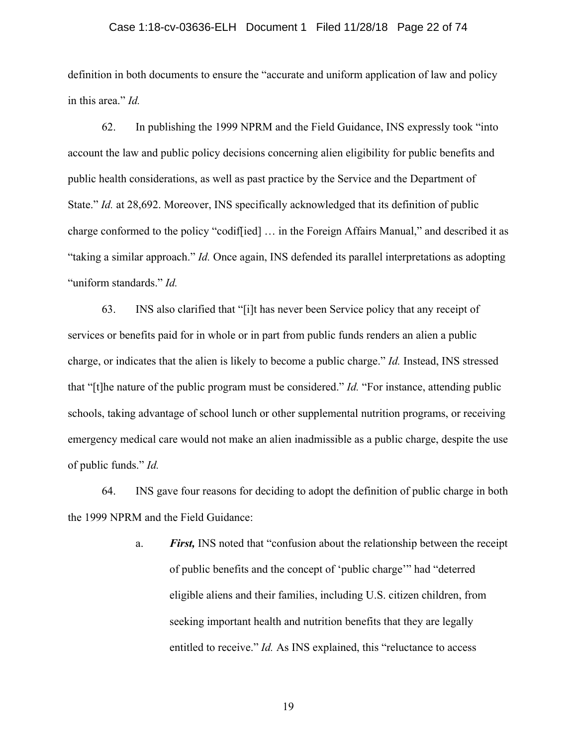## Case 1:18-cv-03636-ELH Document 1 Filed 11/28/18 Page 22 of 74

definition in both documents to ensure the "accurate and uniform application of law and policy in this area." *Id.*

62. In publishing the 1999 NPRM and the Field Guidance, INS expressly took "into account the law and public policy decisions concerning alien eligibility for public benefits and public health considerations, as well as past practice by the Service and the Department of State." *Id.* at 28,692. Moreover, INS specifically acknowledged that its definition of public charge conformed to the policy "codif[ied] … in the Foreign Affairs Manual," and described it as "taking a similar approach." *Id.* Once again, INS defended its parallel interpretations as adopting "uniform standards." *Id.*

63. INS also clarified that "[i]t has never been Service policy that any receipt of services or benefits paid for in whole or in part from public funds renders an alien a public charge, or indicates that the alien is likely to become a public charge." *Id.* Instead, INS stressed that "[t]he nature of the public program must be considered." *Id.* "For instance, attending public schools, taking advantage of school lunch or other supplemental nutrition programs, or receiving emergency medical care would not make an alien inadmissible as a public charge, despite the use of public funds." *Id.* 

64. INS gave four reasons for deciding to adopt the definition of public charge in both the 1999 NPRM and the Field Guidance:

> a. *First,* INS noted that "confusion about the relationship between the receipt of public benefits and the concept of 'public charge'" had "deterred eligible aliens and their families, including U.S. citizen children, from seeking important health and nutrition benefits that they are legally entitled to receive." *Id.* As INS explained, this "reluctance to access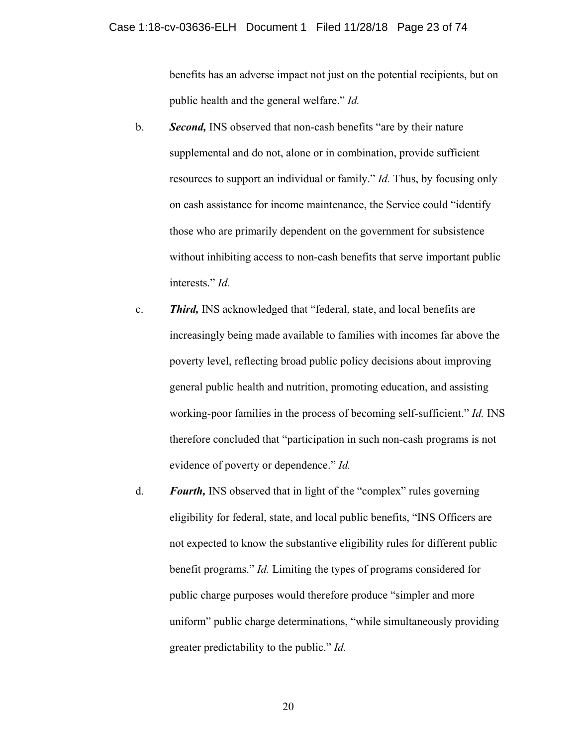benefits has an adverse impact not just on the potential recipients, but on public health and the general welfare." *Id.*

- b. *Second,* INS observed that non-cash benefits "are by their nature supplemental and do not, alone or in combination, provide sufficient resources to support an individual or family." *Id.* Thus, by focusing only on cash assistance for income maintenance, the Service could "identify those who are primarily dependent on the government for subsistence without inhibiting access to non-cash benefits that serve important public interests." *Id.*
- c. *Third,* INS acknowledged that "federal, state, and local benefits are increasingly being made available to families with incomes far above the poverty level, reflecting broad public policy decisions about improving general public health and nutrition, promoting education, and assisting working-poor families in the process of becoming self-sufficient." *Id.* INS therefore concluded that "participation in such non-cash programs is not evidence of poverty or dependence." *Id.*
- d. *Fourth,* INS observed that in light of the "complex" rules governing eligibility for federal, state, and local public benefits, "INS Officers are not expected to know the substantive eligibility rules for different public benefit programs." *Id.* Limiting the types of programs considered for public charge purposes would therefore produce "simpler and more uniform" public charge determinations, "while simultaneously providing greater predictability to the public." *Id.*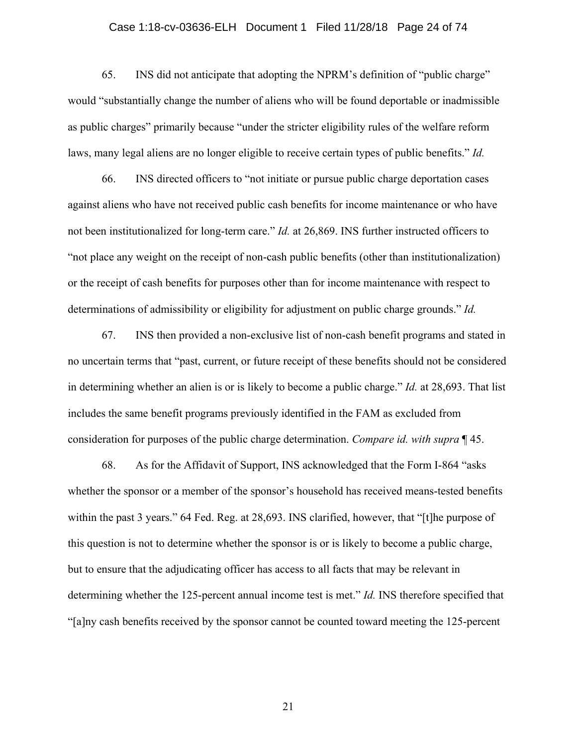# Case 1:18-cv-03636-ELH Document 1 Filed 11/28/18 Page 24 of 74

65. INS did not anticipate that adopting the NPRM's definition of "public charge" would "substantially change the number of aliens who will be found deportable or inadmissible as public charges" primarily because "under the stricter eligibility rules of the welfare reform laws, many legal aliens are no longer eligible to receive certain types of public benefits." *Id.*

66. INS directed officers to "not initiate or pursue public charge deportation cases against aliens who have not received public cash benefits for income maintenance or who have not been institutionalized for long-term care." *Id.* at 26,869. INS further instructed officers to "not place any weight on the receipt of non-cash public benefits (other than institutionalization) or the receipt of cash benefits for purposes other than for income maintenance with respect to determinations of admissibility or eligibility for adjustment on public charge grounds." *Id.*

67. INS then provided a non-exclusive list of non-cash benefit programs and stated in no uncertain terms that "past, current, or future receipt of these benefits should not be considered in determining whether an alien is or is likely to become a public charge." *Id.* at 28,693. That list includes the same benefit programs previously identified in the FAM as excluded from consideration for purposes of the public charge determination. *Compare id. with supra* ¶ 45.

68. As for the Affidavit of Support, INS acknowledged that the Form I-864 "asks whether the sponsor or a member of the sponsor's household has received means-tested benefits within the past 3 years." 64 Fed. Reg. at 28,693. INS clarified, however, that "[t]he purpose of this question is not to determine whether the sponsor is or is likely to become a public charge, but to ensure that the adjudicating officer has access to all facts that may be relevant in determining whether the 125-percent annual income test is met." *Id.* INS therefore specified that "[a]ny cash benefits received by the sponsor cannot be counted toward meeting the 125-percent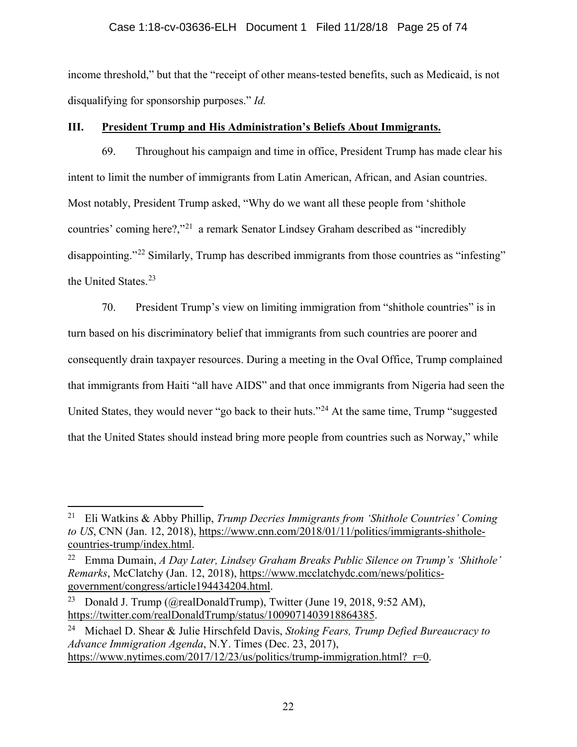# Case 1:18-cv-03636-ELH Document 1 Filed 11/28/18 Page 25 of 74

income threshold," but that the "receipt of other means-tested benefits, such as Medicaid, is not disqualifying for sponsorship purposes." *Id.*

# <span id="page-24-0"></span>**III. President Trump and His Administration's Beliefs About Immigrants.**

69. Throughout his campaign and time in office, President Trump has made clear his intent to limit the number of immigrants from Latin American, African, and Asian countries. Most notably, President Trump asked, "Why do we want all these people from 'shithole countries' coming here?,"[21](#page-24-1) a remark Senator Lindsey Graham described as "incredibly disappointing."<sup>[22](#page-24-2)</sup> Similarly, Trump has described immigrants from those countries as "infesting" the United States.<sup>[23](#page-24-3)</sup>

70. President Trump's view on limiting immigration from "shithole countries" is in turn based on his discriminatory belief that immigrants from such countries are poorer and consequently drain taxpayer resources. During a meeting in the Oval Office, Trump complained that immigrants from Haiti "all have AIDS" and that once immigrants from Nigeria had seen the United States, they would never "go back to their huts."<sup>[24](#page-24-4)</sup> At the same time, Trump "suggested that the United States should instead bring more people from countries such as Norway," while

<span id="page-24-1"></span> <sup>21</sup> Eli Watkins & Abby Phillip, *Trump Decries Immigrants from 'Shithole Countries' Coming to US*, CNN (Jan. 12, 2018), [https://www.cnn.com/2018/01/11/politics/immigrants-shithole](https://www.cnn.com/2018/01/11/politics/immigrants-shithole-countries-trump/index.html)[countries-trump/index.html.](https://www.cnn.com/2018/01/11/politics/immigrants-shithole-countries-trump/index.html)

<span id="page-24-2"></span><sup>22</sup> Emma Dumain, *A Day Later, Lindsey Graham Breaks Public Silence on Trump's 'Shithole' Remarks*, McClatchy (Jan. 12, 2018), [https://www.mcclatchydc.com/news/politics](https://www.mcclatchydc.com/news/politics-government/congress/article194434204.html)[government/congress/article194434204.html.](https://www.mcclatchydc.com/news/politics-government/congress/article194434204.html)

<span id="page-24-3"></span><sup>&</sup>lt;sup>23</sup> Donald J. Trump (@realDonaldTrump), Twitter (June 19, 2018, 9:52 AM), [https://twitter.com/realDonaldTrump/status/1009071403918864385.](https://twitter.com/realDonaldTrump/status/1009071403918864385)

<span id="page-24-4"></span><sup>24</sup> Michael D. Shear & Julie Hirschfeld Davis, *Stoking Fears, Trump Defied Bureaucracy to Advance Immigration Agenda*, N.Y. Times (Dec. 23, 2017), https://www.nytimes.com/2017/12/23/us/politics/trump-immigration.html? r=0.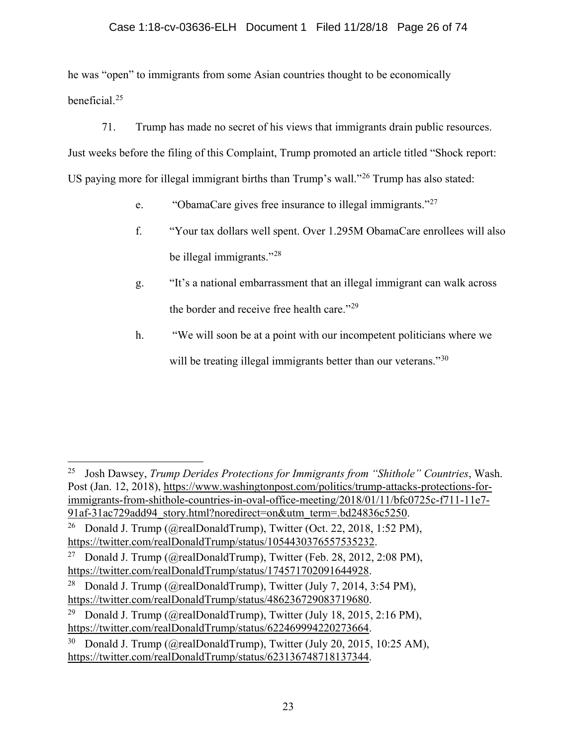# Case 1:18-cv-03636-ELH Document 1 Filed 11/28/18 Page 26 of 74

he was "open" to immigrants from some Asian countries thought to be economically beneficial. [25](#page-25-0)

71. Trump has made no secret of his views that immigrants drain public resources.

Just weeks before the filing of this Complaint, Trump promoted an article titled "Shock report:

US paying more for illegal immigrant births than Trump's wall."<sup>[26](#page-25-1)</sup> Trump has also stated:

- e. "ObamaCare gives free insurance to illegal immigrants."[27](#page-25-2)
- f. "Your tax dollars well spent. Over 1.295M ObamaCare enrollees will also be illegal immigrants."[28](#page-25-3)
- g. "It's a national embarrassment that an illegal immigrant can walk across the border and receive free health care."<sup>[29](#page-25-4)</sup>
- h. "We will soon be at a point with our incompetent politicians where we will be treating illegal immigrants better than our veterans."<sup>[30](#page-25-5)</sup>

<span id="page-25-0"></span> <sup>25</sup> Josh Dawsey, *Trump Derides Protections for Immigrants from "Shithole" Countries*, Wash. Post (Jan. 12, 2018), [https://www.washingtonpost.com/politics/trump-attacks-protections-for](https://www.washingtonpost.com/politics/trump-attacks-protections-for-immigrants-from-shithole-countries-in-oval-office-meeting/2018/01/11/bfc0725c-f711-11e7-91af-31ac729add94_story.html?noredirect=on&utm_term=.bd24836c5250)[immigrants-from-shithole-countries-in-oval-office-meeting/2018/01/11/bfc0725c-f711-11e7-](https://www.washingtonpost.com/politics/trump-attacks-protections-for-immigrants-from-shithole-countries-in-oval-office-meeting/2018/01/11/bfc0725c-f711-11e7-91af-31ac729add94_story.html?noredirect=on&utm_term=.bd24836c5250) [91af-31ac729add94\\_story.html?noredirect=on&utm\\_term=.bd24836c5250.](https://www.washingtonpost.com/politics/trump-attacks-protections-for-immigrants-from-shithole-countries-in-oval-office-meeting/2018/01/11/bfc0725c-f711-11e7-91af-31ac729add94_story.html?noredirect=on&utm_term=.bd24836c5250)

<span id="page-25-1"></span><sup>&</sup>lt;sup>26</sup> Donald J. Trump (@realDonaldTrump), Twitter (Oct. 22, 2018, 1:52 PM), [https://twitter.com/realDonaldTrump/status/1054430376557535232.](https://twitter.com/realDonaldTrump/status/1054430376557535232)

<span id="page-25-2"></span><sup>&</sup>lt;sup>27</sup> Donald J. Trump (@realDonaldTrump), Twitter (Feb. 28, 2012, 2:08 PM), [https://twitter.com/realDonaldTrump/status/174571702091644928.](https://twitter.com/realDonaldTrump/status/174571702091644928)

<span id="page-25-3"></span><sup>&</sup>lt;sup>28</sup> Donald J. Trump (@realDonaldTrump), Twitter (July 7, 2014, 3:54 PM), [https://twitter.com/realDonaldTrump/status/486236729083719680.](https://twitter.com/realDonaldTrump/status/486236729083719680)

<span id="page-25-4"></span><sup>&</sup>lt;sup>29</sup> Donald J. Trump (@realDonaldTrump), Twitter (July 18, 2015, 2:16 PM), [https://twitter.com/realDonaldTrump/status/622469994220273664.](https://twitter.com/realDonaldTrump/status/622469994220273664)

<span id="page-25-5"></span>Donald J. Trump (@realDonaldTrump), Twitter (July 20, 2015, 10:25 AM), https://twitter.com/realDonaldTrump/status/623136748718137344.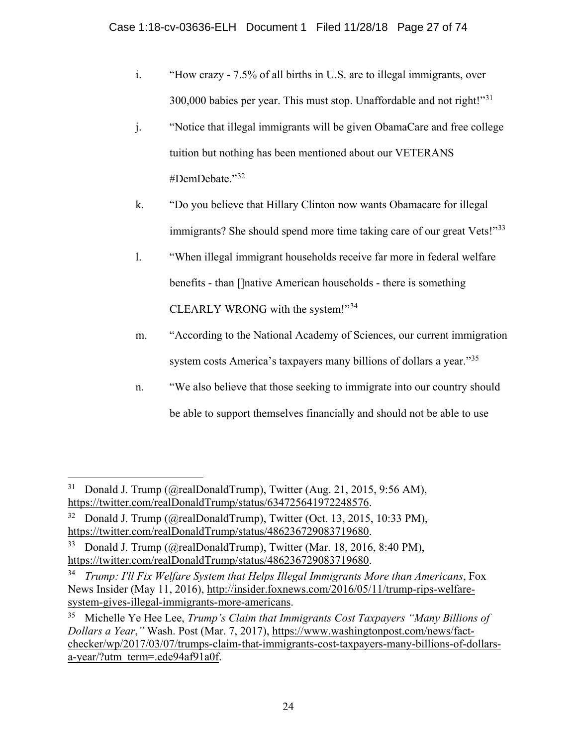- i. "How crazy 7.5% of all births in U.S. are to illegal immigrants, over 300,000 babies per year. This must stop. Unaffordable and not right!"[31](#page-26-0)
- j. "Notice that illegal immigrants will be given ObamaCare and free college tuition but nothing has been mentioned about our VETERANS #DemDebate."[32](#page-26-1)
- k. "Do you believe that Hillary Clinton now wants Obamacare for illegal immigrants? She should spend more time taking care of our great Vets!"<sup>[33](#page-26-2)</sup>
- l. "When illegal immigrant households receive far more in federal welfare benefits - than []native American households - there is something CLEARLY WRONG with the system!"[34](#page-26-3)
- m. "According to the National Academy of Sciences, our current immigration system costs America's taxpayers many billions of dollars a year."<sup>[35](#page-26-4)</sup>
- n. "We also believe that those seeking to immigrate into our country should be able to support themselves financially and should not be able to use

<span id="page-26-0"></span><sup>&</sup>lt;sup>31</sup> Donald J. Trump (@realDonaldTrump), Twitter (Aug. 21, 2015, 9:56 AM), https://twitter.com/realDonaldTrump/status/634725641972248576.

<span id="page-26-1"></span><sup>&</sup>lt;sup>32</sup> Donald J. Trump (@realDonaldTrump), Twitter (Oct. 13, 2015, 10:33 PM), [https://twitter.com/realDonaldTrump/status/486236729083719680.](https://twitter.com/realDonaldTrump/status/486236729083719680)

<span id="page-26-2"></span><sup>33</sup> Donald J. Trump (@realDonaldTrump), Twitter (Mar. 18, 2016, 8:40 PM), [https://twitter.com/realDonaldTrump/status/486236729083719680.](https://twitter.com/realDonaldTrump/status/486236729083719680)

<span id="page-26-3"></span><sup>34</sup> *Trump: I'll Fix Welfare System that Helps Illegal Immigrants More than Americans*, Fox News Insider (May 11, 2016), [http://insider.foxnews.com/2016/05/11/trump-rips-welfare](http://insider.foxnews.com/2016/05/11/trump-rips-welfare-system-gives-illegal-immigrants-more-americans)[system-gives-illegal-immigrants-more-americans.](http://insider.foxnews.com/2016/05/11/trump-rips-welfare-system-gives-illegal-immigrants-more-americans)

<span id="page-26-4"></span><sup>35</sup> Michelle Ye Hee Lee, *Trump's Claim that Immigrants Cost Taxpayers "Many Billions of Dollars a Year*,*"* Wash. Post (Mar. 7, 2017), [https://www.washingtonpost.com/news/fact](https://www.washingtonpost.com/news/fact-checker/wp/2017/03/07/trumps-claim-that-immigrants-cost-taxpayers-many-billions-of-dollars-a-year/?utm_term=.ede94af91a0f)[checker/wp/2017/03/07/trumps-claim-that-immigrants-cost-taxpayers-many-billions-of-dollars](https://www.washingtonpost.com/news/fact-checker/wp/2017/03/07/trumps-claim-that-immigrants-cost-taxpayers-many-billions-of-dollars-a-year/?utm_term=.ede94af91a0f)[a-year/?utm\\_term=.ede94af91a0f.](https://www.washingtonpost.com/news/fact-checker/wp/2017/03/07/trumps-claim-that-immigrants-cost-taxpayers-many-billions-of-dollars-a-year/?utm_term=.ede94af91a0f)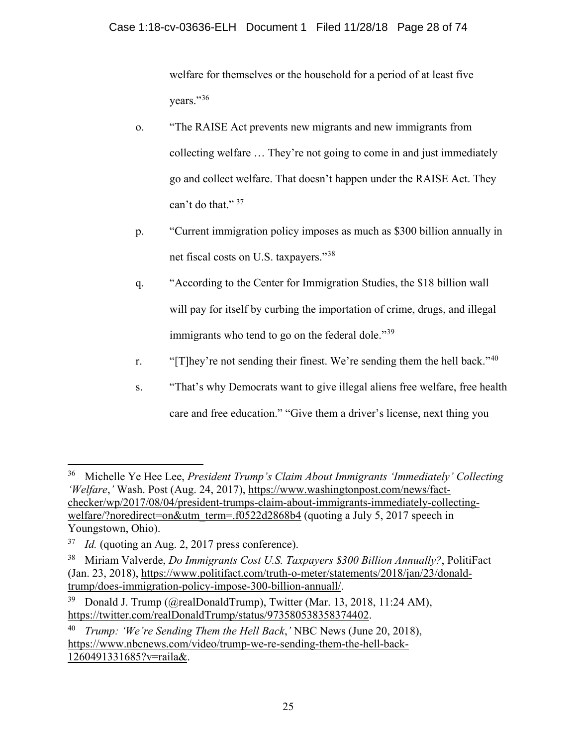welfare for themselves or the household for a period of at least five years."[36](#page-27-0)

- o. "The RAISE Act prevents new migrants and new immigrants from collecting welfare … They're not going to come in and just immediately go and collect welfare. That doesn't happen under the RAISE Act. They can't do that."  $37$
- p. "Current immigration policy imposes as much as \$300 billion annually in net fiscal costs on U.S. taxpayers."[38](#page-27-2)
- q. "According to the Center for Immigration Studies, the \$18 billion wall will pay for itself by curbing the importation of crime, drugs, and illegal immigrants who tend to go on the federal dole."<sup>[39](#page-27-3)</sup>
- r. "[T]hey're not sending their finest. We're sending them the hell back."<sup>[40](#page-27-4)</sup>
- s. "That's why Democrats want to give illegal aliens free welfare, free health care and free education." "Give them a driver's license, next thing you

<span id="page-27-0"></span> <sup>36</sup> Michelle Ye Hee Lee, *President Trump's Claim About Immigrants 'Immediately' Collecting 'Welfare*,*'* Wash. Post (Aug. 24, 2017), [https://www.washingtonpost.com/news/fact](https://www.washingtonpost.com/news/fact-checker/wp/2017/08/04/president-trumps-claim-about-immigrants-immediately-collecting-welfare/?noredirect=on&utm_term=.f0522d2868b4)[checker/wp/2017/08/04/president-trumps-claim-about-immigrants-immediately-collecting](https://www.washingtonpost.com/news/fact-checker/wp/2017/08/04/president-trumps-claim-about-immigrants-immediately-collecting-welfare/?noredirect=on&utm_term=.f0522d2868b4)[welfare/?noredirect=on&utm\\_term=.f0522d2868b4](https://www.washingtonpost.com/news/fact-checker/wp/2017/08/04/president-trumps-claim-about-immigrants-immediately-collecting-welfare/?noredirect=on&utm_term=.f0522d2868b4) (quoting a July 5, 2017 speech in Youngstown, Ohio).

<span id="page-27-1"></span><sup>37</sup> *Id.* (quoting an Aug. 2, 2017 press conference).

<span id="page-27-2"></span><sup>38</sup> Miriam Valverde, *Do Immigrants Cost U.S. Taxpayers \$300 Billion Annually?*, PolitiFact (Jan. 23, 2018), [https://www.politifact.com/truth-o-meter/statements/2018/jan/23/donald](https://www.politifact.com/truth-o-meter/statements/2018/jan/23/donald-trump/does-immigration-policy-impose-300-billion-annuall/)[trump/does-immigration-policy-impose-300-billion-annuall/.](https://www.politifact.com/truth-o-meter/statements/2018/jan/23/donald-trump/does-immigration-policy-impose-300-billion-annuall/)

<span id="page-27-3"></span><sup>&</sup>lt;sup>39</sup> Donald J. Trump (@realDonaldTrump), Twitter (Mar. 13, 2018, 11:24 AM), [https://twitter.com/realDonaldTrump/status/973580538358374402.](https://twitter.com/realDonaldTrump/status/973580538358374402)

<span id="page-27-4"></span><sup>40</sup> *Trump: 'We're Sending Them the Hell Back*,*'* NBC News (June 20, 2018), [https://www.nbcnews.com/video/trump-we-re-sending-them-the-hell-back-](https://www.nbcnews.com/video/trump-we-re-sending-them-the-hell-back-1260491331685?v=raila&)[1260491331685?v=raila&.](https://www.nbcnews.com/video/trump-we-re-sending-them-the-hell-back-1260491331685?v=raila&)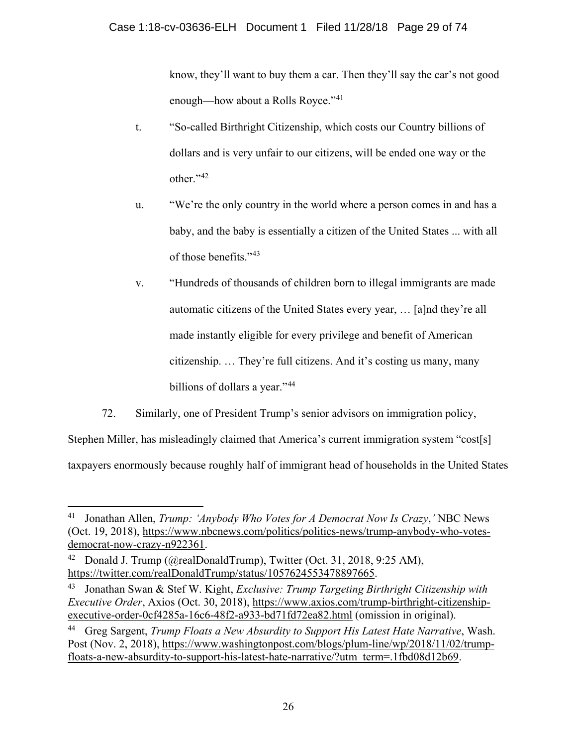know, they'll want to buy them a car. Then they'll say the car's not good enough—how about a Rolls Royce."<sup>[41](#page-28-0)</sup>

- t. "So-called Birthright Citizenship, which costs our Country billions of dollars and is very unfair to our citizens, will be ended one way or the other."[42](#page-28-1)
- u. "We're the only country in the world where a person comes in and has a baby, and the baby is essentially a citizen of the United States ... with all of those benefits."[43](#page-28-2)
- v. "Hundreds of thousands of children born to illegal immigrants are made automatic citizens of the United States every year, … [a]nd they're all made instantly eligible for every privilege and benefit of American citizenship. … They're full citizens. And it's costing us many, many billions of dollars a year."<sup>[44](#page-28-3)</sup>
- 72. Similarly, one of President Trump's senior advisors on immigration policy,

Stephen Miller, has misleadingly claimed that America's current immigration system "cost[s] taxpayers enormously because roughly half of immigrant head of households in the United States

<span id="page-28-0"></span> <sup>41</sup> Jonathan Allen, *Trump: 'Anybody Who Votes for A Democrat Now Is Crazy*,*'* NBC News (Oct. 19, 2018), [https://www.nbcnews.com/politics/politics-news/trump-anybody-who-votes](https://www.nbcnews.com/politics/politics-news/trump-anybody-who-votes-democrat-now-crazy-n922361)[democrat-now-crazy-n922361.](https://www.nbcnews.com/politics/politics-news/trump-anybody-who-votes-democrat-now-crazy-n922361)

<span id="page-28-1"></span><sup>&</sup>lt;sup>42</sup> Donald J. Trump (@realDonaldTrump), Twitter (Oct. 31, 2018, 9:25 AM), https://twitter.com/realDonaldTrump/status/1057624553478897665.

<span id="page-28-2"></span><sup>43</sup> Jonathan Swan & Stef W. Kight, *Exclusive: Trump Targeting Birthright Citizenship with Executive Order*, Axios (Oct. 30, 2018), [https://www.axios.com/trump-birthright-citizenship](https://www.axios.com/trump-birthright-citizenship-executive-order-0cf4285a-16c6-48f2-a933-bd71fd72ea82.html)[executive-order-0cf4285a-16c6-48f2-a933-bd71fd72ea82.html](https://www.axios.com/trump-birthright-citizenship-executive-order-0cf4285a-16c6-48f2-a933-bd71fd72ea82.html) (omission in original).

<span id="page-28-3"></span><sup>44</sup> Greg Sargent, *Trump Floats a New Absurdity to Support His Latest Hate Narrative*, Wash. Post (Nov. 2, 2018), [https://www.washingtonpost.com/blogs/plum-line/wp/2018/11/02/trump](https://www.washingtonpost.com/blogs/plum-line/wp/2018/11/02/trump-floats-a-new-absurdity-to-support-his-latest-hate-narrative/?utm_term=.1fbd08d12b69)[floats-a-new-absurdity-to-support-his-latest-hate-narrative/?utm\\_term=.1fbd08d12b69.](https://www.washingtonpost.com/blogs/plum-line/wp/2018/11/02/trump-floats-a-new-absurdity-to-support-his-latest-hate-narrative/?utm_term=.1fbd08d12b69)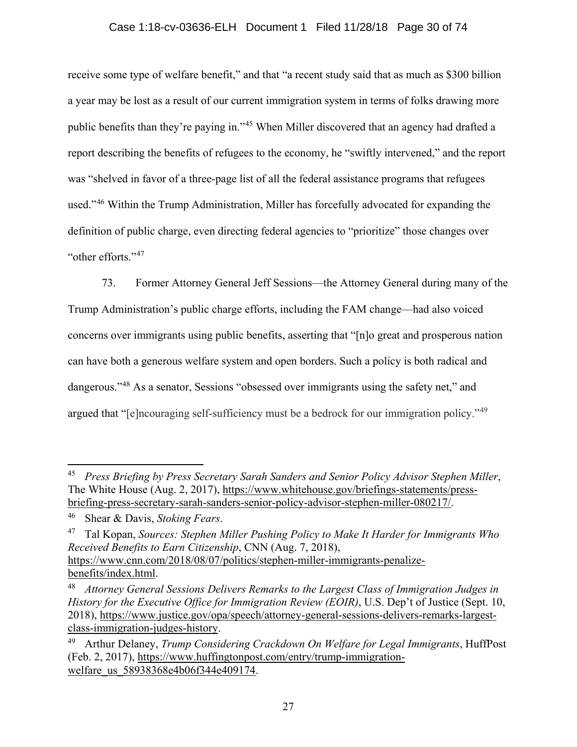# Case 1:18-cv-03636-ELH Document 1 Filed 11/28/18 Page 30 of 74

receive some type of welfare benefit," and that "a recent study said that as much as \$300 billion a year may be lost as a result of our current immigration system in terms of folks drawing more public benefits than they're paying in."<sup>[45](#page-29-0)</sup> When Miller discovered that an agency had drafted a report describing the benefits of refugees to the economy, he "swiftly intervened," and the report was "shelved in favor of a three-page list of all the federal assistance programs that refugees used."[46](#page-29-1) Within the Trump Administration, Miller has forcefully advocated for expanding the definition of public charge, even directing federal agencies to "prioritize" those changes over "other efforts."[47](#page-29-2)

73. Former Attorney General Jeff Sessions—the Attorney General during many of the Trump Administration's public charge efforts, including the FAM change—had also voiced concerns over immigrants using public benefits, asserting that "[n]o great and prosperous nation can have both a generous welfare system and open borders. Such a policy is both radical and dangerous."<sup>[48](#page-29-3)</sup> As a senator, Sessions "obsessed over immigrants using the safety net," and argued that "[e]ncouraging self-sufficiency must be a bedrock for our immigration policy."<sup>[49](#page-29-4)</sup>

<span id="page-29-0"></span> <sup>45</sup> *Press Briefing by Press Secretary Sarah Sanders and Senior Policy Advisor Stephen Miller*, The White House (Aug. 2, 2017), [https://www.whitehouse.gov/briefings-statements/press](https://www.whitehouse.gov/briefings-statements/press-briefing-press-secretary-sarah-sanders-senior-policy-advisor-stephen-miller-080217/)[briefing-press-secretary-sarah-sanders-senior-policy-advisor-stephen-miller-080217/.](https://www.whitehouse.gov/briefings-statements/press-briefing-press-secretary-sarah-sanders-senior-policy-advisor-stephen-miller-080217/)

<span id="page-29-1"></span><sup>46</sup> Shear & Davis, *Stoking Fears*.

<span id="page-29-2"></span><sup>47</sup> Tal Kopan, *Sources: Stephen Miller Pushing Policy to Make It Harder for Immigrants Who Received Benefits to Earn Citizenship*, CNN (Aug. 7, 2018), [https://www.cnn.com/2018/08/07/politics/stephen-miller-immigrants-penalize](https://www.cnn.com/2018/08/07/politics/stephen-miller-immigrants-penalize-benefits/index.html)[benefits/index.html.](https://www.cnn.com/2018/08/07/politics/stephen-miller-immigrants-penalize-benefits/index.html)

<span id="page-29-3"></span><sup>48</sup> *Attorney General Sessions Delivers Remarks to the Largest Class of Immigration Judges in History for the Executive Office for Immigration Review (EOIR)*, U.S. Dep't of Justice (Sept. 10, 2018), [https://www.justice.gov/opa/speech/attorney-general-sessions-delivers-remarks-largest](https://www.justice.gov/opa/speech/attorney-general-sessions-delivers-remarks-largest-class-immigration-judges-history)[class-immigration-judges-history.](https://www.justice.gov/opa/speech/attorney-general-sessions-delivers-remarks-largest-class-immigration-judges-history)

<span id="page-29-4"></span><sup>49</sup> Arthur Delaney, *Trump Considering Crackdown On Welfare for Legal Immigrants*, HuffPost (Feb. 2, 2017), [https://www.huffingtonpost.com/entry/trump-immigration](https://www.huffingtonpost.com/entry/trump-immigration-welfare_us_58938368e4b06f344e409174)welfare us 58938368e4b06f344e409174.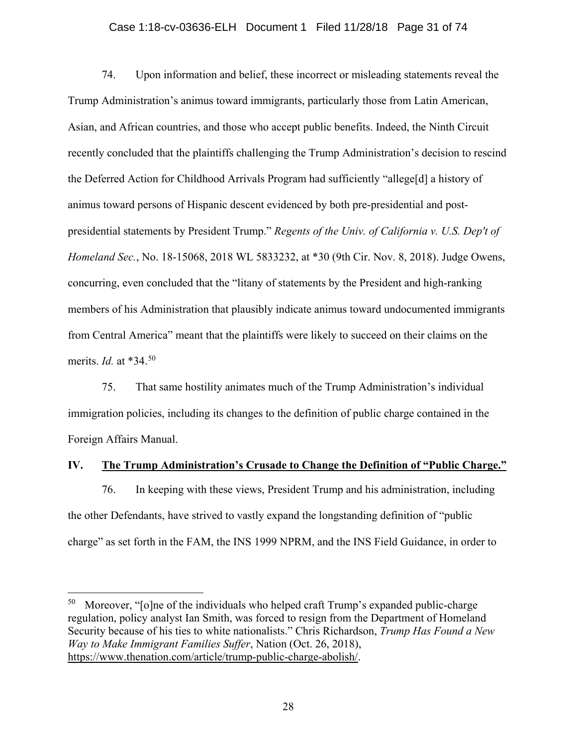# Case 1:18-cv-03636-ELH Document 1 Filed 11/28/18 Page 31 of 74

74. Upon information and belief, these incorrect or misleading statements reveal the Trump Administration's animus toward immigrants, particularly those from Latin American, Asian, and African countries, and those who accept public benefits. Indeed, the Ninth Circuit recently concluded that the plaintiffs challenging the Trump Administration's decision to rescind the Deferred Action for Childhood Arrivals Program had sufficiently "allege[d] a history of animus toward persons of Hispanic descent evidenced by both pre-presidential and postpresidential statements by President Trump." *Regents of the Univ. of California v. U.S. Dep't of Homeland Sec.*, No. 18-15068, 2018 WL 5833232, at \*30 (9th Cir. Nov. 8, 2018). Judge Owens, concurring, even concluded that the "litany of statements by the President and high-ranking members of his Administration that plausibly indicate animus toward undocumented immigrants from Central America" meant that the plaintiffs were likely to succeed on their claims on the merits. *Id.* at \*34.[50](#page-30-1)

75. That same hostility animates much of the Trump Administration's individual immigration policies, including its changes to the definition of public charge contained in the Foreign Affairs Manual.

# <span id="page-30-0"></span>**IV. The Trump Administration's Crusade to Change the Definition of "Public Charge."**

76. In keeping with these views, President Trump and his administration, including the other Defendants, have strived to vastly expand the longstanding definition of "public charge" as set forth in the FAM, the INS 1999 NPRM, and the INS Field Guidance, in order to

<span id="page-30-1"></span> $50$  Moreover, "[o]ne of the individuals who helped craft Trump's expanded public-charge regulation, policy analyst Ian Smith, was forced to resign from the Department of Homeland Security because of his ties to white nationalists." Chris Richardson, *Trump Has Found a New Way to Make Immigrant Families Suffer*, Nation (Oct. 26, 2018), [https://www.thenation.com/article/trump-public-charge-abolish/.](https://www.thenation.com/article/trump-public-charge-abolish/)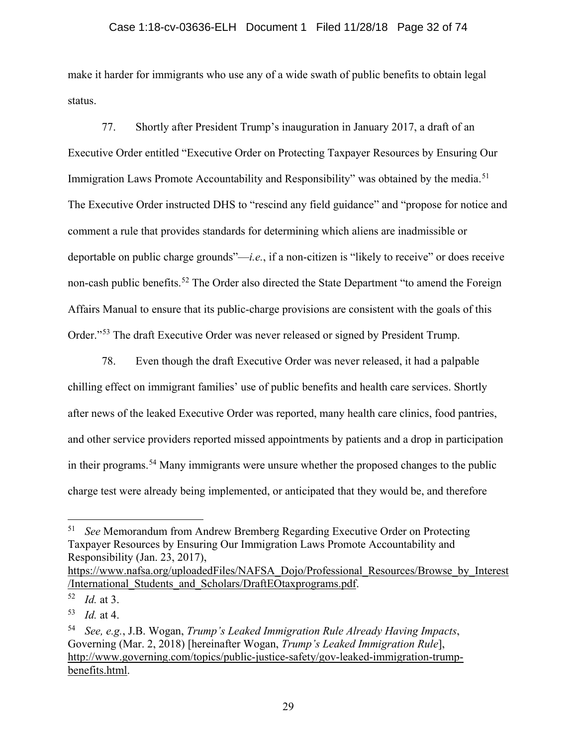## Case 1:18-cv-03636-ELH Document 1 Filed 11/28/18 Page 32 of 74

make it harder for immigrants who use any of a wide swath of public benefits to obtain legal status.

77. Shortly after President Trump's inauguration in January 2017, a draft of an Executive Order entitled "Executive Order on Protecting Taxpayer Resources by Ensuring Our Immigration Laws Promote Accountability and Responsibility" was obtained by the media.<sup>[51](#page-31-0)</sup> The Executive Order instructed DHS to "rescind any field guidance" and "propose for notice and comment a rule that provides standards for determining which aliens are inadmissible or deportable on public charge grounds"—*i.e.*, if a non-citizen is "likely to receive" or does receive non-cash public benefits.<sup>[52](#page-31-1)</sup> The Order also directed the State Department "to amend the Foreign Affairs Manual to ensure that its public-charge provisions are consistent with the goals of this Order."[53](#page-31-2) The draft Executive Order was never released or signed by President Trump.

78. Even though the draft Executive Order was never released, it had a palpable chilling effect on immigrant families' use of public benefits and health care services. Shortly after news of the leaked Executive Order was reported, many health care clinics, food pantries, and other service providers reported missed appointments by patients and a drop in participation in their programs.[54](#page-31-3) Many immigrants were unsure whether the proposed changes to the public charge test were already being implemented, or anticipated that they would be, and therefore

<span id="page-31-0"></span> <sup>51</sup> *See* Memorandum from Andrew Bremberg Regarding Executive Order on Protecting Taxpayer Resources by Ensuring Our Immigration Laws Promote Accountability and Responsibility (Jan. 23, 2017),

[https://www.nafsa.org/uploadedFiles/NAFSA\\_Dojo/Professional\\_Resources/Browse\\_by\\_Interest](https://www.nafsa.org/uploadedFiles/NAFSA_Dojo/Professional_Resources/Browse_by_Interest/International_Students_and_Scholars/DraftEOtaxprograms.pdf) [/International\\_Students\\_and\\_Scholars/DraftEOtaxprograms.pdf.](https://www.nafsa.org/uploadedFiles/NAFSA_Dojo/Professional_Resources/Browse_by_Interest/International_Students_and_Scholars/DraftEOtaxprograms.pdf)

<span id="page-31-1"></span><sup>52</sup> *Id.* at 3.

<span id="page-31-2"></span><sup>53</sup> *Id.* at 4.

<span id="page-31-3"></span><sup>54</sup> *See, e.g.*, J.B. Wogan, *Trump's Leaked Immigration Rule Already Having Impacts*, Governing (Mar. 2, 2018) [hereinafter Wogan, *Trump's Leaked Immigration Rule*], [http://www.governing.com/topics/public-justice-safety/gov-leaked-immigration-trump](http://www.governing.com/topics/public-justice-safety/gov-leaked-immigration-trump-benefits.html)[benefits.html.](http://www.governing.com/topics/public-justice-safety/gov-leaked-immigration-trump-benefits.html)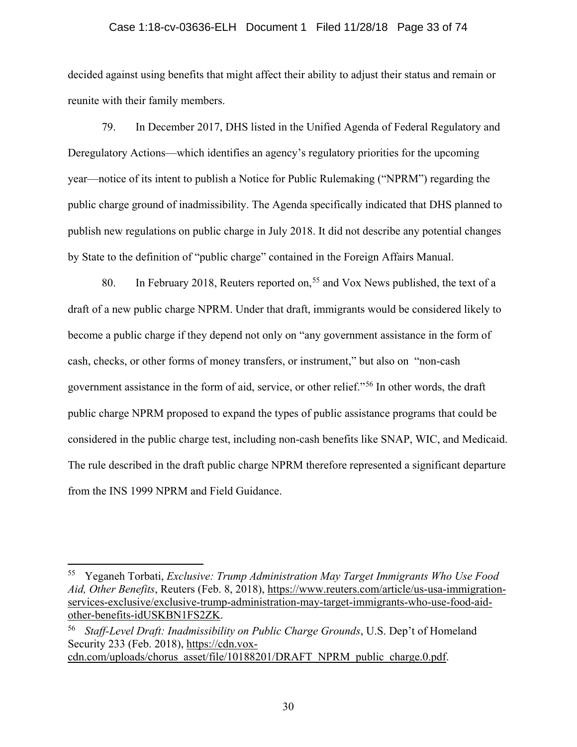## Case 1:18-cv-03636-ELH Document 1 Filed 11/28/18 Page 33 of 74

decided against using benefits that might affect their ability to adjust their status and remain or reunite with their family members.

79. In December 2017, DHS listed in the Unified Agenda of Federal Regulatory and Deregulatory Actions—which identifies an agency's regulatory priorities for the upcoming year—notice of its intent to publish a Notice for Public Rulemaking ("NPRM") regarding the public charge ground of inadmissibility. The Agenda specifically indicated that DHS planned to publish new regulations on public charge in July 2018. It did not describe any potential changes by State to the definition of "public charge" contained in the Foreign Affairs Manual.

80. In February 2018, Reuters reported on,<sup>[55](#page-32-0)</sup> and Vox News published, the text of a draft of a new public charge NPRM. Under that draft, immigrants would be considered likely to become a public charge if they depend not only on "any government assistance in the form of cash, checks, or other forms of money transfers, or instrument," but also on "non-cash government assistance in the form of aid, service, or other relief."[56](#page-32-1) In other words, the draft public charge NPRM proposed to expand the types of public assistance programs that could be considered in the public charge test, including non-cash benefits like SNAP, WIC, and Medicaid. The rule described in the draft public charge NPRM therefore represented a significant departure from the INS 1999 NPRM and Field Guidance.

<span id="page-32-0"></span> <sup>55</sup> Yeganeh Torbati, *Exclusive: Trump Administration May Target Immigrants Who Use Food Aid, Other Benefits*, Reuters (Feb. 8, 2018), [https://www.reuters.com/article/us-usa-immigration](https://www.reuters.com/article/us-usa-immigration-services-exclusive/exclusive-trump-administration-may-target-immigrants-who-use-food-aid-other-benefits-idUSKBN1FS2ZK)[services-exclusive/exclusive-trump-administration-may-target-immigrants-who-use-food-aid](https://www.reuters.com/article/us-usa-immigration-services-exclusive/exclusive-trump-administration-may-target-immigrants-who-use-food-aid-other-benefits-idUSKBN1FS2ZK)[other-benefits-idUSKBN1FS2ZK.](https://www.reuters.com/article/us-usa-immigration-services-exclusive/exclusive-trump-administration-may-target-immigrants-who-use-food-aid-other-benefits-idUSKBN1FS2ZK)

<span id="page-32-1"></span><sup>56</sup> *Staff-Level Draft: Inadmissibility on Public Charge Grounds*, U.S. Dep't of Homeland Security 233 (Feb. 2018), [https://cdn.vox-](https://cdn.vox-cdn.com/uploads/chorus_asset/file/10188201/DRAFT_NPRM_public_charge.0.pdf.)

[cdn.com/uploads/chorus\\_asset/file/10188201/DRAFT\\_NPRM\\_public\\_charge.0.pdf.](https://cdn.vox-cdn.com/uploads/chorus_asset/file/10188201/DRAFT_NPRM_public_charge.0.pdf.)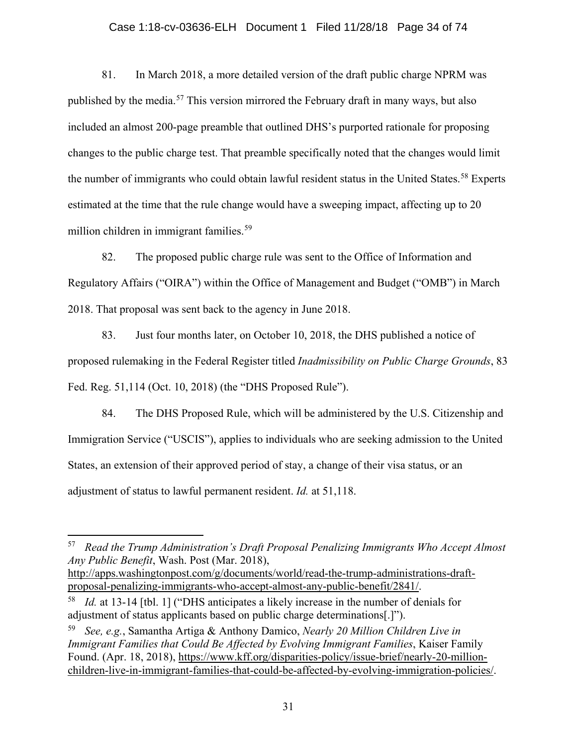## Case 1:18-cv-03636-ELH Document 1 Filed 11/28/18 Page 34 of 74

81. In March 2018, a more detailed version of the draft public charge NPRM was published by the media. [57](#page-33-0) This version mirrored the February draft in many ways, but also included an almost 200-page preamble that outlined DHS's purported rationale for proposing changes to the public charge test. That preamble specifically noted that the changes would limit the number of immigrants who could obtain lawful resident status in the United States.<sup>[58](#page-33-1)</sup> Experts estimated at the time that the rule change would have a sweeping impact, affecting up to 20 million children in immigrant families.<sup>[59](#page-33-2)</sup>

82. The proposed public charge rule was sent to the Office of Information and Regulatory Affairs ("OIRA") within the Office of Management and Budget ("OMB") in March 2018. That proposal was sent back to the agency in June 2018.

83. Just four months later, on October 10, 2018, the DHS published a notice of proposed rulemaking in the Federal Register titled *Inadmissibility on Public Charge Grounds*, 83 Fed. Reg. 51,114 (Oct. 10, 2018) (the "DHS Proposed Rule").

84. The DHS Proposed Rule, which will be administered by the U.S. Citizenship and Immigration Service ("USCIS"), applies to individuals who are seeking admission to the United States, an extension of their approved period of stay, a change of their visa status, or an adjustment of status to lawful permanent resident. *Id.* at 51,118.

<span id="page-33-0"></span> <sup>57</sup> *Read the Trump Administration's Draft Proposal Penalizing Immigrants Who Accept Almost Any Public Benefit*, Wash. Post (Mar. 2018),

[http://apps.washingtonpost.com/g/documents/world/read-the-trump-administrations-draft](http://apps.washingtonpost.com/g/documents/world/read-the-trump-administrations-draft-proposal-penalizing-immigrants-who-accept-almost-any-public-benefit/2841/)[proposal-penalizing-immigrants-who-accept-almost-any-public-benefit/2841/.](http://apps.washingtonpost.com/g/documents/world/read-the-trump-administrations-draft-proposal-penalizing-immigrants-who-accept-almost-any-public-benefit/2841/)

<span id="page-33-1"></span><sup>58</sup> *Id.* at 13-14 [tbl. 1] ("DHS anticipates a likely increase in the number of denials for adjustment of status applicants based on public charge determinations[.]").

<span id="page-33-2"></span><sup>59</sup> *See, e.g.*, Samantha Artiga & Anthony Damico, *Nearly 20 Million Children Live in Immigrant Families that Could Be Affected by Evolving Immigrant Families*, Kaiser Family Found. (Apr. 18, 2018), [https://www.kff.org/disparities-policy/issue-brief/nearly-20-million](https://www.kff.org/disparities-policy/issue-brief/nearly-20-million-children-live-in-immigrant-families-that-could-be-affected-by-evolving-immigration-policies/)[children-live-in-immigrant-families-that-could-be-affected-by-evolving-immigration-policies/.](https://www.kff.org/disparities-policy/issue-brief/nearly-20-million-children-live-in-immigrant-families-that-could-be-affected-by-evolving-immigration-policies/)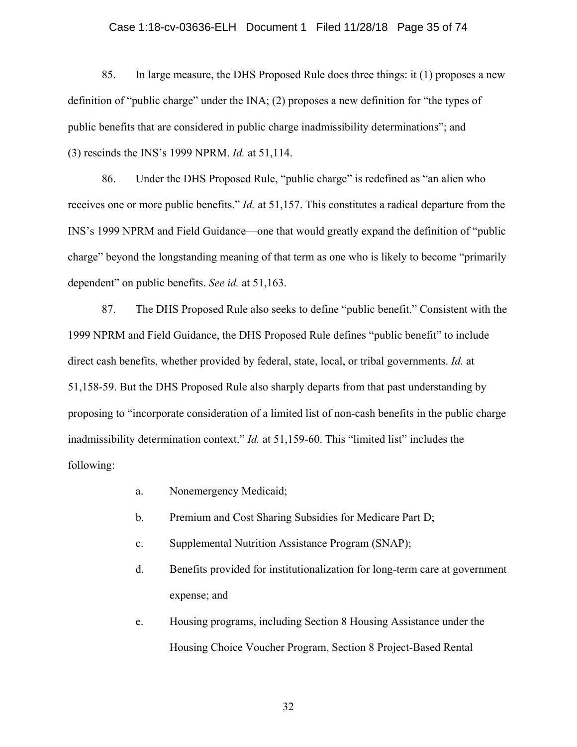## Case 1:18-cv-03636-ELH Document 1 Filed 11/28/18 Page 35 of 74

85. In large measure, the DHS Proposed Rule does three things: it (1) proposes a new definition of "public charge" under the INA; (2) proposes a new definition for "the types of public benefits that are considered in public charge inadmissibility determinations"; and (3) rescinds the INS's 1999 NPRM. *Id.* at 51,114.

86. Under the DHS Proposed Rule, "public charge" is redefined as "an alien who receives one or more public benefits." *Id.* at 51,157. This constitutes a radical departure from the INS's 1999 NPRM and Field Guidance—one that would greatly expand the definition of "public charge" beyond the longstanding meaning of that term as one who is likely to become "primarily dependent" on public benefits. *See id.* at 51,163.

87. The DHS Proposed Rule also seeks to define "public benefit." Consistent with the 1999 NPRM and Field Guidance, the DHS Proposed Rule defines "public benefit" to include direct cash benefits, whether provided by federal, state, local, or tribal governments. *Id.* at 51,158-59. But the DHS Proposed Rule also sharply departs from that past understanding by proposing to "incorporate consideration of a limited list of non-cash benefits in the public charge inadmissibility determination context." *Id.* at 51,159-60. This "limited list" includes the following:

- a. Nonemergency Medicaid;
- b. Premium and Cost Sharing Subsidies for Medicare Part D;
- c. Supplemental Nutrition Assistance Program (SNAP);
- d. Benefits provided for institutionalization for long-term care at government expense; and
- e. Housing programs, including Section 8 Housing Assistance under the Housing Choice Voucher Program, Section 8 Project-Based Rental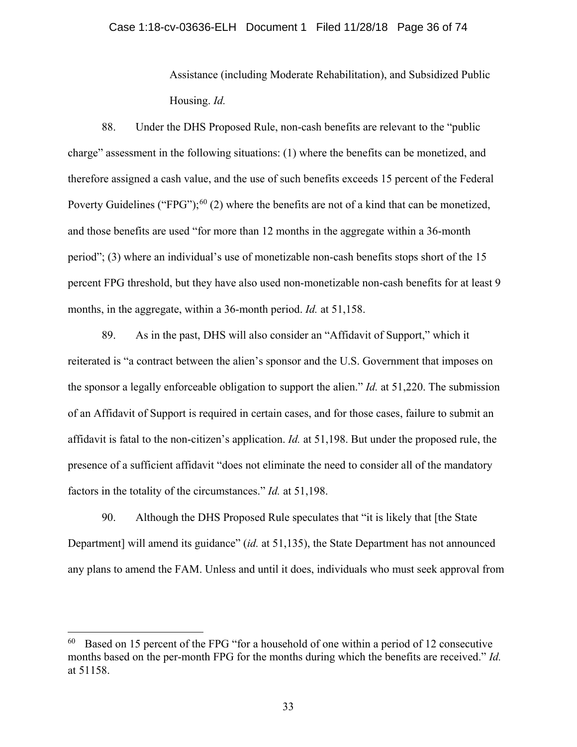## Case 1:18-cv-03636-ELH Document 1 Filed 11/28/18 Page 36 of 74

Assistance (including Moderate Rehabilitation), and Subsidized Public Housing. *Id.*

88. Under the DHS Proposed Rule, non-cash benefits are relevant to the "public charge" assessment in the following situations: (1) where the benefits can be monetized, and therefore assigned a cash value, and the use of such benefits exceeds 15 percent of the Federal Poverty Guidelines ("FPG");<sup>[60](#page-35-0)</sup> (2) where the benefits are not of a kind that can be monetized, and those benefits are used "for more than 12 months in the aggregate within a 36-month period"; (3) where an individual's use of monetizable non-cash benefits stops short of the 15 percent FPG threshold, but they have also used non-monetizable non-cash benefits for at least 9 months, in the aggregate, within a 36-month period. *Id.* at 51,158.

89. As in the past, DHS will also consider an "Affidavit of Support," which it reiterated is "a contract between the alien's sponsor and the U.S. Government that imposes on the sponsor a legally enforceable obligation to support the alien." *Id.* at 51,220. The submission of an Affidavit of Support is required in certain cases, and for those cases, failure to submit an affidavit is fatal to the non-citizen's application. *Id.* at 51,198. But under the proposed rule, the presence of a sufficient affidavit "does not eliminate the need to consider all of the mandatory factors in the totality of the circumstances." *Id.* at 51,198.

90. Although the DHS Proposed Rule speculates that "it is likely that [the State Department] will amend its guidance" (*id.* at 51,135), the State Department has not announced any plans to amend the FAM. Unless and until it does, individuals who must seek approval from

<span id="page-35-0"></span> $60$  Based on 15 percent of the FPG "for a household of one within a period of 12 consecutive months based on the per-month FPG for the months during which the benefits are received." *Id.* at 51158.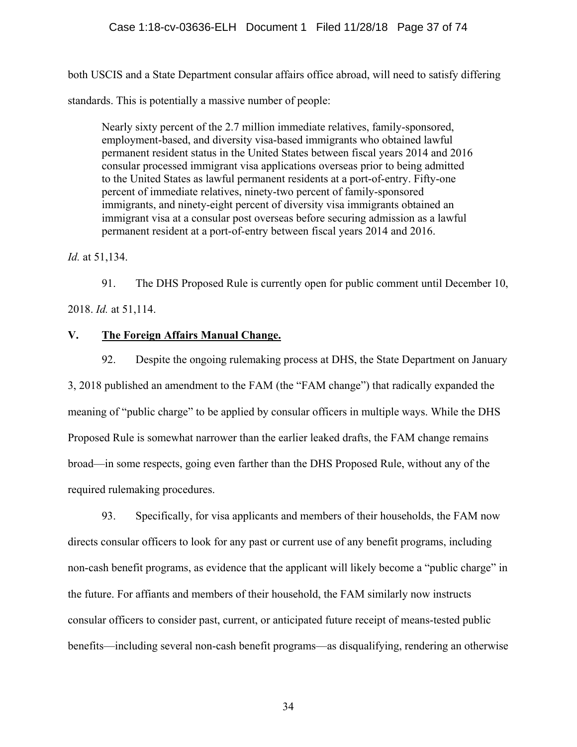both USCIS and a State Department consular affairs office abroad, will need to satisfy differing standards. This is potentially a massive number of people:

Nearly sixty percent of the 2.7 million immediate relatives, family-sponsored, employment-based, and diversity visa-based immigrants who obtained lawful permanent resident status in the United States between fiscal years 2014 and 2016 consular processed immigrant visa applications overseas prior to being admitted to the United States as lawful permanent residents at a port-of-entry. Fifty-one percent of immediate relatives, ninety-two percent of family-sponsored immigrants, and ninety-eight percent of diversity visa immigrants obtained an immigrant visa at a consular post overseas before securing admission as a lawful permanent resident at a port-of-entry between fiscal years 2014 and 2016.

*Id.* at 51,134.

91. The DHS Proposed Rule is currently open for public comment until December 10,

2018. *Id.* at 51,114.

# **V. The Foreign Affairs Manual Change.**

92. Despite the ongoing rulemaking process at DHS, the State Department on January 3, 2018 published an amendment to the FAM (the "FAM change") that radically expanded the meaning of "public charge" to be applied by consular officers in multiple ways. While the DHS Proposed Rule is somewhat narrower than the earlier leaked drafts, the FAM change remains broad—in some respects, going even farther than the DHS Proposed Rule, without any of the required rulemaking procedures.

93. Specifically, for visa applicants and members of their households, the FAM now directs consular officers to look for any past or current use of any benefit programs, including non-cash benefit programs, as evidence that the applicant will likely become a "public charge" in the future. For affiants and members of their household, the FAM similarly now instructs consular officers to consider past, current, or anticipated future receipt of means-tested public benefits—including several non-cash benefit programs—as disqualifying, rendering an otherwise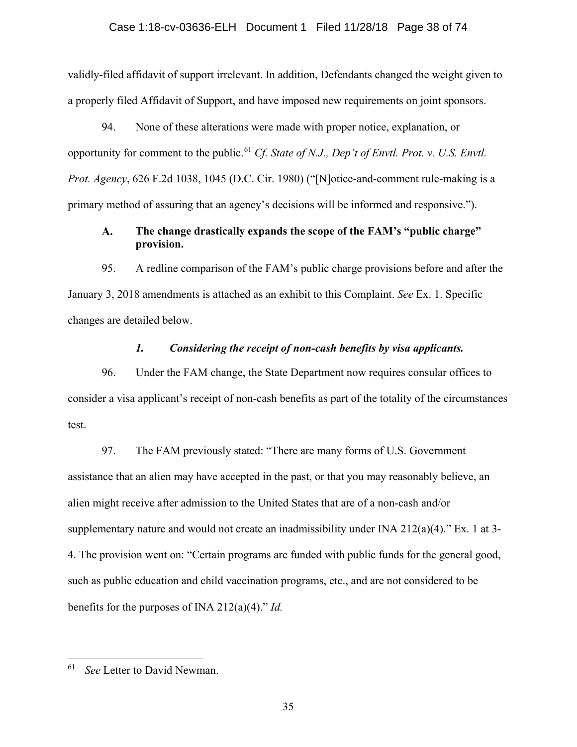#### Case 1:18-cv-03636-ELH Document 1 Filed 11/28/18 Page 38 of 74

validly-filed affidavit of support irrelevant. In addition, Defendants changed the weight given to a properly filed Affidavit of Support, and have imposed new requirements on joint sponsors.

94. None of these alterations were made with proper notice, explanation, or opportunity for comment to the public.<sup>[61](#page-37-0)</sup> *Cf. State of N.J., Dep't of Envtl. Prot. v. U.S. Envtl. Prot. Agency*, 626 F.2d 1038, 1045 (D.C. Cir. 1980) ("[N]otice-and-comment rule-making is a primary method of assuring that an agency's decisions will be informed and responsive.").

#### **The change drastically expands the scope of the FAM's "public charge"**   $\mathbf{A}$ . **provision.**

95. A redline comparison of the FAM's public charge provisions before and after the January 3, 2018 amendments is attached as an exhibit to this Complaint. *See* Ex. 1. Specific changes are detailed below.

### *1. Considering the receipt of non-cash benefits by visa applicants.*

96. Under the FAM change, the State Department now requires consular offices to consider a visa applicant's receipt of non-cash benefits as part of the totality of the circumstances test.

97. The FAM previously stated: "There are many forms of U.S. Government assistance that an alien may have accepted in the past, or that you may reasonably believe, an alien might receive after admission to the United States that are of a non-cash and/or supplementary nature and would not create an inadmissibility under INA 212(a)(4)." Ex. 1 at 3- 4. The provision went on: "Certain programs are funded with public funds for the general good, such as public education and child vaccination programs, etc., and are not considered to be benefits for the purposes of INA 212(a)(4)." *Id.*

<span id="page-37-0"></span> <sup>61</sup> *See* Letter to David Newman.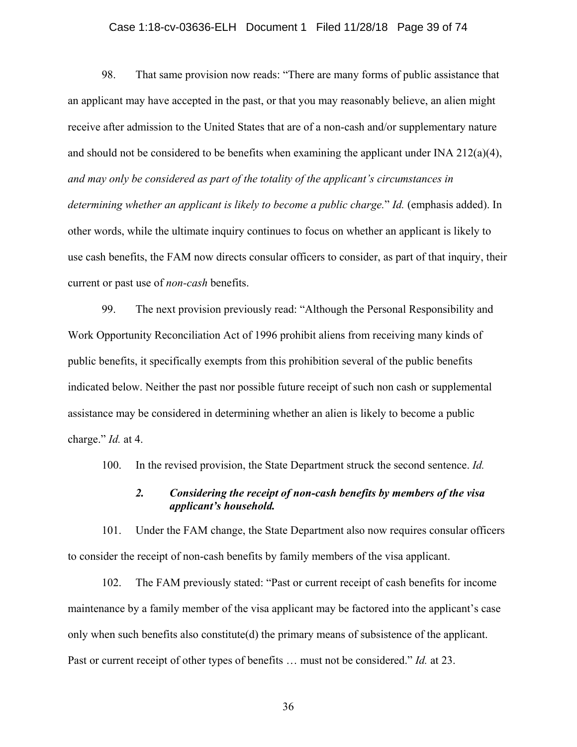### Case 1:18-cv-03636-ELH Document 1 Filed 11/28/18 Page 39 of 74

98. That same provision now reads: "There are many forms of public assistance that an applicant may have accepted in the past, or that you may reasonably believe, an alien might receive after admission to the United States that are of a non-cash and/or supplementary nature and should not be considered to be benefits when examining the applicant under INA 212(a)(4), *and may only be considered as part of the totality of the applicant's circumstances in determining whether an applicant is likely to become a public charge.*" *Id.* (emphasis added). In other words, while the ultimate inquiry continues to focus on whether an applicant is likely to use cash benefits, the FAM now directs consular officers to consider, as part of that inquiry, their current or past use of *non-cash* benefits.

99. The next provision previously read: "Although the Personal Responsibility and Work Opportunity Reconciliation Act of 1996 prohibit aliens from receiving many kinds of public benefits, it specifically exempts from this prohibition several of the public benefits indicated below. Neither the past nor possible future receipt of such non cash or supplemental assistance may be considered in determining whether an alien is likely to become a public charge." *Id.* at 4.

100. In the revised provision, the State Department struck the second sentence. *Id.*

## *2. Considering the receipt of non-cash benefits by members of the visa applicant's household.*

101. Under the FAM change, the State Department also now requires consular officers to consider the receipt of non-cash benefits by family members of the visa applicant.

102. The FAM previously stated: "Past or current receipt of cash benefits for income maintenance by a family member of the visa applicant may be factored into the applicant's case only when such benefits also constitute(d) the primary means of subsistence of the applicant. Past or current receipt of other types of benefits … must not be considered." *Id.* at 23.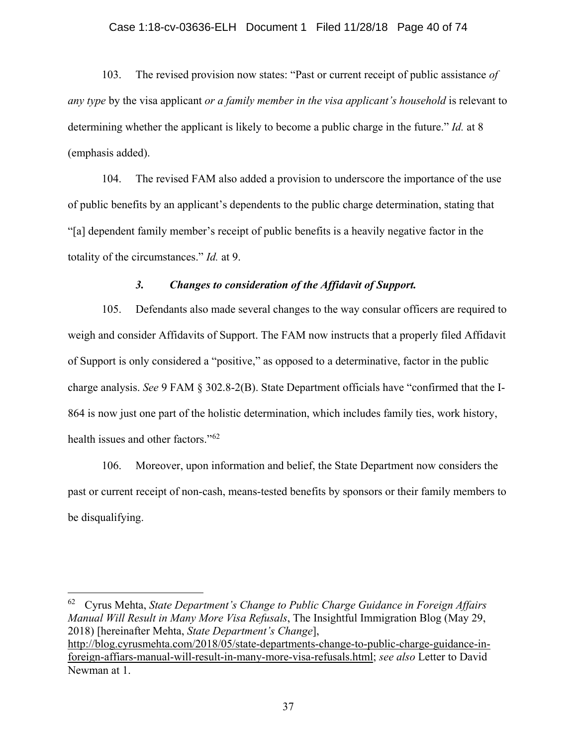#### Case 1:18-cv-03636-ELH Document 1 Filed 11/28/18 Page 40 of 74

103. The revised provision now states: "Past or current receipt of public assistance *of any type* by the visa applicant *or a family member in the visa applicant's household* is relevant to determining whether the applicant is likely to become a public charge in the future." *Id.* at 8 (emphasis added).

104. The revised FAM also added a provision to underscore the importance of the use of public benefits by an applicant's dependents to the public charge determination, stating that "[a] dependent family member's receipt of public benefits is a heavily negative factor in the totality of the circumstances." *Id.* at 9.

#### *3. Changes to consideration of the Affidavit of Support.*

105. Defendants also made several changes to the way consular officers are required to weigh and consider Affidavits of Support. The FAM now instructs that a properly filed Affidavit of Support is only considered a "positive," as opposed to a determinative, factor in the public charge analysis. *See* 9 FAM § 302.8-2(B). State Department officials have "confirmed that the I-864 is now just one part of the holistic determination, which includes family ties, work history, health issues and other factors."[62](#page-39-0)

106. Moreover, upon information and belief, the State Department now considers the past or current receipt of non-cash, means-tested benefits by sponsors or their family members to be disqualifying.

<span id="page-39-0"></span> 62 Cyrus Mehta, *State Department's Change to Public Charge Guidance in Foreign Affairs Manual Will Result in Many More Visa Refusals*, The Insightful Immigration Blog (May 29, 2018) [hereinafter Mehta, *State Department's Change*], [http://blog.cyrusmehta.com/2018/05/state-departments-change-to-public-charge-guidance-in](http://blog.cyrusmehta.com/2018/05/state-departments-change-to-public-charge-guidance-in-foreign-affiars-manual-will-result-in-many-more-visa-refusals.html)[foreign-affiars-manual-will-result-in-many-more-visa-refusals.html;](http://blog.cyrusmehta.com/2018/05/state-departments-change-to-public-charge-guidance-in-foreign-affiars-manual-will-result-in-many-more-visa-refusals.html) *see also* Letter to David Newman at 1.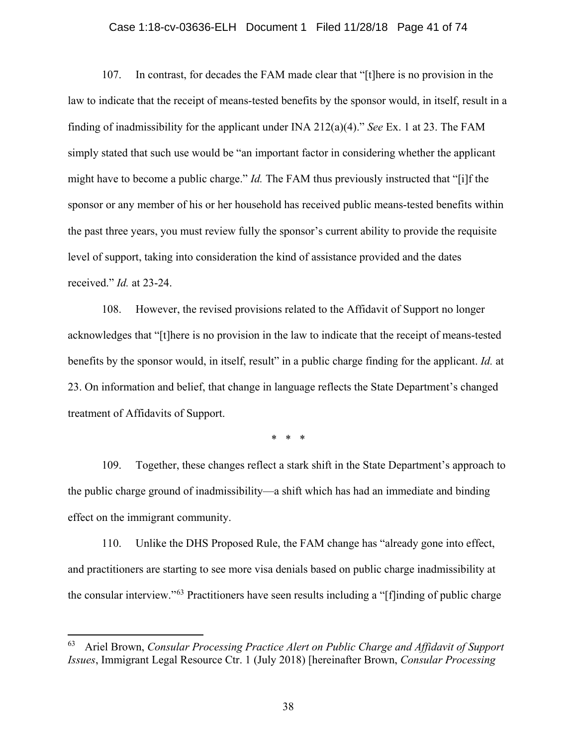### Case 1:18-cv-03636-ELH Document 1 Filed 11/28/18 Page 41 of 74

107. In contrast, for decades the FAM made clear that "[t]here is no provision in the law to indicate that the receipt of means-tested benefits by the sponsor would, in itself, result in a finding of inadmissibility for the applicant under INA 212(a)(4)." *See* Ex. 1 at 23. The FAM simply stated that such use would be "an important factor in considering whether the applicant might have to become a public charge." *Id.* The FAM thus previously instructed that "[i]f the sponsor or any member of his or her household has received public means-tested benefits within the past three years, you must review fully the sponsor's current ability to provide the requisite level of support, taking into consideration the kind of assistance provided and the dates received." *Id.* at 23-24.

108. However, the revised provisions related to the Affidavit of Support no longer acknowledges that "[t]here is no provision in the law to indicate that the receipt of means-tested benefits by the sponsor would, in itself, result" in a public charge finding for the applicant. *Id.* at 23. On information and belief, that change in language reflects the State Department's changed treatment of Affidavits of Support.

\* \* \*

109. Together, these changes reflect a stark shift in the State Department's approach to the public charge ground of inadmissibility—a shift which has had an immediate and binding effect on the immigrant community.

110. Unlike the DHS Proposed Rule, the FAM change has "already gone into effect, and practitioners are starting to see more visa denials based on public charge inadmissibility at the consular interview."[63](#page-40-0) Practitioners have seen results including a "[f]inding of public charge

<span id="page-40-0"></span> <sup>63</sup> Ariel Brown, *Consular Processing Practice Alert on Public Charge and Affidavit of Support Issues*, Immigrant Legal Resource Ctr. 1 (July 2018) [hereinafter Brown, *Consular Processing*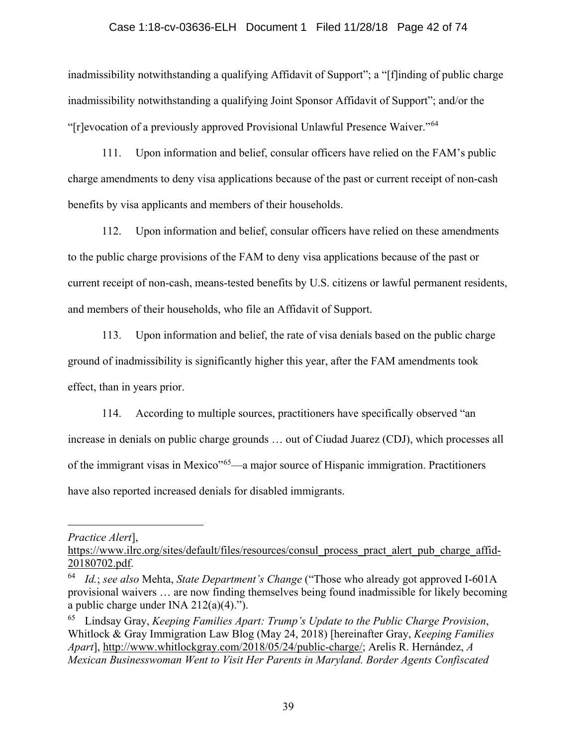#### Case 1:18-cv-03636-ELH Document 1 Filed 11/28/18 Page 42 of 74

inadmissibility notwithstanding a qualifying Affidavit of Support"; a "[f]inding of public charge inadmissibility notwithstanding a qualifying Joint Sponsor Affidavit of Support"; and/or the "[r]evocation of a previously approved Provisional Unlawful Presence Waiver."[64](#page-41-0)

111. Upon information and belief, consular officers have relied on the FAM's public charge amendments to deny visa applications because of the past or current receipt of non-cash benefits by visa applicants and members of their households.

112. Upon information and belief, consular officers have relied on these amendments to the public charge provisions of the FAM to deny visa applications because of the past or current receipt of non-cash, means-tested benefits by U.S. citizens or lawful permanent residents, and members of their households, who file an Affidavit of Support.

113. Upon information and belief, the rate of visa denials based on the public charge ground of inadmissibility is significantly higher this year, after the FAM amendments took effect, than in years prior.

114. According to multiple sources, practitioners have specifically observed "an increase in denials on public charge grounds … out of Ciudad Juarez (CDJ), which processes all of the immigrant visas in Mexico"[65](#page-41-1)—a major source of Hispanic immigration. Practitioners have also reported increased denials for disabled immigrants.

#### *Practice Alert*],

 $\overline{a}$ 

[https://www.ilrc.org/sites/default/files/resources/consul\\_process\\_pract\\_alert\\_pub\\_charge\\_affid-](https://www.ilrc.org/sites/default/files/resources/consul_process_pract_alert_pub_charge_affid-20180702.pdf)[20180702.pdf.](https://www.ilrc.org/sites/default/files/resources/consul_process_pract_alert_pub_charge_affid-20180702.pdf)

<span id="page-41-0"></span><sup>64</sup> *Id.*; *see also* Mehta, *State Department's Change* ("Those who already got approved I-601A provisional waivers … are now finding themselves being found inadmissible for likely becoming a public charge under INA  $212(a)(4)$ .").

<span id="page-41-1"></span><sup>65</sup> Lindsay Gray, *Keeping Families Apart: Trump's Update to the Public Charge Provision*, Whitlock & Gray Immigration Law Blog (May 24, 2018) [hereinafter Gray, *Keeping Families Apart*], [http://www.whitlockgray.com/2018/05/24/public-charge/;](http://www.whitlockgray.com/2018/05/24/public-charge/) Arelis R. Hernández, *A Mexican Businesswoman Went to Visit Her Parents in Maryland. Border Agents Confiscated*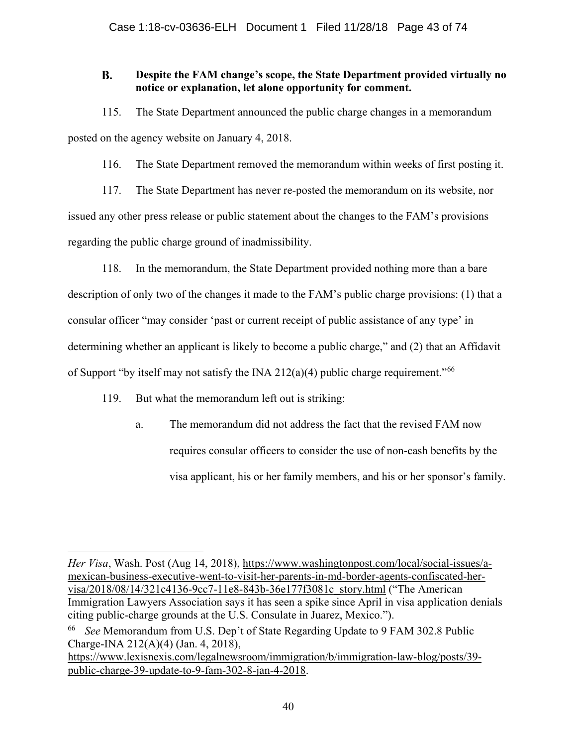#### **B. Despite the FAM change's scope, the State Department provided virtually no notice or explanation, let alone opportunity for comment.**

115. The State Department announced the public charge changes in a memorandum posted on the agency website on January 4, 2018.

116. The State Department removed the memorandum within weeks of first posting it.

117. The State Department has never re-posted the memorandum on its website, nor issued any other press release or public statement about the changes to the FAM's provisions regarding the public charge ground of inadmissibility.

118. In the memorandum, the State Department provided nothing more than a bare description of only two of the changes it made to the FAM's public charge provisions: (1) that a consular officer "may consider 'past or current receipt of public assistance of any type' in determining whether an applicant is likely to become a public charge," and (2) that an Affidavit of Support "by itself may not satisfy the INA 212(a)(4) public charge requirement."<sup>[66](#page-42-0)</sup>

119. But what the memorandum left out is striking:

 $\overline{a}$ 

a. The memorandum did not address the fact that the revised FAM now requires consular officers to consider the use of non-cash benefits by the visa applicant, his or her family members, and his or her sponsor's family.

*Her Visa*, Wash. Post (Aug 14, 2018), [https://www.washingtonpost.com/local/social-issues/a](https://www.washingtonpost.com/local/social-issues/a-mexican-business-executive-went-to-visit-her-parents-in-md-border-agents-confiscated-her-visa/2018/08/14/321c4136-9cc7-11e8-843b-36e177f3081c_story.html?noredirect=on&utm_term=.7b985eac2dfc)[mexican-business-executive-went-to-visit-her-parents-in-md-border-agents-confiscated-her](https://www.washingtonpost.com/local/social-issues/a-mexican-business-executive-went-to-visit-her-parents-in-md-border-agents-confiscated-her-visa/2018/08/14/321c4136-9cc7-11e8-843b-36e177f3081c_story.html?noredirect=on&utm_term=.7b985eac2dfc)[visa/2018/08/14/321c4136-9cc7-11e8-843b-36e177f3081c\\_story.html](https://www.washingtonpost.com/local/social-issues/a-mexican-business-executive-went-to-visit-her-parents-in-md-border-agents-confiscated-her-visa/2018/08/14/321c4136-9cc7-11e8-843b-36e177f3081c_story.html?noredirect=on&utm_term=.7b985eac2dfc) ("The American Immigration Lawyers Association says it has seen a spike since April in visa application denials citing public-charge grounds at the U.S. Consulate in Juarez, Mexico.").

[https://www.lexisnexis.com/legalnewsroom/immigration/b/immigration-law-blog/posts/39](https://www.lexisnexis.com/legalnewsroom/immigration/b/immigration-law-blog/posts/39-public-charge-39-update-to-9-fam-302-8-jan-4-2018) [public-charge-39-update-to-9-fam-302-8-jan-4-2018.](https://www.lexisnexis.com/legalnewsroom/immigration/b/immigration-law-blog/posts/39-public-charge-39-update-to-9-fam-302-8-jan-4-2018)

<span id="page-42-0"></span><sup>66</sup> *See* Memorandum from U.S. Dep't of State Regarding Update to 9 FAM 302.8 Public Charge-INA 212(A)(4) (Jan. 4, 2018),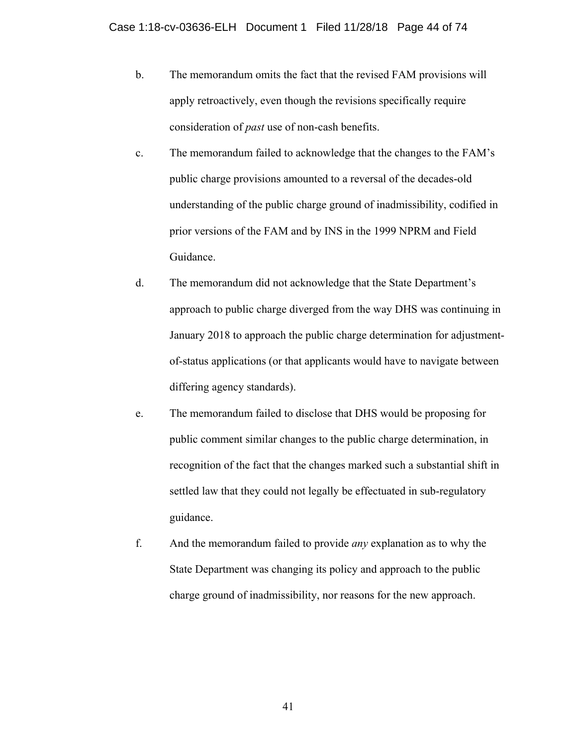- b. The memorandum omits the fact that the revised FAM provisions will apply retroactively, even though the revisions specifically require consideration of *past* use of non-cash benefits.
- c. The memorandum failed to acknowledge that the changes to the FAM's public charge provisions amounted to a reversal of the decades-old understanding of the public charge ground of inadmissibility, codified in prior versions of the FAM and by INS in the 1999 NPRM and Field Guidance.
- d. The memorandum did not acknowledge that the State Department's approach to public charge diverged from the way DHS was continuing in January 2018 to approach the public charge determination for adjustmentof-status applications (or that applicants would have to navigate between differing agency standards).
- e. The memorandum failed to disclose that DHS would be proposing for public comment similar changes to the public charge determination, in recognition of the fact that the changes marked such a substantial shift in settled law that they could not legally be effectuated in sub-regulatory guidance.
- f. And the memorandum failed to provide *any* explanation as to why the State Department was changing its policy and approach to the public charge ground of inadmissibility, nor reasons for the new approach.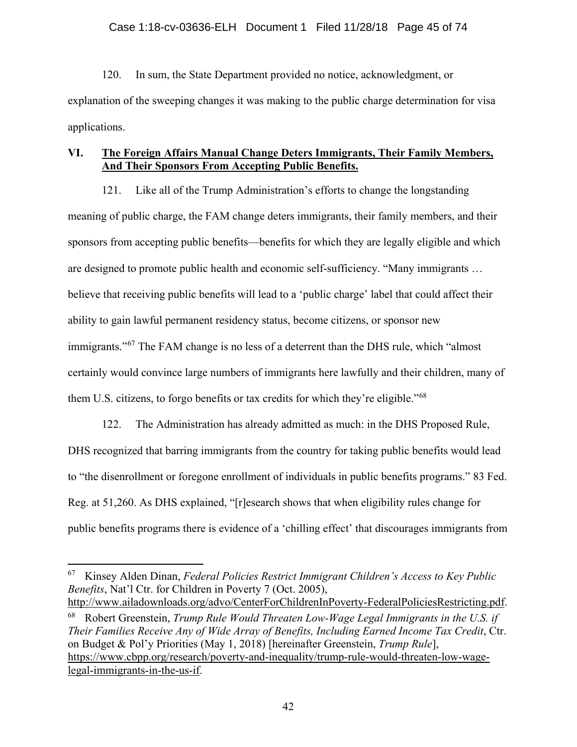120. In sum, the State Department provided no notice, acknowledgment, or explanation of the sweeping changes it was making to the public charge determination for visa applications.

# **VI. The Foreign Affairs Manual Change Deters Immigrants, Their Family Members, And Their Sponsors From Accepting Public Benefits.**

121. Like all of the Trump Administration's efforts to change the longstanding meaning of public charge, the FAM change deters immigrants, their family members, and their sponsors from accepting public benefits—benefits for which they are legally eligible and which are designed to promote public health and economic self-sufficiency. "Many immigrants … believe that receiving public benefits will lead to a 'public charge' label that could affect their ability to gain lawful permanent residency status, become citizens, or sponsor new immigrants."<sup>[67](#page-44-0)</sup> The FAM change is no less of a deterrent than the DHS rule, which "almost certainly would convince large numbers of immigrants here lawfully and their children, many of them U.S. citizens, to forgo benefits or tax credits for which they're eligible."[68](#page-44-1)

122. The Administration has already admitted as much: in the DHS Proposed Rule, DHS recognized that barring immigrants from the country for taking public benefits would lead to "the disenrollment or foregone enrollment of individuals in public benefits programs." 83 Fed. Reg. at 51,260. As DHS explained, "[r]esearch shows that when eligibility rules change for public benefits programs there is evidence of a 'chilling effect' that discourages immigrants from

<span id="page-44-0"></span> <sup>67</sup> Kinsey Alden Dinan, *Federal Policies Restrict Immigrant Children's Access to Key Public Benefits*, Nat'l Ctr. for Children in Poverty 7 (Oct. 2005), [http://www.ailadownloads.org/advo/CenterForChildrenInPoverty-FederalPoliciesRestricting.pdf.](http://www.ailadownloads.org/advo/CenterForChildrenInPoverty-FederalPoliciesRestricting.pdf)

<span id="page-44-1"></span><sup>68</sup> Robert Greenstein, *Trump Rule Would Threaten Low-Wage Legal Immigrants in the U.S. if Their Families Receive Any of Wide Array of Benefits, Including Earned Income Tax Credit*, Ctr. on Budget & Pol'y Priorities (May 1, 2018) [hereinafter Greenstein, *Trump Rule*], [https://www.cbpp.org/research/poverty-and-inequality/trump-rule-would-threaten-low-wage](https://www.cbpp.org/research/poverty-and-inequality/trump-rule-would-threaten-low-wage-legal-immigrants-in-the-us-if)[legal-immigrants-in-the-us-if.](https://www.cbpp.org/research/poverty-and-inequality/trump-rule-would-threaten-low-wage-legal-immigrants-in-the-us-if)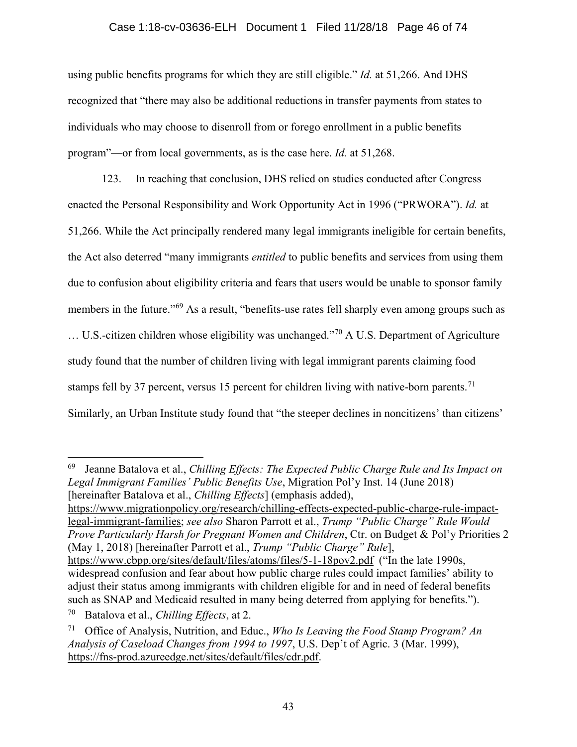## Case 1:18-cv-03636-ELH Document 1 Filed 11/28/18 Page 46 of 74

using public benefits programs for which they are still eligible." *Id.* at 51,266. And DHS recognized that "there may also be additional reductions in transfer payments from states to individuals who may choose to disenroll from or forego enrollment in a public benefits program"—or from local governments, as is the case here. *Id.* at 51,268.

123. In reaching that conclusion, DHS relied on studies conducted after Congress enacted the Personal Responsibility and Work Opportunity Act in 1996 ("PRWORA"). *Id.* at 51,266. While the Act principally rendered many legal immigrants ineligible for certain benefits, the Act also deterred "many immigrants *entitled* to public benefits and services from using them due to confusion about eligibility criteria and fears that users would be unable to sponsor family members in the future."<sup>[69](#page-45-0)</sup> As a result, "benefits-use rates fell sharply even among groups such as  $\dots$  U.S.-citizen children whose eligibility was unchanged."<sup>[70](#page-45-1)</sup> A U.S. Department of Agriculture study found that the number of children living with legal immigrant parents claiming food stamps fell by 37 percent, versus 15 percent for children living with native-born parents.<sup>[71](#page-45-2)</sup> Similarly, an Urban Institute study found that "the steeper declines in noncitizens' than citizens'

<span id="page-45-0"></span> 69 Jeanne Batalova et al., *Chilling Effects: The Expected Public Charge Rule and Its Impact on Legal Immigrant Families' Public Benefits Use*, Migration Pol'y Inst. 14 (June 2018) [hereinafter Batalova et al., *Chilling Effects*] (emphasis added),

[https://www.migrationpolicy.org/research/chilling-effects-expected-public-charge-rule-impact](https://www.migrationpolicy.org/research/chilling-effects-expected-public-charge-rule-impact-legal-immigrant-families)[legal-immigrant-families;](https://www.migrationpolicy.org/research/chilling-effects-expected-public-charge-rule-impact-legal-immigrant-families) *see also* Sharon Parrott et al., *Trump "Public Charge" Rule Would Prove Particularly Harsh for Pregnant Women and Children*, Ctr. on Budget & Pol'y Priorities 2 (May 1, 2018) [hereinafter Parrott et al., *Trump "Public Charge" Rule*],

<https://www.cbpp.org/sites/default/files/atoms/files/5-1-18pov2.pdf>("In the late 1990s, widespread confusion and fear about how public charge rules could impact families' ability to adjust their status among immigrants with children eligible for and in need of federal benefits such as SNAP and Medicaid resulted in many being deterred from applying for benefits.").

<span id="page-45-1"></span><sup>70</sup> Batalova et al., *Chilling Effects*, at 2.

<span id="page-45-2"></span><sup>71</sup> Office of Analysis, Nutrition, and Educ., *Who Is Leaving the Food Stamp Program? An Analysis of Caseload Changes from 1994 to 1997*, U.S. Dep't of Agric. 3 (Mar. 1999), [https://fns-prod.azureedge.net/sites/default/files/cdr.pdf.](https://fns-prod.azureedge.net/sites/default/files/cdr.pdf)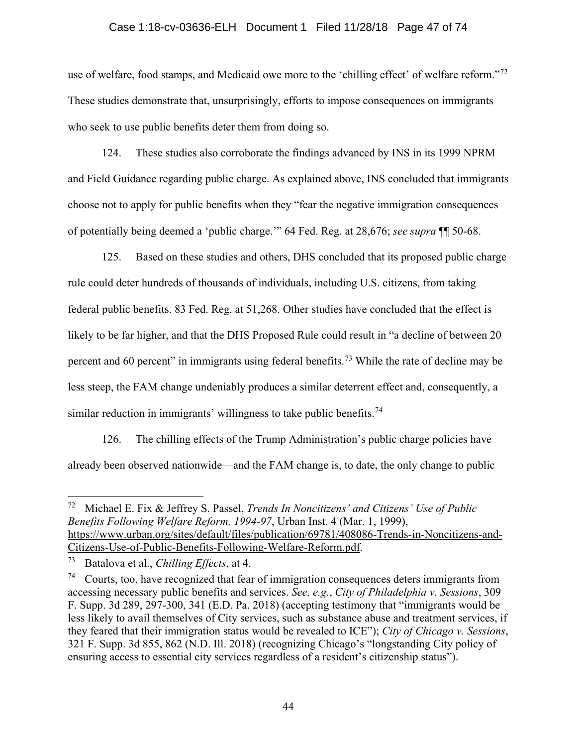# Case 1:18-cv-03636-ELH Document 1 Filed 11/28/18 Page 47 of 74

use of welfare, food stamps, and Medicaid owe more to the 'chilling effect' of welfare reform."<sup>[72](#page-46-0)</sup> These studies demonstrate that, unsurprisingly, efforts to impose consequences on immigrants who seek to use public benefits deter them from doing so.

124. These studies also corroborate the findings advanced by INS in its 1999 NPRM and Field Guidance regarding public charge. As explained above, INS concluded that immigrants choose not to apply for public benefits when they "fear the negative immigration consequences of potentially being deemed a 'public charge.'" 64 Fed. Reg. at 28,676; *see supra* ¶¶ 50-68.

125. Based on these studies and others, DHS concluded that its proposed public charge rule could deter hundreds of thousands of individuals, including U.S. citizens, from taking federal public benefits. 83 Fed. Reg. at 51,268. Other studies have concluded that the effect is likely to be far higher, and that the DHS Proposed Rule could result in "a decline of between 20 percent and 60 percent" in immigrants using federal benefits.<sup>[73](#page-46-1)</sup> While the rate of decline may be less steep, the FAM change undeniably produces a similar deterrent effect and, consequently, a similar reduction in immigrants' willingness to take public benefits.<sup>[74](#page-46-2)</sup>

126. The chilling effects of the Trump Administration's public charge policies have already been observed nationwide—and the FAM change is, to date, the only change to public

<span id="page-46-0"></span> <sup>72</sup> Michael E. Fix & Jeffrey S. Passel, *Trends In Noncitizens' and Citizens' Use of Public Benefits Following Welfare Reform, 1994-97*, Urban Inst. 4 (Mar. 1, 1999), [https://www.urban.org/sites/default/files/publication/69781/408086-Trends-in-Noncitizens-and-](https://www.urban.org/sites/default/files/publication/69781/408086-Trends-in-Noncitizens-and-Citizens-Use-of-Public-Benefits-Following-Welfare-Reform.pdf)[Citizens-Use-of-Public-Benefits-Following-Welfare-Reform.pdf.](https://www.urban.org/sites/default/files/publication/69781/408086-Trends-in-Noncitizens-and-Citizens-Use-of-Public-Benefits-Following-Welfare-Reform.pdf)

<span id="page-46-1"></span><sup>73</sup> Batalova et al., *Chilling Effects*, at 4.

<span id="page-46-2"></span> $74$  Courts, too, have recognized that fear of immigration consequences deters immigrants from accessing necessary public benefits and services. *See, e.g.*, *City of Philadelphia v. Sessions*, 309 F. Supp. 3d 289, 297-300, 341 (E.D. Pa. 2018) (accepting testimony that "immigrants would be less likely to avail themselves of City services, such as substance abuse and treatment services, if they feared that their immigration status would be revealed to ICE"); *City of Chicago v. Sessions*, 321 F. Supp. 3d 855, 862 (N.D. Ill. 2018) (recognizing Chicago's "longstanding City policy of ensuring access to essential city services regardless of a resident's citizenship status").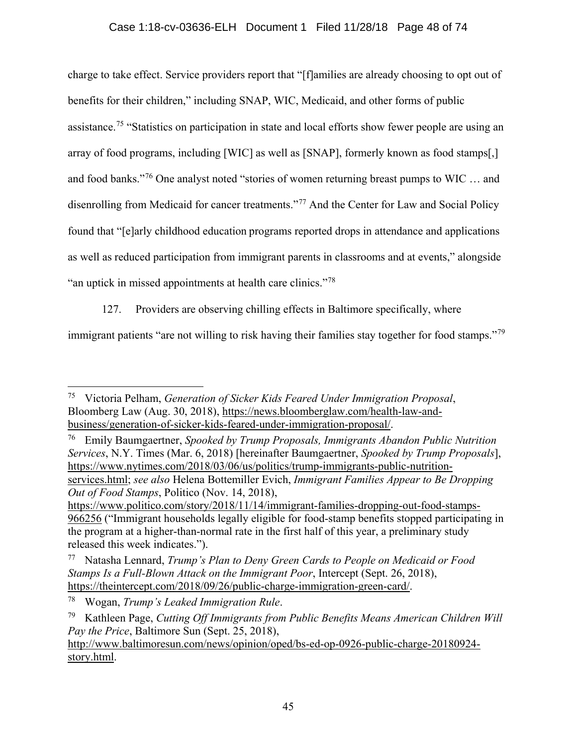# Case 1:18-cv-03636-ELH Document 1 Filed 11/28/18 Page 48 of 74

charge to take effect. Service providers report that "[f]amilies are already choosing to opt out of benefits for their children," including SNAP, WIC, Medicaid, and other forms of public assistance.<sup>[75](#page-47-0)</sup> "Statistics on participation in state and local efforts show fewer people are using an array of food programs, including [WIC] as well as [SNAP], formerly known as food stamps[,] and food banks."[76](#page-47-1) One analyst noted "stories of women returning breast pumps to WIC … and disenrolling from Medicaid for cancer treatments."<sup>[77](#page-47-2)</sup> And the Center for Law and Social Policy found that "[e]arly childhood education programs reported drops in attendance and applications as well as reduced participation from immigrant parents in classrooms and at events," alongside "an uptick in missed appointments at health care clinics."<sup>[78](#page-47-3)</sup>

127. Providers are observing chilling effects in Baltimore specifically, where

immigrant patients "are not willing to risk having their families stay together for food stamps."<sup>[79](#page-47-4)</sup>

<span id="page-47-0"></span> <sup>75</sup> Victoria Pelham, *Generation of Sicker Kids Feared Under Immigration Proposal*, Bloomberg Law (Aug. 30, 2018), [https://news.bloomberglaw.com/health-law-and](https://news.bloomberglaw.com/health-law-and-business/generation-of-sicker-kids-feared-under-immigration-proposal/)[business/generation-of-sicker-kids-feared-under-immigration-proposal/.](https://news.bloomberglaw.com/health-law-and-business/generation-of-sicker-kids-feared-under-immigration-proposal/)

<span id="page-47-1"></span><sup>76</sup> Emily Baumgaertner, *Spooked by Trump Proposals, Immigrants Abandon Public Nutrition Services*, N.Y. Times (Mar. 6, 2018) [hereinafter Baumgaertner, *Spooked by Trump Proposals*], [https://www.nytimes.com/2018/03/06/us/politics/trump-immigrants-public-nutrition](https://www.nytimes.com/2018/03/06/us/politics/trump-immigrants-public-nutrition-services.html)[services.html;](https://www.nytimes.com/2018/03/06/us/politics/trump-immigrants-public-nutrition-services.html) *see also* Helena Bottemiller Evich, *Immigrant Families Appear to Be Dropping Out of Food Stamps*, Politico (Nov. 14, 2018),

[https://www.politico.com/story/2018/11/14/immigrant-families-dropping-out-food-stamps-](https://www.politico.com/story/2018/11/14/immigrant-families-dropping-out-food-stamps-966256)[966256](https://www.politico.com/story/2018/11/14/immigrant-families-dropping-out-food-stamps-966256) ("Immigrant households legally eligible for food-stamp benefits stopped participating in the program at a higher-than-normal rate in the first half of this year, a preliminary study released this week indicates.").

<span id="page-47-2"></span><sup>77</sup> Natasha Lennard, *Trump's Plan to Deny Green Cards to People on Medicaid or Food Stamps Is a Full-Blown Attack on the Immigrant Poor*, Intercept (Sept. 26, 2018), [https://theintercept.com/2018/09/26/public-charge-immigration-green-card/.](https://theintercept.com/2018/09/26/public-charge-immigration-green-card/)

<span id="page-47-3"></span><sup>78</sup> Wogan, *Trump's Leaked Immigration Rule*.

<span id="page-47-4"></span><sup>79</sup> Kathleen Page, *Cutting Off Immigrants from Public Benefits Means American Children Will Pay the Price*, Baltimore Sun (Sept. 25, 2018),

[http://www.baltimoresun.com/news/opinion/oped/bs-ed-op-0926-public-charge-20180924](http://www.baltimoresun.com/news/opinion/oped/bs-ed-op-0926-public-charge-20180924-story.html) [story.html.](http://www.baltimoresun.com/news/opinion/oped/bs-ed-op-0926-public-charge-20180924-story.html)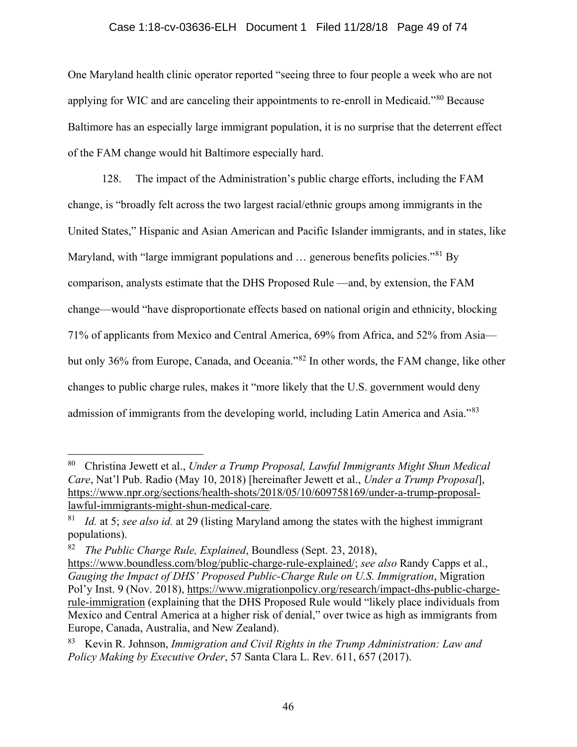# Case 1:18-cv-03636-ELH Document 1 Filed 11/28/18 Page 49 of 74

One Maryland health clinic operator reported "seeing three to four people a week who are not applying for WIC and are canceling their appointments to re-enroll in Medicaid."[80](#page-48-0) Because Baltimore has an especially large immigrant population, it is no surprise that the deterrent effect of the FAM change would hit Baltimore especially hard.

128. The impact of the Administration's public charge efforts, including the FAM change, is "broadly felt across the two largest racial/ethnic groups among immigrants in the United States," Hispanic and Asian American and Pacific Islander immigrants, and in states, like Maryland, with "large immigrant populations and ... generous benefits policies."<sup>[81](#page-48-1)</sup> By comparison, analysts estimate that the DHS Proposed Rule —and, by extension, the FAM change—would "have disproportionate effects based on national origin and ethnicity, blocking 71% of applicants from Mexico and Central America, 69% from Africa, and 52% from Asia but only 36% from Europe, Canada, and Oceania."[82](#page-48-2) In other words, the FAM change, like other changes to public charge rules, makes it "more likely that the U.S. government would deny admission of immigrants from the developing world, including Latin America and Asia."[83](#page-48-3)

<span id="page-48-0"></span> <sup>80</sup> Christina Jewett et al., *Under a Trump Proposal, Lawful Immigrants Might Shun Medical Care*, Nat'l Pub. Radio (May 10, 2018) [hereinafter Jewett et al., *Under a Trump Proposal*], [https://www.npr.org/sections/health-shots/2018/05/10/609758169/under-a-trump-proposal](https://www.npr.org/sections/health-shots/2018/05/10/609758169/under-a-trump-proposal-lawful-immigrants-might-shun-medical-care)[lawful-immigrants-might-shun-medical-care.](https://www.npr.org/sections/health-shots/2018/05/10/609758169/under-a-trump-proposal-lawful-immigrants-might-shun-medical-care)

<span id="page-48-1"></span><sup>81</sup> *Id.* at 5; *see also id.* at 29 (listing Maryland among the states with the highest immigrant populations).

<span id="page-48-2"></span><sup>82</sup> *The Public Charge Rule, Explained*, Boundless (Sept. 23, 2018),

[https://www.boundless.com/blog/public-charge-rule-explained/;](https://www.boundless.com/blog/public-charge-rule-explained/) *see also* Randy Capps et al., *Gauging the Impact of DHS' Proposed Public-Charge Rule on U.S. Immigration*, Migration Pol'y Inst. 9 (Nov. 2018), [https://www.migrationpolicy.org/research/impact-dhs-public-charge](https://www.migrationpolicy.org/research/impact-dhs-public-charge-rule-immigration)[rule-immigration](https://www.migrationpolicy.org/research/impact-dhs-public-charge-rule-immigration) (explaining that the DHS Proposed Rule would "likely place individuals from Mexico and Central America at a higher risk of denial," over twice as high as immigrants from Europe, Canada, Australia, and New Zealand).

<span id="page-48-3"></span><sup>83</sup> Kevin R. Johnson, *Immigration and Civil Rights in the Trump Administration: Law and Policy Making by Executive Order*, 57 Santa Clara L. Rev. 611, 657 (2017).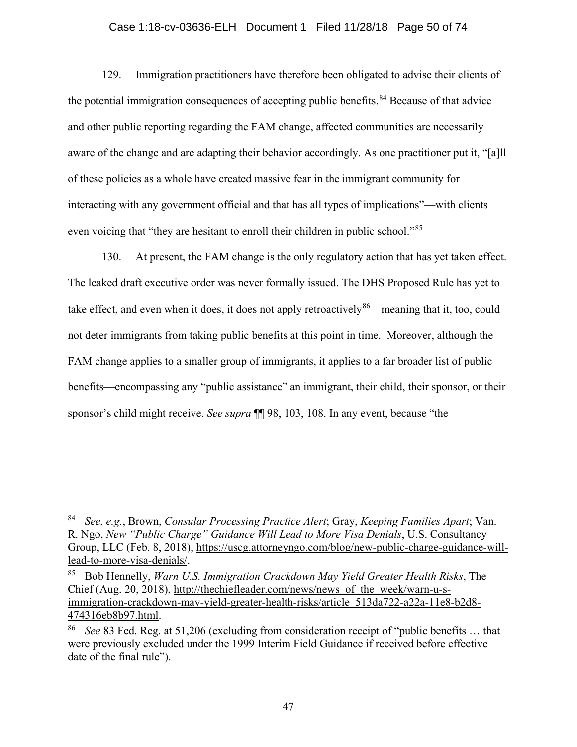## Case 1:18-cv-03636-ELH Document 1 Filed 11/28/18 Page 50 of 74

129. Immigration practitioners have therefore been obligated to advise their clients of the potential immigration consequences of accepting public benefits.<sup>[84](#page-49-0)</sup> Because of that advice and other public reporting regarding the FAM change, affected communities are necessarily aware of the change and are adapting their behavior accordingly. As one practitioner put it, "[a]ll of these policies as a whole have created massive fear in the immigrant community for interacting with any government official and that has all types of implications"—with clients even voicing that "they are hesitant to enroll their children in public school."[85](#page-49-1)

130. At present, the FAM change is the only regulatory action that has yet taken effect. The leaked draft executive order was never formally issued. The DHS Proposed Rule has yet to take effect, and even when it does, it does not apply retroactively  $86$ —meaning that it, too, could not deter immigrants from taking public benefits at this point in time. Moreover, although the FAM change applies to a smaller group of immigrants, it applies to a far broader list of public benefits—encompassing any "public assistance" an immigrant, their child, their sponsor, or their sponsor's child might receive. *See supra* ¶¶ 98, 103, 108. In any event, because "the

<span id="page-49-0"></span> <sup>84</sup> *See, e.g.*, Brown, *Consular Processing Practice Alert*; Gray, *Keeping Families Apart*; Van. R. Ngo, *New "Public Charge" Guidance Will Lead to More Visa Denials*, U.S. Consultancy Group, LLC (Feb. 8, 2018), [https://uscg.attorneyngo.com/blog/new-public-charge-guidance-will](https://uscg.attorneyngo.com/blog/new-public-charge-guidance-will-lead-to-more-visa-denials/)[lead-to-more-visa-denials/.](https://uscg.attorneyngo.com/blog/new-public-charge-guidance-will-lead-to-more-visa-denials/)

<span id="page-49-1"></span><sup>85</sup> Bob Hennelly, *Warn U.S. Immigration Crackdown May Yield Greater Health Risks*, The Chief (Aug. 20, 2018), [http://thechiefleader.com/news/news\\_of\\_the\\_week/warn-u-s](http://thechiefleader.com/news/news_of_the_week/warn-u-s-immigration-crackdown-may-yield-greater-health-risks/article_513da722-a22a-11e8-b2d8-474316eb8b97.html)[immigration-crackdown-may-yield-greater-health-risks/article\\_513da722-a22a-11e8-b2d8-](http://thechiefleader.com/news/news_of_the_week/warn-u-s-immigration-crackdown-may-yield-greater-health-risks/article_513da722-a22a-11e8-b2d8-474316eb8b97.html) [474316eb8b97.html.](http://thechiefleader.com/news/news_of_the_week/warn-u-s-immigration-crackdown-may-yield-greater-health-risks/article_513da722-a22a-11e8-b2d8-474316eb8b97.html)

<span id="page-49-2"></span><sup>86</sup> *See* 83 Fed. Reg. at 51,206 (excluding from consideration receipt of "public benefits … that were previously excluded under the 1999 Interim Field Guidance if received before effective date of the final rule").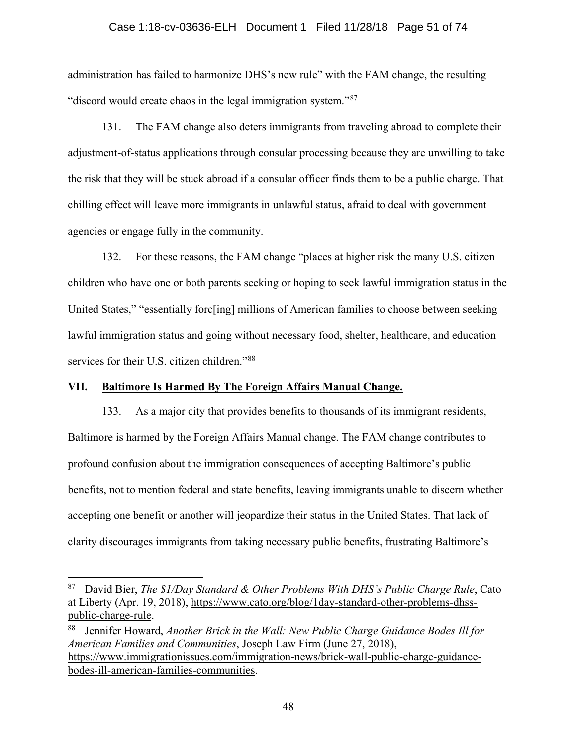### Case 1:18-cv-03636-ELH Document 1 Filed 11/28/18 Page 51 of 74

administration has failed to harmonize DHS's new rule" with the FAM change, the resulting "discord would create chaos in the legal immigration system."<sup>[87](#page-50-0)</sup>

131. The FAM change also deters immigrants from traveling abroad to complete their adjustment-of-status applications through consular processing because they are unwilling to take the risk that they will be stuck abroad if a consular officer finds them to be a public charge. That chilling effect will leave more immigrants in unlawful status, afraid to deal with government agencies or engage fully in the community.

132. For these reasons, the FAM change "places at higher risk the many U.S. citizen children who have one or both parents seeking or hoping to seek lawful immigration status in the United States," "essentially forc[ing] millions of American families to choose between seeking lawful immigration status and going without necessary food, shelter, healthcare, and education services for their U.S. citizen children."<sup>[88](#page-50-1)</sup>

## **VII. Baltimore Is Harmed By The Foreign Affairs Manual Change.**

133. As a major city that provides benefits to thousands of its immigrant residents, Baltimore is harmed by the Foreign Affairs Manual change. The FAM change contributes to profound confusion about the immigration consequences of accepting Baltimore's public benefits, not to mention federal and state benefits, leaving immigrants unable to discern whether accepting one benefit or another will jeopardize their status in the United States. That lack of clarity discourages immigrants from taking necessary public benefits, frustrating Baltimore's

<span id="page-50-0"></span> <sup>87</sup> David Bier, *The \$1/Day Standard & Other Problems With DHS's Public Charge Rule*, Cato at Liberty (Apr. 19, 2018), [https://www.cato.org/blog/1day-standard-other-problems-dhss](https://www.cato.org/blog/1day-standard-other-problems-dhss-public-charge-rule)[public-charge-rule.](https://www.cato.org/blog/1day-standard-other-problems-dhss-public-charge-rule)

<span id="page-50-1"></span><sup>88</sup> Jennifer Howard, *Another Brick in the Wall: New Public Charge Guidance Bodes Ill for American Families and Communities*, Joseph Law Firm (June 27, 2018), [https://www.immigrationissues.com/immigration-news/brick-wall-public-charge-guidance](https://www.immigrationissues.com/immigration-news/brick-wall-public-charge-guidance-bodes-ill-american-families-communities)[bodes-ill-american-families-communities.](https://www.immigrationissues.com/immigration-news/brick-wall-public-charge-guidance-bodes-ill-american-families-communities)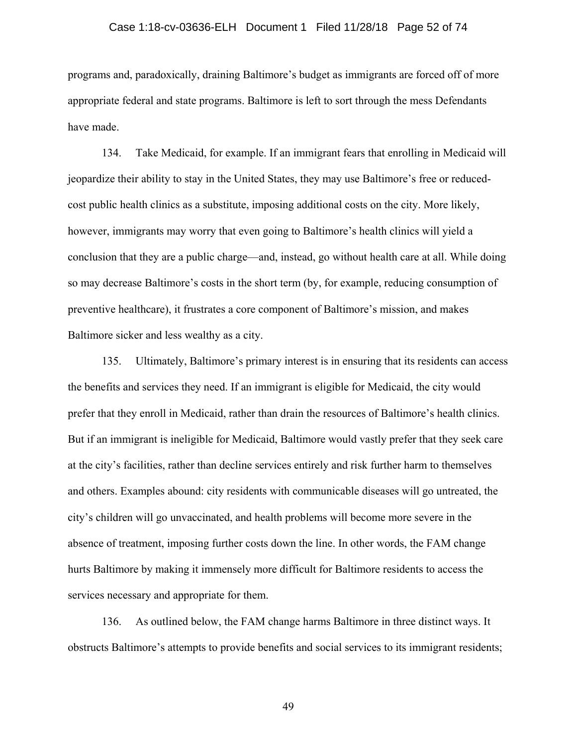#### Case 1:18-cv-03636-ELH Document 1 Filed 11/28/18 Page 52 of 74

programs and, paradoxically, draining Baltimore's budget as immigrants are forced off of more appropriate federal and state programs. Baltimore is left to sort through the mess Defendants have made.

134. Take Medicaid, for example. If an immigrant fears that enrolling in Medicaid will jeopardize their ability to stay in the United States, they may use Baltimore's free or reducedcost public health clinics as a substitute, imposing additional costs on the city. More likely, however, immigrants may worry that even going to Baltimore's health clinics will yield a conclusion that they are a public charge—and, instead, go without health care at all. While doing so may decrease Baltimore's costs in the short term (by, for example, reducing consumption of preventive healthcare), it frustrates a core component of Baltimore's mission, and makes Baltimore sicker and less wealthy as a city.

135. Ultimately, Baltimore's primary interest is in ensuring that its residents can access the benefits and services they need. If an immigrant is eligible for Medicaid, the city would prefer that they enroll in Medicaid, rather than drain the resources of Baltimore's health clinics. But if an immigrant is ineligible for Medicaid, Baltimore would vastly prefer that they seek care at the city's facilities, rather than decline services entirely and risk further harm to themselves and others. Examples abound: city residents with communicable diseases will go untreated, the city's children will go unvaccinated, and health problems will become more severe in the absence of treatment, imposing further costs down the line. In other words, the FAM change hurts Baltimore by making it immensely more difficult for Baltimore residents to access the services necessary and appropriate for them.

136. As outlined below, the FAM change harms Baltimore in three distinct ways. It obstructs Baltimore's attempts to provide benefits and social services to its immigrant residents;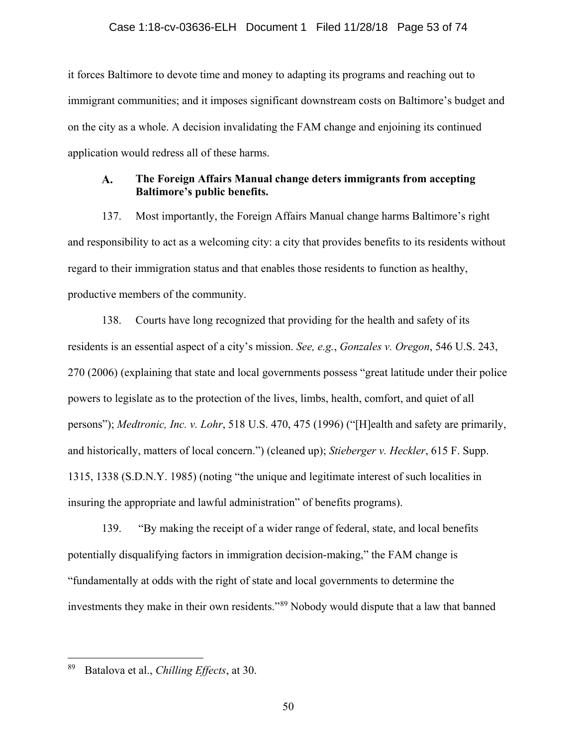it forces Baltimore to devote time and money to adapting its programs and reaching out to immigrant communities; and it imposes significant downstream costs on Baltimore's budget and on the city as a whole. A decision invalidating the FAM change and enjoining its continued application would redress all of these harms.

#### **The Foreign Affairs Manual change deters immigrants from accepting**   $\mathbf{A}$ . **Baltimore's public benefits.**

137. Most importantly, the Foreign Affairs Manual change harms Baltimore's right and responsibility to act as a welcoming city: a city that provides benefits to its residents without regard to their immigration status and that enables those residents to function as healthy, productive members of the community.

138. Courts have long recognized that providing for the health and safety of its residents is an essential aspect of a city's mission. *See, e.g.*, *Gonzales v. Oregon*, 546 U.S. 243, 270 (2006) (explaining that state and local governments possess "great latitude under their police powers to legislate as to the protection of the lives, limbs, health, comfort, and quiet of all persons"); *Medtronic, Inc. v. Lohr*, 518 U.S. 470, 475 (1996) ("[H]ealth and safety are primarily, and historically, matters of local concern.") (cleaned up); *Stieberger v. Heckler*, 615 F. Supp. 1315, 1338 (S.D.N.Y. 1985) (noting "the unique and legitimate interest of such localities in insuring the appropriate and lawful administration" of benefits programs).

139. "By making the receipt of a wider range of federal, state, and local benefits potentially disqualifying factors in immigration decision-making," the FAM change is "fundamentally at odds with the right of state and local governments to determine the investments they make in their own residents."[89](#page-52-0) Nobody would dispute that a law that banned

<span id="page-52-0"></span> <sup>89</sup> Batalova et al., *Chilling Effects*, at 30.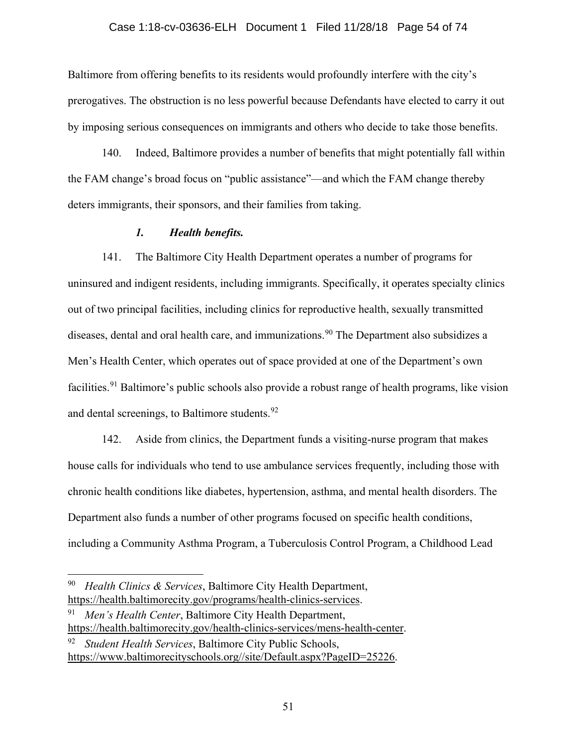#### Case 1:18-cv-03636-ELH Document 1 Filed 11/28/18 Page 54 of 74

Baltimore from offering benefits to its residents would profoundly interfere with the city's prerogatives. The obstruction is no less powerful because Defendants have elected to carry it out by imposing serious consequences on immigrants and others who decide to take those benefits.

140. Indeed, Baltimore provides a number of benefits that might potentially fall within the FAM change's broad focus on "public assistance"—and which the FAM change thereby deters immigrants, their sponsors, and their families from taking.

#### *1. Health benefits.*

141. The Baltimore City Health Department operates a number of programs for uninsured and indigent residents, including immigrants. Specifically, it operates specialty clinics out of two principal facilities, including clinics for reproductive health, sexually transmitted diseases, dental and oral health care, and immunizations.<sup>[90](#page-53-0)</sup> The Department also subsidizes a Men's Health Center, which operates out of space provided at one of the Department's own facilities.<sup>[91](#page-53-1)</sup> Baltimore's public schools also provide a robust range of health programs, like vision and dental screenings, to Baltimore students.<sup>[92](#page-53-2)</sup>

142. Aside from clinics, the Department funds a visiting-nurse program that makes house calls for individuals who tend to use ambulance services frequently, including those with chronic health conditions like diabetes, hypertension, asthma, and mental health disorders. The Department also funds a number of other programs focused on specific health conditions, including a Community Asthma Program, a Tuberculosis Control Program, a Childhood Lead

<span id="page-53-0"></span> <sup>90</sup> *Health Clinics & Services*, Baltimore City Health Department, [https://health.baltimorecity.gov/programs/health-clinics-services.](https://health.baltimorecity.gov/programs/health-clinics-services)

<span id="page-53-1"></span><sup>91</sup> *Men's Health Center*, Baltimore City Health Department, [https://health.baltimorecity.gov/health-clinics-services/mens-health-center.](https://health.baltimorecity.gov/health-clinics-services/mens-health-center)

<span id="page-53-2"></span>*Student Health Services, Baltimore City Public Schools,* [https://www.baltimorecityschools.org//site/Default.aspx?PageID=25226.](https://www.baltimorecityschools.org/site/Default.aspx?PageID=25226)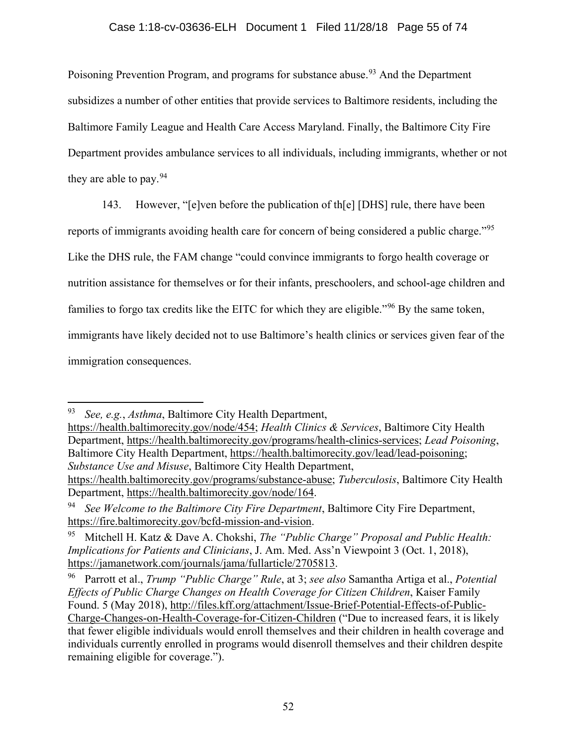## Case 1:18-cv-03636-ELH Document 1 Filed 11/28/18 Page 55 of 74

Poisoning Prevention Program, and programs for substance abuse.<sup>[93](#page-54-0)</sup> And the Department subsidizes a number of other entities that provide services to Baltimore residents, including the Baltimore Family League and Health Care Access Maryland. Finally, the Baltimore City Fire Department provides ambulance services to all individuals, including immigrants, whether or not they are able to pay.  $94$ 

143. However, "[e]ven before the publication of th[e] [DHS] rule, there have been

reports of immigrants avoiding health care for concern of being considered a public charge."<sup>[95](#page-54-2)</sup>

Like the DHS rule, the FAM change "could convince immigrants to forgo health coverage or

nutrition assistance for themselves or for their infants, preschoolers, and school-age children and

families to forgo tax credits like the EITC for which they are eligible."<sup>[96](#page-54-3)</sup> By the same token,

immigrants have likely decided not to use Baltimore's health clinics or services given fear of the

immigration consequences.

[https://health.baltimorecity.gov/node/454;](https://health.baltimorecity.gov/node/454) *Health Clinics & Services*, Baltimore City Health Department, [https://health.baltimorecity.gov/programs/health-clinics-services;](https://health.baltimorecity.gov/programs/health-clinics-services) *Lead Poisoning*, Baltimore City Health Department, [https://health.baltimorecity.gov/lead/lead-poisoning;](https://health.baltimorecity.gov/lead/lead-poisoning) *Substance Use and Misuse*, Baltimore City Health Department, [https://health.baltimorecity.gov/programs/substance-abuse;](https://health.baltimorecity.gov/programs/substance-abuse) *Tuberculosis*, Baltimore City Health

Department, [https://health.baltimorecity.gov/node/164.](https://health.baltimorecity.gov/node/164)

<span id="page-54-0"></span> <sup>93</sup> *See, e.g.*, *Asthma*, Baltimore City Health Department,

<span id="page-54-1"></span><sup>94</sup> *See Welcome to the Baltimore City Fire Department*, Baltimore City Fire Department, [https://fire.baltimorecity.gov/bcfd-mission-and-vision.](https://fire.baltimorecity.gov/bcfd-mission-and-vision)

<span id="page-54-2"></span><sup>95</sup> Mitchell H. Katz & Dave A. Chokshi, *The "Public Charge" Proposal and Public Health: Implications for Patients and Clinicians*, J. Am. Med. Ass'n Viewpoint 3 (Oct. 1, 2018), [https://jamanetwork.com/journals/jama/fullarticle/2705813.](https://jamanetwork.com/journals/jama/fullarticle/2705813)

<span id="page-54-3"></span><sup>96</sup> Parrott et al., *Trump "Public Charge" Rule*, at 3; *see also* Samantha Artiga et al., *Potential Effects of Public Charge Changes on Health Coverage for Citizen Children*, Kaiser Family Found. 5 (May 2018), [http://files.kff.org/attachment/Issue-Brief-Potential-Effects-of-Public-](http://files.kff.org/attachment/Issue-Brief-Potential-Effects-of-Public-Charge-Changes-on-Health-Coverage-for-Citizen-Children)[Charge-Changes-on-Health-Coverage-for-Citizen-Children](http://files.kff.org/attachment/Issue-Brief-Potential-Effects-of-Public-Charge-Changes-on-Health-Coverage-for-Citizen-Children) ("Due to increased fears, it is likely that fewer eligible individuals would enroll themselves and their children in health coverage and individuals currently enrolled in programs would disenroll themselves and their children despite remaining eligible for coverage.").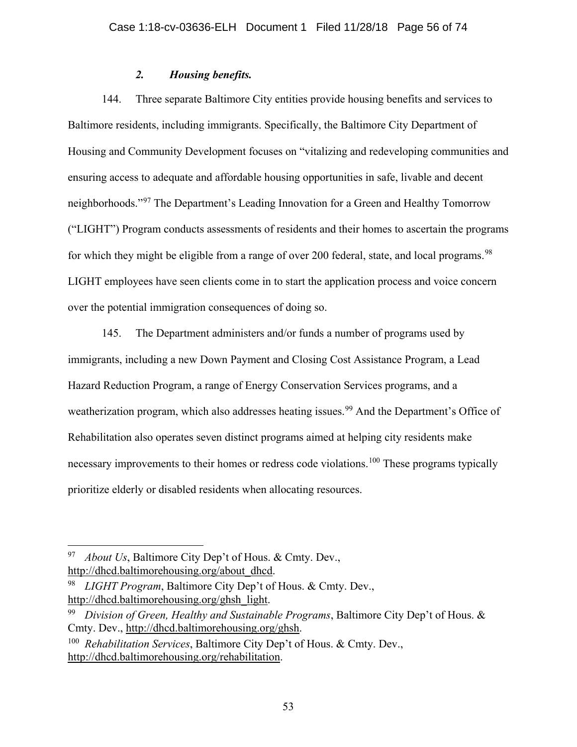## *2. Housing benefits.*

144. Three separate Baltimore City entities provide housing benefits and services to Baltimore residents, including immigrants. Specifically, the Baltimore City Department of Housing and Community Development focuses on "vitalizing and redeveloping communities and ensuring access to adequate and affordable housing opportunities in safe, livable and decent neighborhoods."[97](#page-55-0) The Department's Leading Innovation for a Green and Healthy Tomorrow ("LIGHT") Program conducts assessments of residents and their homes to ascertain the programs for which they might be eligible from a range of over 200 federal, state, and local programs.<sup>[98](#page-55-1)</sup> LIGHT employees have seen clients come in to start the application process and voice concern over the potential immigration consequences of doing so.

145. The Department administers and/or funds a number of programs used by immigrants, including a new Down Payment and Closing Cost Assistance Program, a Lead Hazard Reduction Program, a range of Energy Conservation Services programs, and a weatherization program, which also addresses heating issues.<sup>[99](#page-55-2)</sup> And the Department's Office of Rehabilitation also operates seven distinct programs aimed at helping city residents make necessary improvements to their homes or redress code violations.<sup>[100](#page-55-3)</sup> These programs typically prioritize elderly or disabled residents when allocating resources.

<span id="page-55-0"></span> <sup>97</sup> *About Us*, Baltimore City Dep't of Hous. & Cmty. Dev., [http://dhcd.baltimorehousing.org/about\\_dhcd.](http://dhcd.baltimorehousing.org/about_dhcd)

<span id="page-55-1"></span><sup>98</sup> *LIGHT Program*, Baltimore City Dep't of Hous. & Cmty. Dev., [http://dhcd.baltimorehousing.org/ghsh\\_light.](http://dhcd.baltimorehousing.org/ghsh_light)

<span id="page-55-2"></span><sup>99</sup> *Division of Green, Healthy and Sustainable Programs*, Baltimore City Dep't of Hous. & Cmty. Dev., [http://dhcd.baltimorehousing.org/ghsh.](http://dhcd.baltimorehousing.org/ghsh)

<span id="page-55-3"></span><sup>100</sup> *Rehabilitation Services*, Baltimore City Dep't of Hous. & Cmty. Dev., [http://dhcd.baltimorehousing.org/rehabilitation.](http://dhcd.baltimorehousing.org/rehabilitation)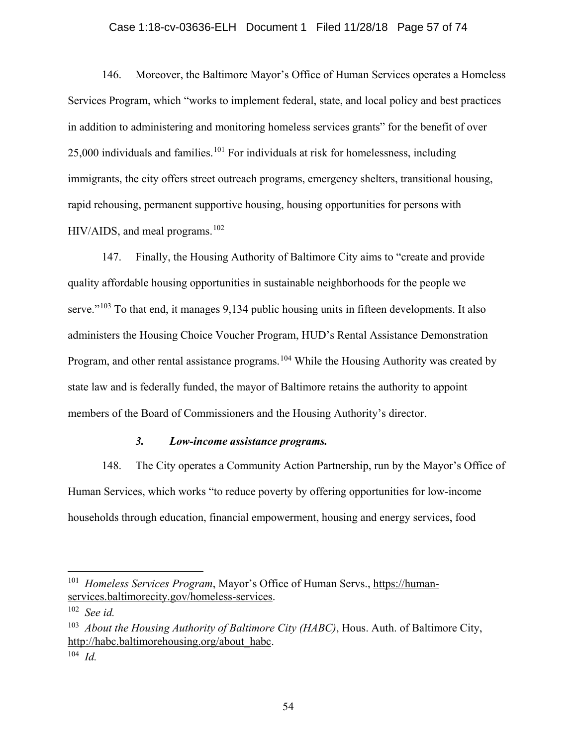### Case 1:18-cv-03636-ELH Document 1 Filed 11/28/18 Page 57 of 74

146. Moreover, the Baltimore Mayor's Office of Human Services operates a Homeless Services Program, which "works to implement federal, state, and local policy and best practices in addition to administering and monitoring homeless services grants" for the benefit of over 25,000 individuals and families.<sup>[101](#page-56-0)</sup> For individuals at risk for homelessness, including immigrants, the city offers street outreach programs, emergency shelters, transitional housing, rapid rehousing, permanent supportive housing, housing opportunities for persons with  $HIV/AIDS$ , and meal programs.<sup>[102](#page-56-1)</sup>

147. Finally, the Housing Authority of Baltimore City aims to "create and provide quality affordable housing opportunities in sustainable neighborhoods for the people we serve."<sup>[103](#page-56-2)</sup> To that end, it manages 9,134 public housing units in fifteen developments. It also administers the Housing Choice Voucher Program, HUD's Rental Assistance Demonstration Program, and other rental assistance programs.<sup>[104](#page-56-3)</sup> While the Housing Authority was created by state law and is federally funded, the mayor of Baltimore retains the authority to appoint members of the Board of Commissioners and the Housing Authority's director.

## *3. Low-income assistance programs.*

148. The City operates a Community Action Partnership, run by the Mayor's Office of Human Services, which works "to reduce poverty by offering opportunities for low-income households through education, financial empowerment, housing and energy services, food

<span id="page-56-0"></span> <sup>101</sup> *Homeless Services Program*, Mayor's Office of Human Servs., [https://human](https://human-services.baltimorecity.gov/homeless-services)[services.baltimorecity.gov/homeless-services.](https://human-services.baltimorecity.gov/homeless-services)

<span id="page-56-1"></span><sup>102</sup> *See id.*

<span id="page-56-2"></span><sup>103</sup> *About the Housing Authority of Baltimore City (HABC)*, Hous. Auth. of Baltimore City, [http://habc.baltimorehousing.org/about\\_habc.](http://habc.baltimorehousing.org/about_habc)

<span id="page-56-3"></span><sup>104</sup> *Id.*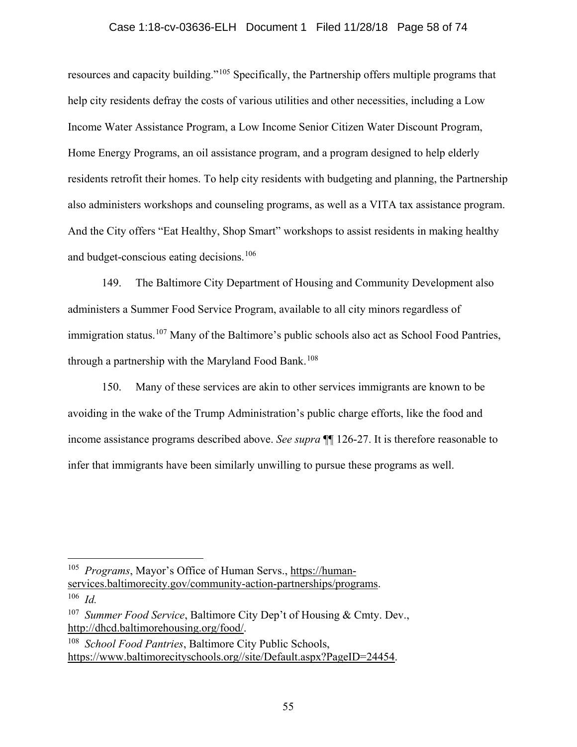## Case 1:18-cv-03636-ELH Document 1 Filed 11/28/18 Page 58 of 74

resources and capacity building."[105](#page-57-0) Specifically, the Partnership offers multiple programs that help city residents defray the costs of various utilities and other necessities, including a Low Income Water Assistance Program, a Low Income Senior Citizen Water Discount Program, Home Energy Programs, an oil assistance program, and a program designed to help elderly residents retrofit their homes. To help city residents with budgeting and planning, the Partnership also administers workshops and counseling programs, as well as a VITA tax assistance program. And the City offers "Eat Healthy, Shop Smart" workshops to assist residents in making healthy and budget-conscious eating decisions.<sup>[106](#page-57-1)</sup>

149. The Baltimore City Department of Housing and Community Development also administers a Summer Food Service Program, available to all city minors regardless of immigration status.<sup>[107](#page-57-2)</sup> Many of the Baltimore's public schools also act as School Food Pantries, through a partnership with the Maryland Food Bank.<sup>[108](#page-57-3)</sup>

150. Many of these services are akin to other services immigrants are known to be avoiding in the wake of the Trump Administration's public charge efforts, like the food and income assistance programs described above. *See supra* ¶¶ 126-27. It is therefore reasonable to infer that immigrants have been similarly unwilling to pursue these programs as well.

<span id="page-57-0"></span><sup>&</sup>lt;sup>105</sup> *Programs*, Mayor's Office of Human Servs., [https://human](https://human-services.baltimorecity.gov/community-action-partnerships/programs)[services.baltimorecity.gov/community-action-partnerships/programs.](https://human-services.baltimorecity.gov/community-action-partnerships/programs)

<span id="page-57-1"></span><sup>106</sup> *Id.*

<span id="page-57-2"></span><sup>&</sup>lt;sup>107</sup> *Summer Food Service*, Baltimore City Dep't of Housing & Cmty. Dev., [http://dhcd.baltimorehousing.org/food/.](http://dhcd.baltimorehousing.org/food/)

<span id="page-57-3"></span><sup>108</sup> *School Food Pantries*, Baltimore City Public Schools, [https://www.baltimorecityschools.org//site/Default.aspx?PageID=24454.](https://www.baltimorecityschools.org/site/Default.aspx?PageID=24454)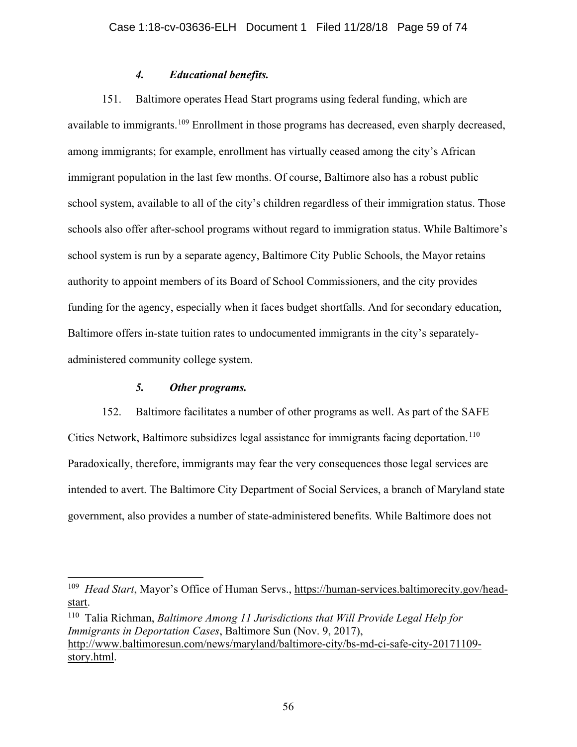## *4. Educational benefits.*

151. Baltimore operates Head Start programs using federal funding, which are available to immigrants.<sup>[109](#page-58-0)</sup> Enrollment in those programs has decreased, even sharply decreased, among immigrants; for example, enrollment has virtually ceased among the city's African immigrant population in the last few months. Of course, Baltimore also has a robust public school system, available to all of the city's children regardless of their immigration status. Those schools also offer after-school programs without regard to immigration status. While Baltimore's school system is run by a separate agency, Baltimore City Public Schools, the Mayor retains authority to appoint members of its Board of School Commissioners, and the city provides funding for the agency, especially when it faces budget shortfalls. And for secondary education, Baltimore offers in-state tuition rates to undocumented immigrants in the city's separatelyadministered community college system.

# *5. Other programs.*

152. Baltimore facilitates a number of other programs as well. As part of the SAFE Cities Network, Baltimore subsidizes legal assistance for immigrants facing deportation.<sup>[110](#page-58-1)</sup> Paradoxically, therefore, immigrants may fear the very consequences those legal services are intended to avert. The Baltimore City Department of Social Services, a branch of Maryland state government, also provides a number of state-administered benefits. While Baltimore does not

<span id="page-58-0"></span> <sup>109</sup> *Head Start*, Mayor's Office of Human Servs., [https://human-services.baltimorecity.gov/head](https://human-services.baltimorecity.gov/head-start)[start.](https://human-services.baltimorecity.gov/head-start)

<span id="page-58-1"></span><sup>110</sup> Talia Richman, *Baltimore Among 11 Jurisdictions that Will Provide Legal Help for Immigrants in Deportation Cases*, Baltimore Sun (Nov. 9, 2017), [http://www.baltimoresun.com/news/maryland/baltimore-city/bs-md-ci-safe-city-20171109](http://www.baltimoresun.com/news/maryland/baltimore-city/bs-md-ci-safe-city-20171109-story.html) [story.html.](http://www.baltimoresun.com/news/maryland/baltimore-city/bs-md-ci-safe-city-20171109-story.html)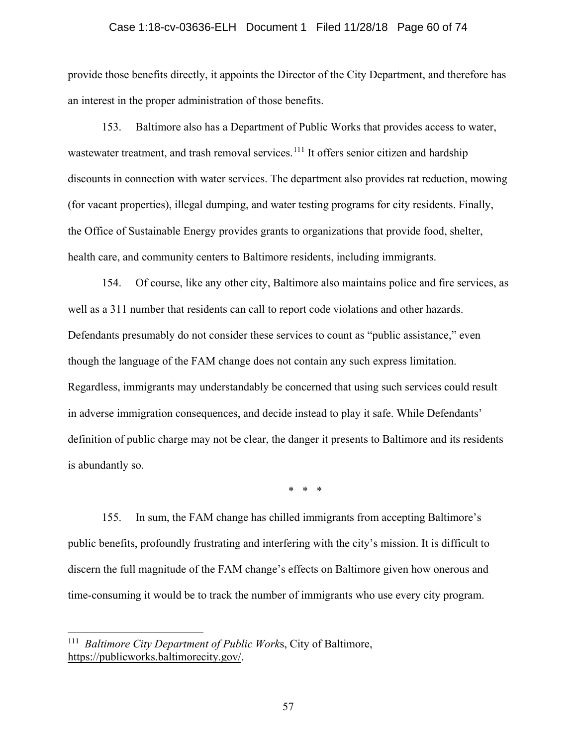#### Case 1:18-cv-03636-ELH Document 1 Filed 11/28/18 Page 60 of 74

provide those benefits directly, it appoints the Director of the City Department, and therefore has an interest in the proper administration of those benefits.

153. Baltimore also has a Department of Public Works that provides access to water, wastewater treatment, and trash removal services.<sup>[111](#page-59-0)</sup> It offers senior citizen and hardship discounts in connection with water services. The department also provides rat reduction, mowing (for vacant properties), illegal dumping, and water testing programs for city residents. Finally, the Office of Sustainable Energy provides grants to organizations that provide food, shelter, health care, and community centers to Baltimore residents, including immigrants.

154. Of course, like any other city, Baltimore also maintains police and fire services, as well as a 311 number that residents can call to report code violations and other hazards. Defendants presumably do not consider these services to count as "public assistance," even though the language of the FAM change does not contain any such express limitation. Regardless, immigrants may understandably be concerned that using such services could result in adverse immigration consequences, and decide instead to play it safe. While Defendants' definition of public charge may not be clear, the danger it presents to Baltimore and its residents is abundantly so.

\* \* \*

155. In sum, the FAM change has chilled immigrants from accepting Baltimore's public benefits, profoundly frustrating and interfering with the city's mission. It is difficult to discern the full magnitude of the FAM change's effects on Baltimore given how onerous and time-consuming it would be to track the number of immigrants who use every city program.

<span id="page-59-0"></span> <sup>111</sup> *Baltimore City Department of Public Work*s, City of Baltimore, [https://publicworks.baltimorecity.gov/.](https://publicworks.baltimorecity.gov/)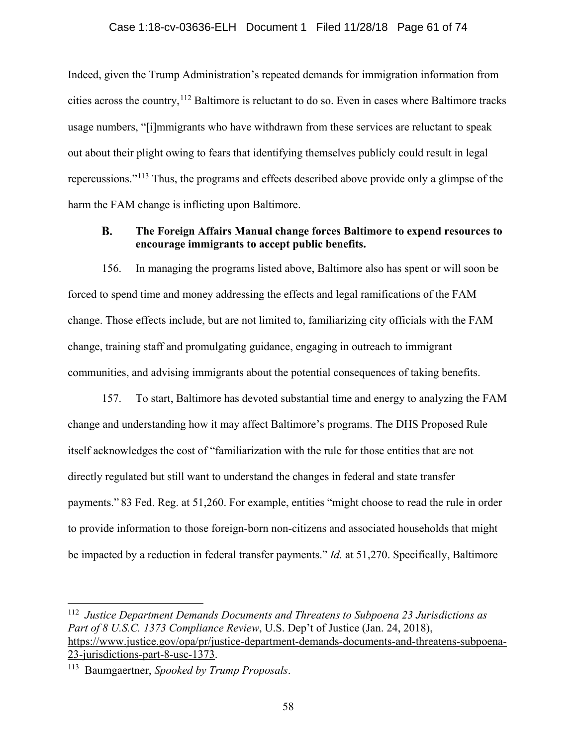Indeed, given the Trump Administration's repeated demands for immigration information from cities across the country,  $^{112}$  $^{112}$  $^{112}$  Baltimore is reluctant to do so. Even in cases where Baltimore tracks usage numbers, "[i]mmigrants who have withdrawn from these services are reluctant to speak out about their plight owing to fears that identifying themselves publicly could result in legal repercussions."[113](#page-60-1) Thus, the programs and effects described above provide only a glimpse of the harm the FAM change is inflicting upon Baltimore.

#### **B. The Foreign Affairs Manual change forces Baltimore to expend resources to encourage immigrants to accept public benefits.**

156. In managing the programs listed above, Baltimore also has spent or will soon be forced to spend time and money addressing the effects and legal ramifications of the FAM change. Those effects include, but are not limited to, familiarizing city officials with the FAM change, training staff and promulgating guidance, engaging in outreach to immigrant communities, and advising immigrants about the potential consequences of taking benefits.

157. To start, Baltimore has devoted substantial time and energy to analyzing the FAM change and understanding how it may affect Baltimore's programs. The DHS Proposed Rule itself acknowledges the cost of "familiarization with the rule for those entities that are not directly regulated but still want to understand the changes in federal and state transfer payments." 83 Fed. Reg. at 51,260. For example, entities "might choose to read the rule in order to provide information to those foreign-born non-citizens and associated households that might be impacted by a reduction in federal transfer payments." *Id.* at 51,270. Specifically, Baltimore

<span id="page-60-0"></span> <sup>112</sup> *Justice Department Demands Documents and Threatens to Subpoena 23 Jurisdictions as Part of 8 U.S.C. 1373 Compliance Review*, U.S. Dep't of Justice (Jan. 24, 2018), [https://www.justice.gov/opa/pr/justice-department-demands-documents-and-threatens-subpoena-](https://www.justice.gov/opa/pr/justice-department-demands-documents-and-threatens-subpoena-23-jurisdictions-part-8-usc-1373)[23-jurisdictions-part-8-usc-1373.](https://www.justice.gov/opa/pr/justice-department-demands-documents-and-threatens-subpoena-23-jurisdictions-part-8-usc-1373)

<span id="page-60-1"></span><sup>113</sup> Baumgaertner, *Spooked by Trump Proposals*.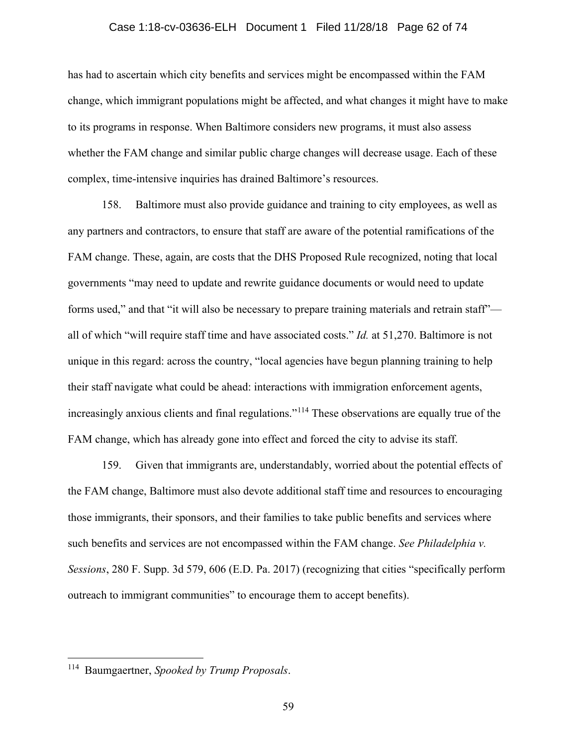#### Case 1:18-cv-03636-ELH Document 1 Filed 11/28/18 Page 62 of 74

has had to ascertain which city benefits and services might be encompassed within the FAM change, which immigrant populations might be affected, and what changes it might have to make to its programs in response. When Baltimore considers new programs, it must also assess whether the FAM change and similar public charge changes will decrease usage. Each of these complex, time-intensive inquiries has drained Baltimore's resources.

158. Baltimore must also provide guidance and training to city employees, as well as any partners and contractors, to ensure that staff are aware of the potential ramifications of the FAM change. These, again, are costs that the DHS Proposed Rule recognized, noting that local governments "may need to update and rewrite guidance documents or would need to update forms used," and that "it will also be necessary to prepare training materials and retrain staff" all of which "will require staff time and have associated costs." *Id.* at 51,270. Baltimore is not unique in this regard: across the country, "local agencies have begun planning training to help their staff navigate what could be ahead: interactions with immigration enforcement agents, increasingly anxious clients and final regulations."[114](#page-61-0) These observations are equally true of the FAM change, which has already gone into effect and forced the city to advise its staff.

159. Given that immigrants are, understandably, worried about the potential effects of the FAM change, Baltimore must also devote additional staff time and resources to encouraging those immigrants, their sponsors, and their families to take public benefits and services where such benefits and services are not encompassed within the FAM change. *See Philadelphia v. Sessions*, 280 F. Supp. 3d 579, 606 (E.D. Pa. 2017) (recognizing that cities "specifically perform outreach to immigrant communities" to encourage them to accept benefits).

<span id="page-61-0"></span> <sup>114</sup> Baumgaertner, *Spooked by Trump Proposals*.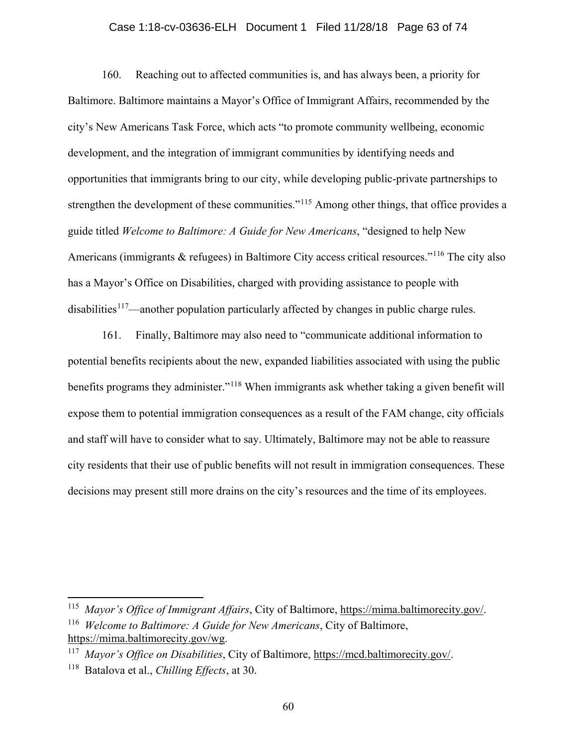### Case 1:18-cv-03636-ELH Document 1 Filed 11/28/18 Page 63 of 74

160. Reaching out to affected communities is, and has always been, a priority for Baltimore. Baltimore maintains a Mayor's Office of Immigrant Affairs, recommended by the city's New Americans Task Force, which acts "to promote community wellbeing, economic development, and the integration of immigrant communities by identifying needs and opportunities that immigrants bring to our city, while developing public-private partnerships to strengthen the development of these communities."<sup>[115](#page-62-0)</sup> Among other things, that office provides a guide titled *Welcome to Baltimore: A Guide for New Americans*, "designed to help New Americans (immigrants & refugees) in Baltimore City access critical resources."<sup>[116](#page-62-1)</sup> The city also has a Mayor's Office on Disabilities, charged with providing assistance to people with disabilities<sup>117</sup>—another population particularly affected by changes in public charge rules.

161. Finally, Baltimore may also need to "communicate additional information to potential benefits recipients about the new, expanded liabilities associated with using the public benefits programs they administer."<sup>[118](#page-62-3)</sup> When immigrants ask whether taking a given benefit will expose them to potential immigration consequences as a result of the FAM change, city officials and staff will have to consider what to say. Ultimately, Baltimore may not be able to reassure city residents that their use of public benefits will not result in immigration consequences. These decisions may present still more drains on the city's resources and the time of its employees.

<span id="page-62-1"></span><span id="page-62-0"></span> <sup>115</sup> *Mayor's Office of Immigrant Affairs*, City of Baltimore, [https://mima.baltimorecity.gov/.](https://mima.baltimorecity.gov/) <sup>116</sup> *Welcome to Baltimore: A Guide for New Americans*, City of Baltimore, [https://mima.baltimorecity.gov/wg.](https://mima.baltimorecity.gov/wg)

<span id="page-62-2"></span><sup>117</sup> *Mayor's Office on Disabilities*, City of Baltimore, [https://mcd.baltimorecity.gov/.](https://mcd.baltimorecity.gov/)

<span id="page-62-3"></span><sup>118</sup> Batalova et al., *Chilling Effects*, at 30.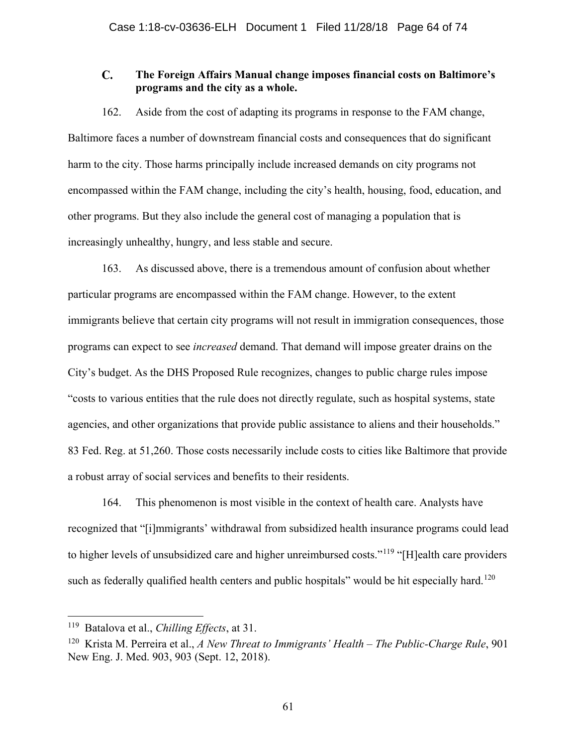#### $\mathbf{C}$ . **The Foreign Affairs Manual change imposes financial costs on Baltimore's programs and the city as a whole.**

162. Aside from the cost of adapting its programs in response to the FAM change, Baltimore faces a number of downstream financial costs and consequences that do significant harm to the city. Those harms principally include increased demands on city programs not encompassed within the FAM change, including the city's health, housing, food, education, and other programs. But they also include the general cost of managing a population that is increasingly unhealthy, hungry, and less stable and secure.

163. As discussed above, there is a tremendous amount of confusion about whether particular programs are encompassed within the FAM change. However, to the extent immigrants believe that certain city programs will not result in immigration consequences, those programs can expect to see *increased* demand. That demand will impose greater drains on the City's budget. As the DHS Proposed Rule recognizes, changes to public charge rules impose "costs to various entities that the rule does not directly regulate, such as hospital systems, state agencies, and other organizations that provide public assistance to aliens and their households." 83 Fed. Reg. at 51,260. Those costs necessarily include costs to cities like Baltimore that provide a robust array of social services and benefits to their residents.

164. This phenomenon is most visible in the context of health care. Analysts have recognized that "[i]mmigrants' withdrawal from subsidized health insurance programs could lead to higher levels of unsubsidized care and higher unreimbursed costs."<sup>[119](#page-63-0)</sup> "[H]ealth care providers such as federally qualified health centers and public hospitals" would be hit especially hard.<sup>[120](#page-63-1)</sup>

<span id="page-63-0"></span> <sup>119</sup> Batalova et al., *Chilling Effects*, at 31.

<span id="page-63-1"></span><sup>120</sup> Krista M. Perreira et al., *A New Threat to Immigrants' Health – The Public-Charge Rule*, 901 New Eng. J. Med. 903, 903 (Sept. 12, 2018).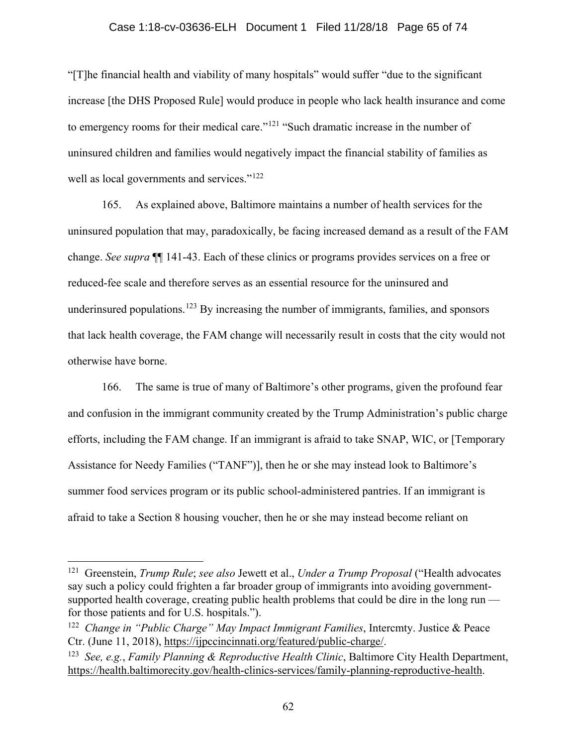### Case 1:18-cv-03636-ELH Document 1 Filed 11/28/18 Page 65 of 74

"[T]he financial health and viability of many hospitals" would suffer "due to the significant increase [the DHS Proposed Rule] would produce in people who lack health insurance and come to emergency rooms for their medical care."<sup>[121](#page-64-0)</sup> "Such dramatic increase in the number of uninsured children and families would negatively impact the financial stability of families as well as local governments and services."<sup>[122](#page-64-1)</sup>

165. As explained above, Baltimore maintains a number of health services for the uninsured population that may, paradoxically, be facing increased demand as a result of the FAM change. *See supra* ¶¶ 141-43. Each of these clinics or programs provides services on a free or reduced-fee scale and therefore serves as an essential resource for the uninsured and underinsured populations.<sup>[123](#page-64-2)</sup> By increasing the number of immigrants, families, and sponsors that lack health coverage, the FAM change will necessarily result in costs that the city would not otherwise have borne.

166. The same is true of many of Baltimore's other programs, given the profound fear and confusion in the immigrant community created by the Trump Administration's public charge efforts, including the FAM change. If an immigrant is afraid to take SNAP, WIC, or [Temporary Assistance for Needy Families ("TANF")], then he or she may instead look to Baltimore's summer food services program or its public school-administered pantries. If an immigrant is afraid to take a Section 8 housing voucher, then he or she may instead become reliant on

<span id="page-64-0"></span> <sup>121</sup> Greenstein, *Trump Rule*; *see also* Jewett et al., *Under a Trump Proposal* ("Health advocates say such a policy could frighten a far broader group of immigrants into avoiding governmentsupported health coverage, creating public health problems that could be dire in the long run for those patients and for U.S. hospitals.").

<span id="page-64-1"></span><sup>122</sup> *Change in "Public Charge" May Impact Immigrant Families*, Intercmty. Justice & Peace Ctr. (June 11, 2018), [https://ijpccincinnati.org/featured/public-charge/.](https://ijpccincinnati.org/featured/public-charge/)

<span id="page-64-2"></span><sup>123</sup> *See, e.g.*, *Family Planning & Reproductive Health Clinic*, Baltimore City Health Department, [https://health.baltimorecity.gov/health-clinics-services/family-planning-reproductive-health.](https://health.baltimorecity.gov/health-clinics-services/family-planning-reproductive-health)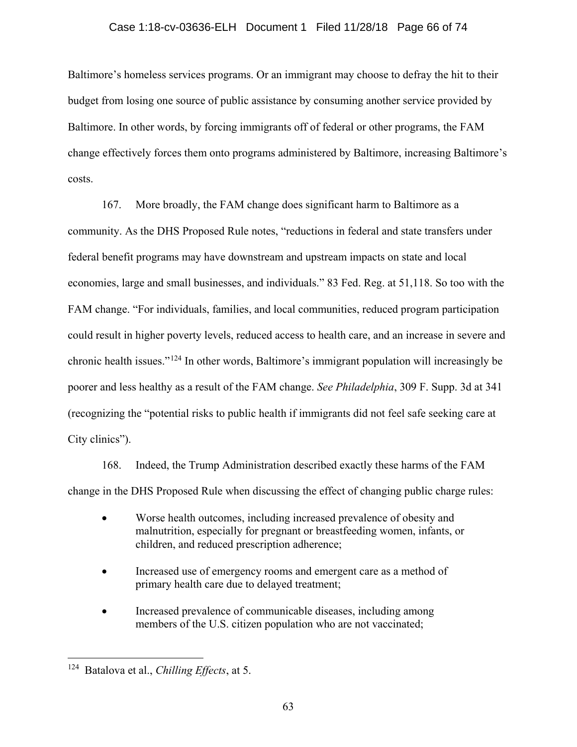### Case 1:18-cv-03636-ELH Document 1 Filed 11/28/18 Page 66 of 74

Baltimore's homeless services programs. Or an immigrant may choose to defray the hit to their budget from losing one source of public assistance by consuming another service provided by Baltimore. In other words, by forcing immigrants off of federal or other programs, the FAM change effectively forces them onto programs administered by Baltimore, increasing Baltimore's costs.

167. More broadly, the FAM change does significant harm to Baltimore as a community. As the DHS Proposed Rule notes, "reductions in federal and state transfers under federal benefit programs may have downstream and upstream impacts on state and local economies, large and small businesses, and individuals." 83 Fed. Reg. at 51,118. So too with the FAM change. "For individuals, families, and local communities, reduced program participation could result in higher poverty levels, reduced access to health care, and an increase in severe and chronic health issues."[124](#page-65-0) In other words, Baltimore's immigrant population will increasingly be poorer and less healthy as a result of the FAM change. *See Philadelphia*, 309 F. Supp. 3d at 341 (recognizing the "potential risks to public health if immigrants did not feel safe seeking care at City clinics").

168. Indeed, the Trump Administration described exactly these harms of the FAM change in the DHS Proposed Rule when discussing the effect of changing public charge rules:

- Worse health outcomes, including increased prevalence of obesity and malnutrition, especially for pregnant or breastfeeding women, infants, or children, and reduced prescription adherence;
- Increased use of emergency rooms and emergent care as a method of primary health care due to delayed treatment;
- Increased prevalence of communicable diseases, including among members of the U.S. citizen population who are not vaccinated;

<span id="page-65-0"></span> <sup>124</sup> Batalova et al., *Chilling Effects*, at 5.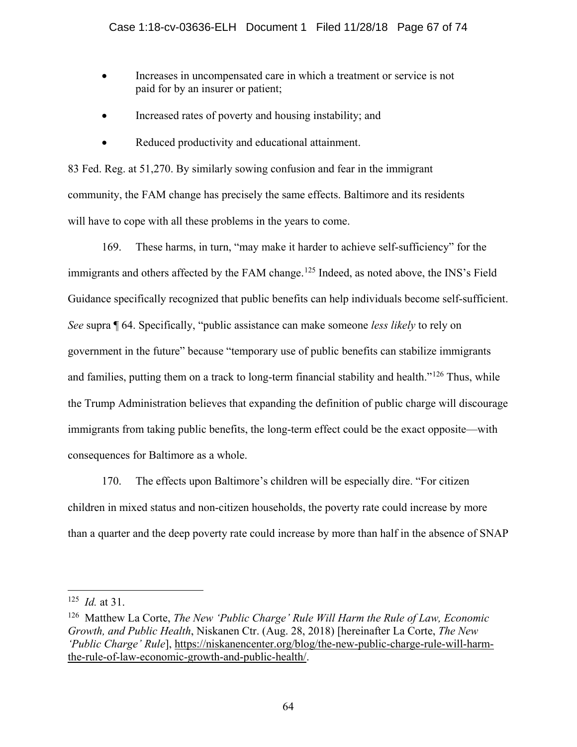- Increases in uncompensated care in which a treatment or service is not paid for by an insurer or patient;
- Increased rates of poverty and housing instability; and
- Reduced productivity and educational attainment.

83 Fed. Reg. at 51,270. By similarly sowing confusion and fear in the immigrant community, the FAM change has precisely the same effects. Baltimore and its residents will have to cope with all these problems in the years to come.

169. These harms, in turn, "may make it harder to achieve self-sufficiency" for the immigrants and others affected by the FAM change.<sup>[125](#page-66-0)</sup> Indeed, as noted above, the INS's Field Guidance specifically recognized that public benefits can help individuals become self-sufficient. *See* supra ¶ 64. Specifically, "public assistance can make someone *less likely* to rely on government in the future" because "temporary use of public benefits can stabilize immigrants and families, putting them on a track to long-term financial stability and health."<sup>[126](#page-66-1)</sup> Thus, while the Trump Administration believes that expanding the definition of public charge will discourage immigrants from taking public benefits, the long-term effect could be the exact opposite—with consequences for Baltimore as a whole.

170. The effects upon Baltimore's children will be especially dire. "For citizen children in mixed status and non-citizen households, the poverty rate could increase by more than a quarter and the deep poverty rate could increase by more than half in the absence of SNAP

<span id="page-66-0"></span> <sup>125</sup> *Id.* at 31.

<span id="page-66-1"></span><sup>126</sup> Matthew La Corte, *The New 'Public Charge' Rule Will Harm the Rule of Law, Economic Growth, and Public Health*, Niskanen Ctr. (Aug. 28, 2018) [hereinafter La Corte, *The New 'Public Charge' Rule*], [https://niskanencenter.org/blog/the-new-public-charge-rule-will-harm](https://niskanencenter.org/blog/the-new-public-charge-rule-will-harm-the-rule-of-law-economic-growth-and-public-health/)[the-rule-of-law-economic-growth-and-public-health/.](https://niskanencenter.org/blog/the-new-public-charge-rule-will-harm-the-rule-of-law-economic-growth-and-public-health/)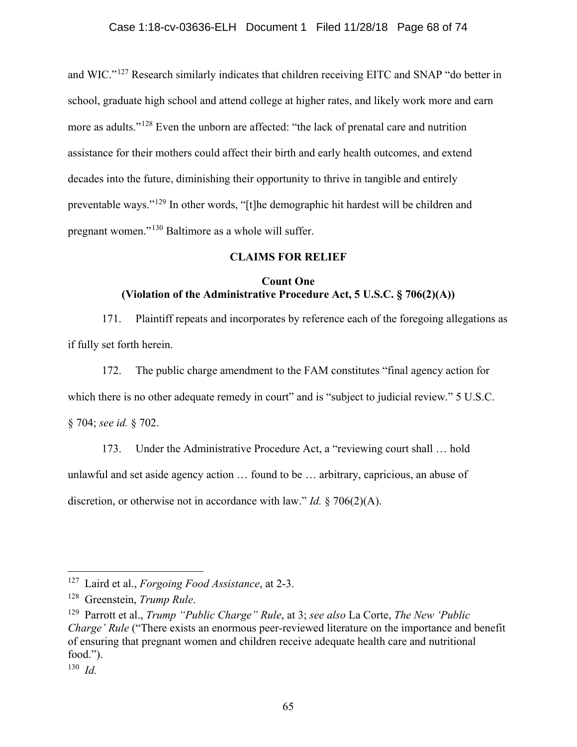and WIC."[127](#page-67-0) Research similarly indicates that children receiving EITC and SNAP "do better in school, graduate high school and attend college at higher rates, and likely work more and earn more as adults."<sup>[128](#page-67-1)</sup> Even the unborn are affected: "the lack of prenatal care and nutrition assistance for their mothers could affect their birth and early health outcomes, and extend decades into the future, diminishing their opportunity to thrive in tangible and entirely preventable ways."[129](#page-67-2) In other words, "[t]he demographic hit hardest will be children and pregnant women."[130](#page-67-3) Baltimore as a whole will suffer.

# **CLAIMS FOR RELIEF**

# **Count One (Violation of the Administrative Procedure Act, 5 U.S.C. § 706(2)(A))**

171. Plaintiff repeats and incorporates by reference each of the foregoing allegations as if fully set forth herein.

172. The public charge amendment to the FAM constitutes "final agency action for which there is no other adequate remedy in court" and is "subject to judicial review." 5 U.S.C. § 704; *see id.* § 702.

173. Under the Administrative Procedure Act, a "reviewing court shall … hold unlawful and set aside agency action … found to be … arbitrary, capricious, an abuse of discretion, or otherwise not in accordance with law." *Id.* § 706(2)(A).

<span id="page-67-0"></span> <sup>127</sup> Laird et al., *Forgoing Food Assistance*, at 2-3.

<span id="page-67-1"></span><sup>128</sup> Greenstein, *Trump Rule*.

<span id="page-67-2"></span><sup>129</sup> Parrott et al., *Trump "Public Charge" Rule*, at 3; *see also* La Corte, *The New 'Public Charge' Rule* ("There exists an enormous peer-reviewed literature on the importance and benefit of ensuring that pregnant women and children receive adequate health care and nutritional food.").

<span id="page-67-3"></span><sup>130</sup> *Id.*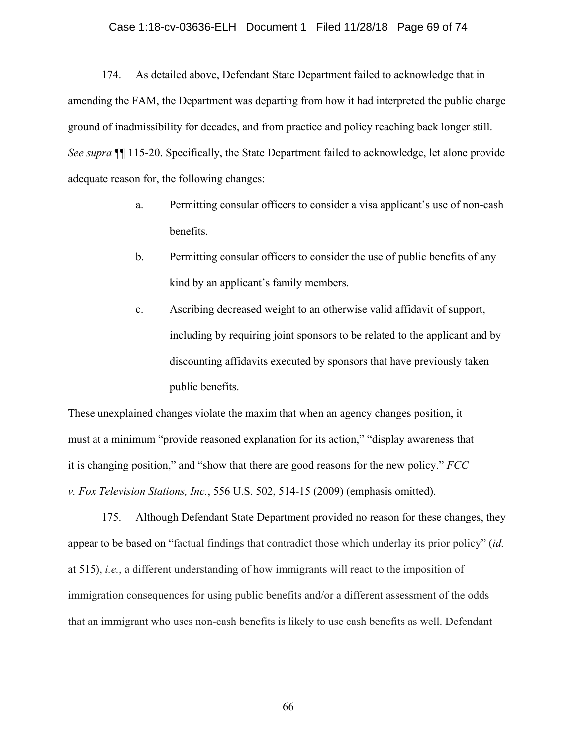#### Case 1:18-cv-03636-ELH Document 1 Filed 11/28/18 Page 69 of 74

174. As detailed above, Defendant State Department failed to acknowledge that in amending the FAM, the Department was departing from how it had interpreted the public charge ground of inadmissibility for decades, and from practice and policy reaching back longer still. *See supra* ¶¶ 115-20. Specifically, the State Department failed to acknowledge, let alone provide adequate reason for, the following changes:

- a. Permitting consular officers to consider a visa applicant's use of non-cash benefits.
- b. Permitting consular officers to consider the use of public benefits of any kind by an applicant's family members.
- c. Ascribing decreased weight to an otherwise valid affidavit of support, including by requiring joint sponsors to be related to the applicant and by discounting affidavits executed by sponsors that have previously taken public benefits.

These unexplained changes violate the maxim that when an agency changes position, it must at a minimum "provide reasoned explanation for its action," "display awareness that it is changing position," and "show that there are good reasons for the new policy." *FCC v. Fox Television Stations, Inc.*, 556 U.S. 502, 514-15 (2009) (emphasis omitted).

175. Although Defendant State Department provided no reason for these changes, they appear to be based on "factual findings that contradict those which underlay its prior policy" (*id.* at 515), *i.e.*, a different understanding of how immigrants will react to the imposition of immigration consequences for using public benefits and/or a different assessment of the odds that an immigrant who uses non-cash benefits is likely to use cash benefits as well. Defendant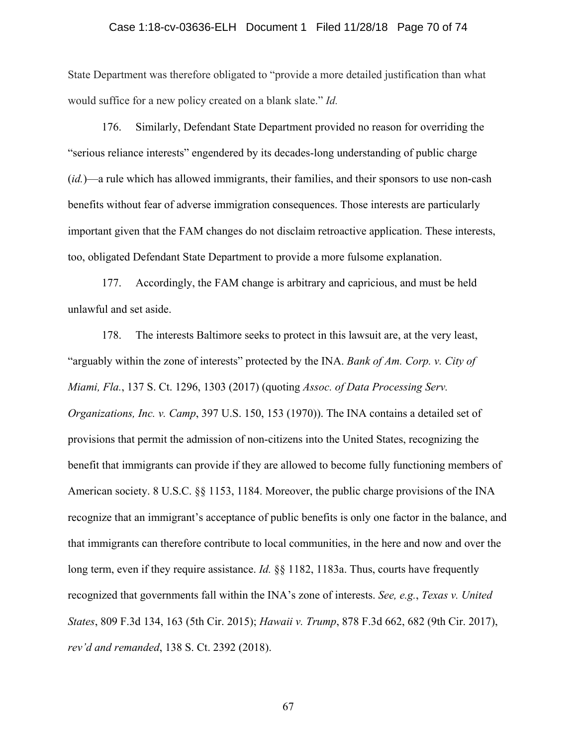#### Case 1:18-cv-03636-ELH Document 1 Filed 11/28/18 Page 70 of 74

State Department was therefore obligated to "provide a more detailed justification than what would suffice for a new policy created on a blank slate." *Id.*

176. Similarly, Defendant State Department provided no reason for overriding the "serious reliance interests" engendered by its decades-long understanding of public charge (*id.*)—a rule which has allowed immigrants, their families, and their sponsors to use non-cash benefits without fear of adverse immigration consequences. Those interests are particularly important given that the FAM changes do not disclaim retroactive application. These interests, too, obligated Defendant State Department to provide a more fulsome explanation.

177. Accordingly, the FAM change is arbitrary and capricious, and must be held unlawful and set aside.

178. The interests Baltimore seeks to protect in this lawsuit are, at the very least, "arguably within the zone of interests" protected by the INA. *Bank of Am. Corp. v. City of Miami, Fla.*, 137 S. Ct. 1296, 1303 (2017) (quoting *Assoc. of Data Processing Serv. Organizations, Inc. v. Camp*, 397 U.S. 150, 153 (1970)). The INA contains a detailed set of provisions that permit the admission of non-citizens into the United States, recognizing the benefit that immigrants can provide if they are allowed to become fully functioning members of American society. 8 U.S.C. §§ 1153, 1184. Moreover, the public charge provisions of the INA recognize that an immigrant's acceptance of public benefits is only one factor in the balance, and that immigrants can therefore contribute to local communities, in the here and now and over the long term, even if they require assistance. *Id.* §§ 1182, 1183a. Thus, courts have frequently recognized that governments fall within the INA's zone of interests. *See, e.g.*, *Texas v. United States*, 809 F.3d 134, 163 (5th Cir. 2015); *Hawaii v. Trump*, 878 F.3d 662, 682 (9th Cir. 2017), *rev'd and remanded*, 138 S. Ct. 2392 (2018).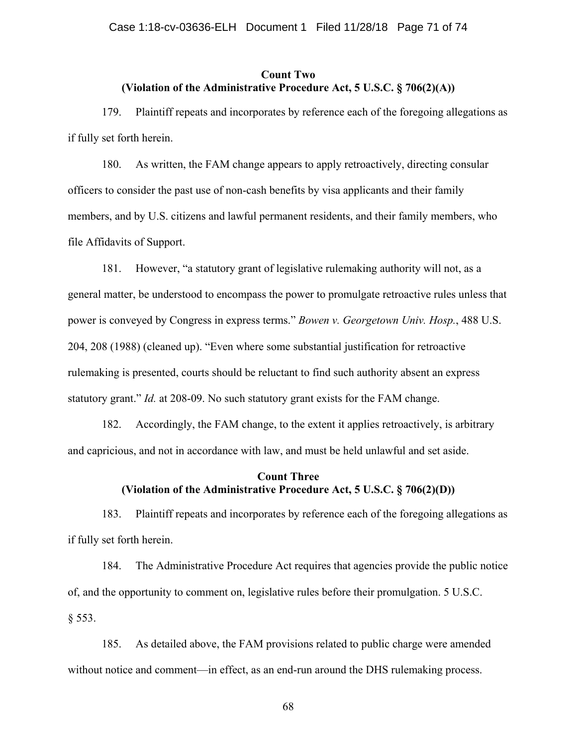## **Count Two (Violation of the Administrative Procedure Act, 5 U.S.C. § 706(2)(A))**

179. Plaintiff repeats and incorporates by reference each of the foregoing allegations as if fully set forth herein.

180. As written, the FAM change appears to apply retroactively, directing consular officers to consider the past use of non-cash benefits by visa applicants and their family members, and by U.S. citizens and lawful permanent residents, and their family members, who file Affidavits of Support.

181. However, "a statutory grant of legislative rulemaking authority will not, as a general matter, be understood to encompass the power to promulgate retroactive rules unless that power is conveyed by Congress in express terms." *Bowen v. Georgetown Univ. Hosp.*, 488 U.S. 204, 208 (1988) (cleaned up). "Even where some substantial justification for retroactive rulemaking is presented, courts should be reluctant to find such authority absent an express statutory grant." *Id.* at 208-09. No such statutory grant exists for the FAM change.

182. Accordingly, the FAM change, to the extent it applies retroactively, is arbitrary and capricious, and not in accordance with law, and must be held unlawful and set aside.

# **Count Three (Violation of the Administrative Procedure Act, 5 U.S.C. § 706(2)(D))**

183. Plaintiff repeats and incorporates by reference each of the foregoing allegations as if fully set forth herein.

184. The Administrative Procedure Act requires that agencies provide the public notice of, and the opportunity to comment on, legislative rules before their promulgation. 5 U.S.C. § 553.

185. As detailed above, the FAM provisions related to public charge were amended without notice and comment—in effect, as an end-run around the DHS rulemaking process.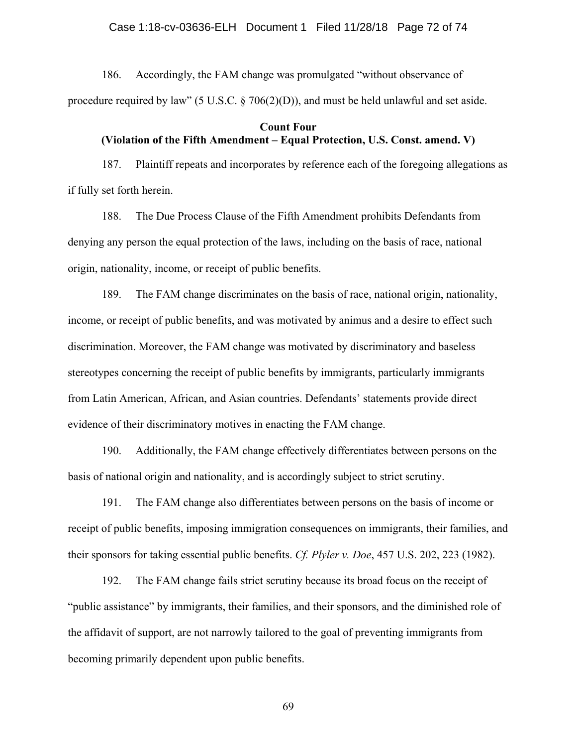186. Accordingly, the FAM change was promulgated "without observance of procedure required by law" (5 U.S.C.  $\S$  706(2)(D)), and must be held unlawful and set aside.

## **Count Four (Violation of the Fifth Amendment – Equal Protection, U.S. Const. amend. V)**

187. Plaintiff repeats and incorporates by reference each of the foregoing allegations as if fully set forth herein.

188. The Due Process Clause of the Fifth Amendment prohibits Defendants from denying any person the equal protection of the laws, including on the basis of race, national origin, nationality, income, or receipt of public benefits.

189. The FAM change discriminates on the basis of race, national origin, nationality, income, or receipt of public benefits, and was motivated by animus and a desire to effect such discrimination. Moreover, the FAM change was motivated by discriminatory and baseless stereotypes concerning the receipt of public benefits by immigrants, particularly immigrants from Latin American, African, and Asian countries. Defendants' statements provide direct evidence of their discriminatory motives in enacting the FAM change.

190. Additionally, the FAM change effectively differentiates between persons on the basis of national origin and nationality, and is accordingly subject to strict scrutiny.

191. The FAM change also differentiates between persons on the basis of income or receipt of public benefits, imposing immigration consequences on immigrants, their families, and their sponsors for taking essential public benefits. *Cf. Plyler v. Doe*, 457 U.S. 202, 223 (1982).

192. The FAM change fails strict scrutiny because its broad focus on the receipt of "public assistance" by immigrants, their families, and their sponsors, and the diminished role of the affidavit of support, are not narrowly tailored to the goal of preventing immigrants from becoming primarily dependent upon public benefits.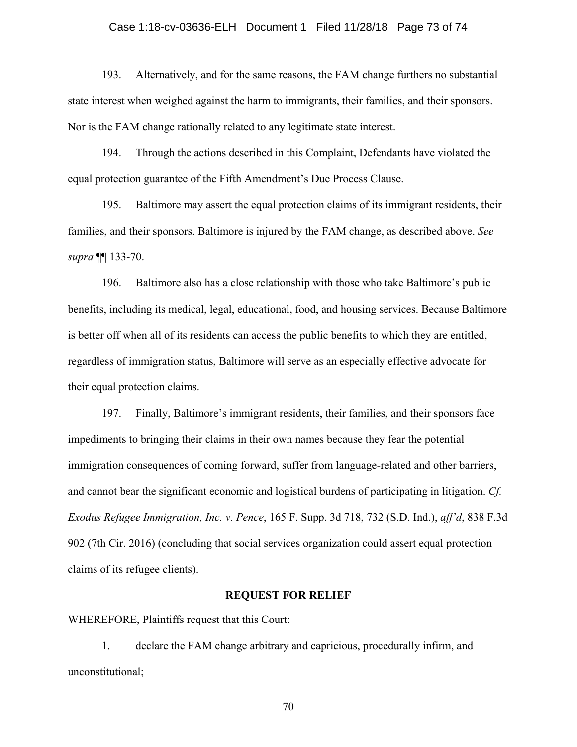## Case 1:18-cv-03636-ELH Document 1 Filed 11/28/18 Page 73 of 74

193. Alternatively, and for the same reasons, the FAM change furthers no substantial state interest when weighed against the harm to immigrants, their families, and their sponsors. Nor is the FAM change rationally related to any legitimate state interest.

194. Through the actions described in this Complaint, Defendants have violated the equal protection guarantee of the Fifth Amendment's Due Process Clause.

195. Baltimore may assert the equal protection claims of its immigrant residents, their families, and their sponsors. Baltimore is injured by the FAM change, as described above. *See supra* ¶¶ 133-70.

196. Baltimore also has a close relationship with those who take Baltimore's public benefits, including its medical, legal, educational, food, and housing services. Because Baltimore is better off when all of its residents can access the public benefits to which they are entitled, regardless of immigration status, Baltimore will serve as an especially effective advocate for their equal protection claims.

197. Finally, Baltimore's immigrant residents, their families, and their sponsors face impediments to bringing their claims in their own names because they fear the potential immigration consequences of coming forward, suffer from language-related and other barriers, and cannot bear the significant economic and logistical burdens of participating in litigation. *Cf. Exodus Refugee Immigration, Inc. v. Pence*, 165 F. Supp. 3d 718, 732 (S.D. Ind.), *aff'd*, 838 F.3d 902 (7th Cir. 2016) (concluding that social services organization could assert equal protection claims of its refugee clients).

## **REQUEST FOR RELIEF**

WHEREFORE, Plaintiffs request that this Court:

1. declare the FAM change arbitrary and capricious, procedurally infirm, and unconstitutional;

70